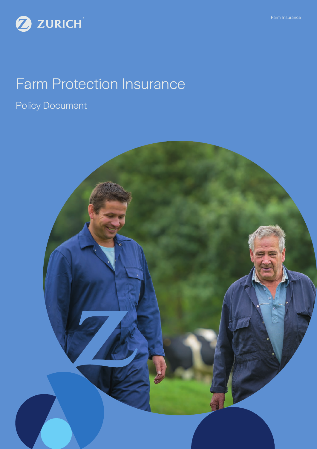



# Farm Protection Insurance

Policy Document

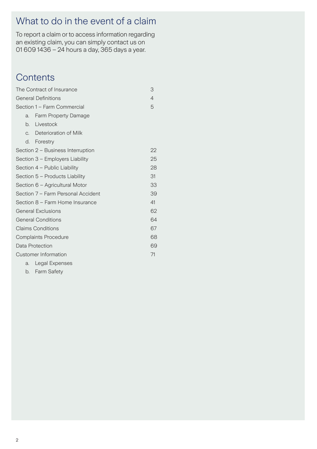# What to do in the event of a claim

To report a claim or to access information regarding an existing claim, you can simply contact us on 01 609 1436 – 24 hours a day, 365 days a year.

# **Contents**

| The Contract of Insurance          |                                   | 3              |
|------------------------------------|-----------------------------------|----------------|
| <b>General Definitions</b>         |                                   | $\overline{4}$ |
| Section 1 - Farm Commercial        |                                   | 5              |
| a.                                 | <b>Farm Property Damage</b>       |                |
| b.                                 | Livestock                         |                |
|                                    | c. Deterioration of Milk          |                |
| d.                                 | Forestry                          |                |
|                                    | Section 2 – Business Interruption | 22             |
| Section 3 - Employers Liability    |                                   | 25             |
|                                    | Section 4 - Public Liability      | 28             |
| Section 5 - Products Liability     |                                   |                |
| Section 6 - Agricultural Motor     |                                   |                |
| Section 7 – Farm Personal Accident |                                   |                |
| Section 8 - Farm Home Insurance    |                                   |                |
| General Exclusions                 |                                   | 62             |
| <b>General Conditions</b>          |                                   | 64             |
| <b>Claims Conditions</b>           |                                   | 67             |
| <b>Complaints Procedure</b>        |                                   | 68             |
| Data Protection                    |                                   |                |
| Customer Information               |                                   |                |
|                                    |                                   |                |

a. Legal Expenses

b. Farm Safety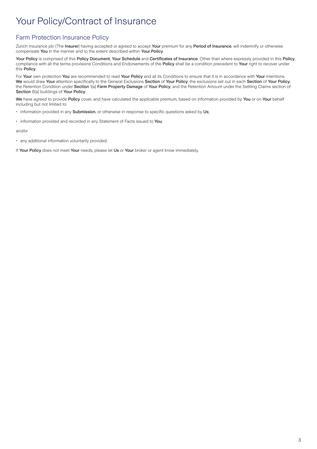# Your Policy/Contract of Insurance

## Farm Protection Insurance Policy

Zurich Insurance plc (The Insurer) having accepted or agreed to accept Your premium for any Period of Insurance, will indemnify or otherwise compensate You in the manner and to the extent described within Your Policy.

Your Policy is comprised of this Policy Document, Your Schedule and Certificates of Insurance. Other than where expressly provided in this Policy, compliance with all the terms provisions Conditions and Endorsements of the Policy shall be a condition precedent to Your right to recover under this Policy.

For Your own protection You are recommended to read Your Policy and all its Conditions to ensure that it is in accordance with Your intentions. We would draw Your attention specifically to the General Exclusions Section of Your Policy; the exclusions set out in each Section of Your Policy; the Retention Condition under Section 1(a) Farm Property Damage of Your Policy; and the Retention Amount under the Settling Claims section of Section 8(a) buildings of Your Policy.

We have agreed to provide Policy cover, and have calculated the applicable premium, based on information provided by You or on Your behalf including but not limited to:

- information provided in any Submission, or otherwise in response to specific questions asked by Us;
- information provided and recorded in any Statement of Facts issued to You:

#### and/or

• any additional information voluntarily provided.

If Your Policy does not meet Your needs, please let Us or Your broker or agent know immediately.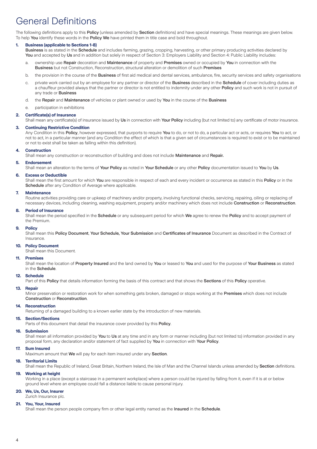# General Definitions

The following definitions apply to this Policy (unless amended by Section definitions) and have special meanings. These meanings are given below. To help You identify these words in the Policy We have printed them in title case and bold throughout.

## **1. Business (applicable to Sections 1-8)**

Business is as stated in the Schedule and includes farming, grazing, cropping, harvesting, or other primary producing activities declared by You and accepted by Us and in addition but solely in respect of Section 3: Employers Liability and Section 4: Public Liability includes:

- a. ownership use Repair decoration and Maintenance of property and Premises owned or occupied by You in connection with the Business but not Construction, Reconstruction, structural alteration or demolition of such Premises
- b. the provision in the course of the **Business** of first aid medical and dental services, ambulance, fire, security services and safety organisations
- c. private work carried out by an employee for any partner or director of the **Business** described in the **Schedule** of cover including duties as a chauffeur provided always that the partner or director is not entitled to indemnity under any other Policy and such work is not in pursuit of any trade or Business
- d. the Repair and Maintenance of vehicles or plant owned or used by You in the course of the Business
- e. participation in exhibitions

#### **2. Certificate(s) of Insurance**

Shall mean any certificate(s) of insurance issued by Us in connection with Your Policy including (but not limited to) any certificate of motor insurance.

## **3. Continuing Restrictive Condition**

Any Condition in this Policy, however expressed, that purports to require You to do, or not to do, a particular act or acts, or requires You to act, or not to act, in a particular manner (and any Condition the effect of which is that a given set of circumstances is required to exist or to be maintained or not to exist shall be taken as falling within this definition).

#### **4. Construction**

Shall mean any construction or reconstruction of building and does not include Maintenance and Repair.

### **5. Endorsement**

Shall mean an alteration to the terms of Your Policy as noted in Your Schedule or any other Policy documentation issued to You by Us.

#### **6. Excess or Deductible**

Shall mean the first amount for which You are responsible in respect of each and every incident or occurrence as stated in this Policy or in the Schedule after any Condition of Average where applicable.

#### **7. Maintenance**

Routine activities providing care or upkeep of machinery and/or property, involving functional checks, servicing, repairing, oiling or replacing of necessary devices, including cleaning, washing equipment, property and/or machinery which does not include Construction or Reconstruction.

#### **8. Period of Insurance**

Shall mean the period specified in the Schedule or any subsequent period for which We agree to renew the Policy and to accept payment of the Premium.

#### **9. Policy**

Shall mean this Policy Document, Your Schedule, Your Submission and Certificates of Insurance Document as described in the Contract of Insurance.

### **10. Policy Document**

Shall mean this Document.

#### **11. Premises**

Shall mean the location of Property Insured and the land owned by You or leased to You and used for the purpose of Your Business as stated in the Schedule.

#### **12. Schedule**

Part of this Policy that details information forming the basis of this contract and that shows the Sections of this Policy operative.

### **13. Repair**

Minor preservation or restoration work for when something gets broken, damaged or stops working at the Premises which does not include Construction or Reconstruction.

#### **14. Reconstruction**

Returning of a damaged building to a known earlier state by the introduction of new materials.

#### **15. Section/Sections**

Parts of this document that detail the insurance cover provided by this **Policy**.

#### **16. Submission**

Shall mean all information provided by You to Us at any time and in any form or manner including (but not limited to) information provided in any proposal form, any declaration and/or statement of fact supplied by You in connection with Your Policy.

#### **17. Sum Insured**

Maximum amount that We will pay for each item insured under any Section.

### **18. Territorial Limits**

Shall mean the Republic of Ireland, Great Britain, Northern Ireland, the Isle of Man and the Channel Islands unless amended by Section definitions.

#### **19. Working at height**

Working in a place (except a staircase in a permanent workplace) where a person could be injured by falling from it, even if it is at or below ground level where an employee could fall a distance liable to cause personal injury.

## **20. We, Us, Our, Insurer**

Zurich Insurance plc.

#### **21. You, Your, Insured**

Shall mean the person people company firm or other legal entity named as the Insured in the Schedule.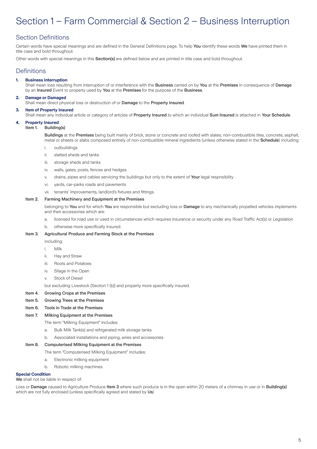# Section 1 – Farm Commercial & Section 2 – Business Interruption

## Section Definitions

Certain words have special meanings and are defined in the General Definitions page. To help You identify these words We have printed them in title case and bold throughout.

Other words with special meanings in this Section(s) are defined below and are printed in title case and bold throughout.

## **Definitions**

## **1. Business Interruption**

Shall mean loss resulting from interruption of or interference with the Business carried on by You at the Premises in consequence of Damage by an Insured Event to property used by You at the Premises for the purpose of the Business.

### **2. Damage or Damaged**

Shall mean direct physical loss or destruction of or Damage to the Property Insured.

#### **3. Item of Property Insured**

Shall mean any individual article or category of articles of Property Insured to which an individual Sum Insured is attached in Your Schedule.

#### **4. Property Insured**

Item 1. Building(s)

Buildings at the Premises being built mainly of brick, stone or concrete and roofed with slates, non-combustible tiles, concrete, asphalt, metal or sheets or slabs composed entirely of non-combustible mineral ingredients (unless otherwise stated in the Schedule) including:

- i. outbuildings
- ii. slatted sheds and tanks
- iii. storage sheds and tanks
- iv. walls, gates, posts, fences and hedges
- v. drains, pipes and cables servicing the buildings but only to the extent of Your legal respnsibility
- vi. yards, car-parks roads and pavements
- vii. tenants' improvements, landlord's fixtures and fittings.

#### Item 2. Farming Machinery and Equipment at the Premises

belonging to You and for which You are responsible but excluding loss or Damage to any mechanically propelled vehicles implements and their accessories which are:

- a. licensed for road use or used in circumstances which requires insurance or security under any Road Traffic Act(s) or Legislation
- b. otherwise more specifically insured.

#### Item 3. Agricultural Produce and Farming Stock at the Premises

- including:
- i. Milk
- ii. Hay and Straw
- iii. Roots and Potatoes
- iv. Silage in the Open
- v. Stock of Diesel

but excluding Livestock (Section 1 (b)) and property more specifically insured.

#### Item 4. Growing Crops at the Premises

Item 5. Growing Trees at the Premises

#### Item 6. Tools in Trade at the Premises

#### Item 7. Milking Equipment at the Premises

The term "Milking Equipment" includes:

- a. Bulk Milk Tank(s) and refrigerated milk storage tanks
- b. Associated installations and piping, wires and accessories

### Item 8. Computerised Milking Equipment at the Premises

- The term "Computerised Milking Equipment" includes:
	- a. Electronic milking equipment
	- b. Robotic milking machines

#### **Special Condition**

We shall not be liable in respect of:

Loss or Damage caused to Agriculture Produce Item 3 where such produce is in the open within 20 meters of a chimney in use or in Building(s) which are not fully enclosed (unless specifically agreed and stated by Us)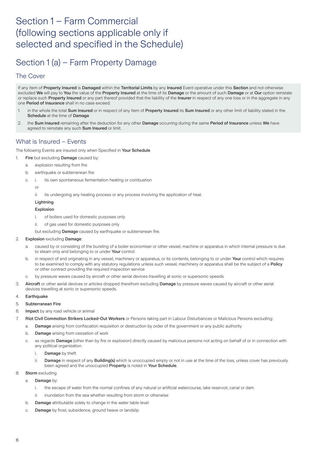# Section 1 – Farm Commercial (following sections applicable only if selected and specified in the Schedule)

# Section 1 (a) – Farm Property Damage

## The Cover

If any Item of Property Insured is Damaged within the Territorial Limits by any Insured Event operative under this Section and not otherwise excluded We will pay to You the value of the Property Insured at the time of its Damage or the amount of such Damage or at Our option reinstate or replace such Property Insured or any part thereof provided that the liability of the Insurer in respect of any one loss or in the aggregate in any one Period of Insurance shall in no case exceed:

- 1. in the whole the total Sum Insured or in respect of any Item of Property Insured its Sum Insured or any other limit of liability stated in the Schedule at the time of Damage
- 2. the Sum Insured remaining after the deduction for any other Damage occurring during the same Period of Insurance unless We have agreed to reinstate any such Sum Insured or limit.

## What is Insured – Events

## The following Events are insured only when Specified in Your Schedule

- 1. Fire but excluding Damage caused by:
	- a. explosion resulting from fire
	- b. earthquake or subterranean fire
	- c. i. its own spontaneous fermentation heating or combustion

### or

ii. its undergoing any heating process or any process involving the application of heat.

## Lightning

## Explosion

- i. of boilers used for domestic purposes only
- ii. of gas used for domestic purposes only
- but excluding **Damage** caused by earthquake or subterranean fire.

## 2. Explosion excluding Damage:

- a. caused by or consisting of the bursting of a boiler economiser or other vessel, machine or apparatus in which internal pressure is due to steam only and belonging to or under **Your** control
- b. in respect of and originating in any vessel, machinery or apparatus, or its contents, belonging to or under Your control which requires to be examined to comply with any statutory regulations unless such vessel, machinery or apparatus shall be the subject of a Policy or other contract providing the required inspection service
- c. by pressure waves caused by aircraft or other aerial devices travelling at sonic or supersonic speeds.
- 3. Aircraft or other aerial devices or articles dropped therefrom excluding Damage by pressure waves caused by aircraft or other aerial devices travelling at sonic or supersonic speeds.

## 4. Earthquake

## 5. Subterranean Fire

- 6. Impact by any road vehicle or animal
- 7. Riot Civil Commotion Strikers Locked-Out Workers or Persons taking part in Labour Disturbances or Malicious Persons excluding:
	- a. Damage arising from confiscation requisition or destruction by order of the government or any public authority
	- b. Damage arising from cessation of work
	- c. as regards Damage (other than by fire or explosion) directly caused by malicious persons not acting on behalf of or in connection with any political organization.
		- i. Damage by theft
		- ii. Damage in respect of any Building(s) which is unoccupied empty or not in use at the time of the loss, unless cover has previously been agreed and the unoccupied Property is noted in Your Schedule.

## 8. Storm excluding

- a. Damage by:
	- i. the escape of water from the normal confines of any natural or artificial watercourse, lake reservoir, canal or dam
	- ii. inundation from the sea whether resulting from storm or otherwise
- b. Damage attributable solely to change in the water table level
- c. Damage by frost, subsidence, ground heave or landslip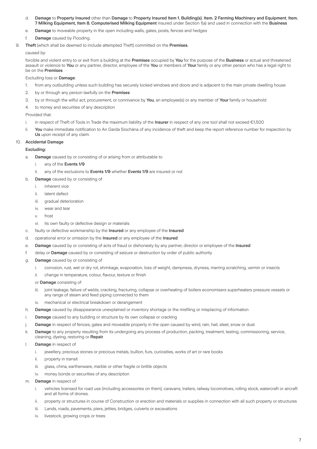- d. Damage to Property Insured other than Damage to Property Insured Item 1. Building(s), Item. 2 Farming Machinery and Equipment, Item. 7 Milking Equipment, Item 8. Computerised Milking Equipment insured under Section 1(a) and used in connection with the Business
- e. Damage to moveable property in the open including walls, gates, posts, fences and hedges
- f. Damage caused by Flooding.
- 9. Theft (which shall be deemed to include attempted Theft) committed on the Premises

### caused by:

forcible and violent entry to or exit from a building at the Premises occupied by You for the purpose of the Business or actual and threatened assault or violence to You or any partner, director, employee of the You or members of Your family or any other person who has a legal right to be on the Premises

### Excluding loss or Damage:

- 1. from any outbuilding unless such building has securely locked windows and doors and is adjacent to the main private dwelling house
- 2. by or through any person lawfully on the **Premises**
- 3. by or through the wilful act, procurement, or connivance by You, an employee(s) or any member of Your family or household
- 4. to money and securities of any description

### Provided that:

- i. in respect of Theft of Tools in Trade the maximum liability of the Insurer in respect of any one tool shall not exceed €1,500
- ii. You make immediate notification to An Garda Síochána of any incidence of theft and keep the report reference number for inspection by Us upon receipt of any claim.

### **Accidental Damage**

## Excluding:

- a. Damage caused by or consisting of or arising from or attributable to
	- i. any of the Events 1/9
	- ii. any of the exclusions to Events 1/9 whether Events 1/9 are insured or not
- b. Damage caused by or consisting of
	- i. inherent vice
	- ii. latent defect
	- iii. gradual deterioration
	- iv. wear and tear
	- v. frost
	- vi. its own faulty or defective design or materials
- c. faulty or defective workmanship by the Insured or any employee of the Insured
- d. operational error or omission by the Insured or any employee of the Insured
- e. Damage caused by or consisting of acts of fraud or dishonesty by any partner, director or employee of the Insured
- f. delay or Damage caused by or consisting of seizure or destruction by order of public authority
- g. Damage caused by or consisting of
	- i. corrosion, rust, wet or dry rot, shrinkage, evaporation, loss of weight, dampness, dryness, marring scratching, vermin or insects
	- ii. change in temperature, colour, flavour, texture or finish

or Damage consisting of

- iii. joint leakage, failure of welds, cracking, fracturing, collapse or overheating of boilers economisers superheaters pressure vessels or any range of steam and feed piping connected to them
- iv. mechanical or electrical breakdown or derangement
- h. Damage caused by disappearance unexplained or inventory shortage or the misfiling or misplacing of information
- i. Damage caused to any building or structure by its own collapse or cracking
- j. Damage in respect of fences, gates and moveable property in the open caused by wind, rain, hail, sleet, snow or dust
- k. Damage to any property resulting from its undergoing any process of production, packing, treatment, testing, commissioning, service, cleaning, dyeing, restoring or Repair
- l. Damage in respect of
	- i. jewellery, precious stones or precious metals, bullion, furs, curiosities, works of art or rare books
	- ii. property in transit
	- iii. glass, china, earthenware, marble or other fragile or brittle objects
	- iv. money bonds or securities of any description
- m. Damage in respect of
	- i. vehicles licensed for road use (including accessories on them), caravans, trailers, railway locomotives, rolling stock, watercraft or aircraft and all forms of drones.
	- ii. property or structures in course of Construction or erection and materials or supplies in connection with all such property or structures
	- iii. Lands, roads, pavements, piers, jetties, bridges, culverts or excavations
	- iv. livestock, growing crops or trees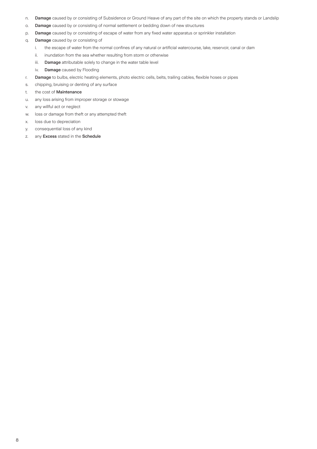- n. Damage caused by or consisting of Subsidence or Ground Heave of any part of the site on which the property stands or Landslip
- o. Damage caused by or consisting of normal settlement or bedding down of new structures
- p. Damage caused by or consisting of escape of water from any fixed water apparatus or sprinkler installation
- q. Damage caused by or consisting of
	- i. the escape of water from the normal confines of any natural or artificial watercourse, lake, reservoir, canal or dam
	- ii. inundation from the sea whether resulting from storm or otherwise
	- iii. Damage attributable solely to change in the water table level
	- iv. **Damage** caused by Flooding
- r. Damage to bulbs, electric heating elements, photo electric cells, belts, trailing cables, flexible hoses or pipes
- s. chipping, bruising or denting of any surface
- t. the cost of Maintenance
- u. any loss arising from improper storage or stowage
- v. any willful act or neglect
- w. loss or damage from theft or any attempted theft
- x. loss due to depreciation
- y. consequential loss of any kind
- z. any Excess stated in the Schedule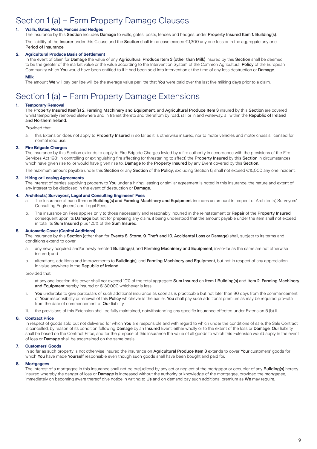# Section 1 (a) – Farm Property Damage Clauses

## **1. Walls, Gates, Posts, Fences and Hedges**

The insurance by this Section includes Damage to walls, gates, posts, fences and hedges under Property Insured Item 1. Building(s). The liability of the Insurer under this Clause and the Section shall in no case exceed €1,300 any one loss or in the aggregate any one Period of Insurance.

## **2. Agricultural Produce Basis of Settlement**

In the event of claim for Damage the value of any Agricultural Produce Item 3 (other than Milk) insured by this Section shall be deemed to be the greater of the market value or the value according to the Intervention System of the Common Agricultural Policy of the European Community which You would have been entitled to if it had been sold into intervention at the time of any loss destruction or Damage.

#### **Milk**

The amount We will pay per litre will be the average value per litre that You were paid over the last five milking days prior to a claim.

# Section 1 (a) – Farm Property Damage Extensions

## **1. Temporary Removal**

The Property Insured Item(s) 2. Farming Machinery and Equipment, and Agricultural Produce Item 3 insured by this Section are covered whilst temporarily removed elsewhere and in transit thereto and therefrom by road, rail or inland waterway, all within the Republic of Ireland and Northern Ireland.

Provided that:

a. this Extension does not apply to **Property Insured** in so far as it is otherwise insured, nor to motor vehicles and motor chassis licensed for normal road use.

#### **2. Fire Brigade Charges**

The insurance by this Section extends to apply to Fire Brigade Charges levied by a fire authority in accordance with the provisions of the Fire Services Act 1981 in controlling or extinguishing fire affecting (or threatening to affect) the Property Insured by this Section in circumstances which have given rise to, or would have given rise to, Damage to the Property Insured by any Event covered by this Section.

The maximum amount payable under this Section or any Section of the Policy, excluding Section 6, shall not exceed €15,000 any one incident.

#### **3. Hiring or Leasing Agreements**

The interest of parties supplying property to You under a hiring, leasing or similar agreement is noted in this insurance, the nature and extent of any interest to be disclosed in the event of destruction or Damage.

#### **4. Architects', Surveyors', Legal and Consulting Engineers' Fees**

- a. The insurance of each Item on Building(s) and Farming Machinery and Equipment includes an amount in respect of Architects', Surveyors', Consulting Engineers' and Legal Fees.
- b. The insurance on Fees applies only to those necessarily and reasonably incurred in the reinstatement or Repair of the Property Insured consequent upon its Damage but not for preparing any claim, it being understood that the amount payable under the item shall not exceed in total its Sum Insured plus 17.5% of the Sum Insured.

#### **5. Automatic Cover (Capital Additions)**

The insurance by this Section (other than for Events 8. Storm, 9. Theft and 10. Accidental Loss or Damage) shall, subject to its terms and conditions extend to cover

- a. any newly acquired and/or newly erected Building(s), and Farming Machinery and Equipment, in-so-far as the same are not otherwise insured; and
- b. alterations, additions and improvements to **Building(s)**, and Farming Machinery and Equipment, but not in respect of any appreciation in value anywhere in the Republic of Ireland

#### provided that:

- i. at any one location this cover shall not exceed 10% of the total aggregate Sum Insured on Item 1 Building(s) and Item 2. Farming Machinery and Equipment hereby insured or €130,000 whichever is less
- ii. You undertake to give particulars of such additional insurance as soon as is practicable but not later than 90 days from the commencement of Your responsibility or renewal of this Policy whichever is the earlier. You shall pay such additional premium as may be required pro-rata from the date of commencement of Our liability
- the provisions of this Extension shall be fully maintained, notwithstanding any specific insurance effected under Extension 5 (b) ii.

#### **6. Contract Price**

In respect of goods sold but not delivered for which You are responsible and with regard to which under the conditions of sale, the Sale Contract is cancelled, by reason of its condition following Damage by an Insured Event, either wholly or to the extent of the loss or Damage, Our liability shall be based on the Contract Price, and for the purpose of this insurance the value of all goods to which this Extension would apply in the event of loss or Damage shall be ascertained on the same basis.

#### **7. Customers' Goods**

In so far as such property is not otherwise insured the insurance on Agricultural Produce Item 3 extends to cover Your customers' goods for which You have made Yourself responsible even though such goods shall have been bought and paid for.

#### **8. Mortgagees**

The interest of a mortgagee in this insurance shall not be prejudiced by any act or neglect of the mortgagor or occupier of any Building(s) hereby insured whereby the danger of loss or Damage is increased without the authority or knowledge of the mortgagee, provided the mortgagee, immediately on becoming aware thereof give notice in writing to Us and on demand pay such additional premium as We may require.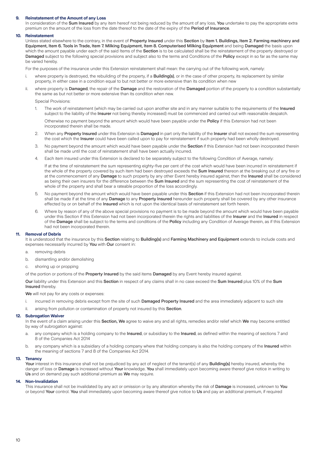#### **9. Reinstatement of the Amount of any Loss**

In consideration of the Sum Insured by any item hereof not being reduced by the amount of any loss, You undertake to pay the appropriate extra premium on the amount of the loss from the date thereof to the date of the expiry of the Period of Insurance.

#### **10. Reinstatement**

Unless stated elsewhere to the contrary, in the event of Property Insured under this Section by Item 1. Buildings, Item 2. Farming machinery and Equipment, Item 6. Tools in Trade, Item 7. Milking Equipment, Item 8. Computerised Milking Equipment and being Damaged the basis upon which the amount payable under each of the said Items of the Section is to be calculated shall be the reinstatement of the property destroyed or Damaged subject to the following special provisions and subject also to the terms and Conditions of the Policy except in so far as the same may be varied hereby.

For the purposes of the insurance under this Extension reinstatement shall mean: the carrying out of the following work, namely:

- i. where property is destroyed, the rebuilding of the property, if a **Building(s)**, or in the case of other property, its replacement by similar property, in either case in a condition equal to but not better or more extensive than its condition when new
- ii. where property is Damaged, the repair of the Damage and the restoration of the Damaged portion of the property to a condition substantially the same as but not better or more extensive than its condition when new.

Special Provisions:

1. The work of reinstatement (which may be carried out upon another site and in any manner suitable to the requirements of the Insured subject to the liability of the Insurer not being thereby increased) must be commenced and carried out with reasonable despatch.

Otherwise no payment beyond the amount which would have been payable under the Policy if this Extension had not been incorporated therein shall be made.

- 2. When any Property Insured under this Extension is Damaged in part only the liability of the Insurer shall not exceed the sum representing the cost which the Insurer could have been called upon to pay for reinstatement if such property had been wholly destroyed.
- 3. No payment beyond the amount which would have been payable under the Section if this Extension had not been incorporated therein shall be made until the cost of reinstatement shall have been actually incurred.
- 4. Each item insured under this Extension is declared to be separately subject to the following Condition of Average, namely:

If at the time of reinstatement the sum representing eighty-five per cent of the cost which would have been incurred in reinstatement if the whole of the property covered by such item had been destroyed exceeds the Sum Insured thereon at the breaking out of any fire or at the commencement of any Damage to such property by any other Event hereby insured against, then the Insured shall be considered as being their own insurers for the difference between the **Sum Insured** and the sum representing the cost of reinstatement of the whole of the property and shall bear a rateable proportion of the loss accordingly.

- 5. No payment beyond the amount which would have been payable under this Section if this Extension had not been incorporated therein shall be made if at the time of any Damage to any Property Insured hereunder such property shall be covered by any other insurance effected by or on behalf of the Insured which is not upon the identical basis of reinstatement set forth herein.
- 6. Where by reason of any of the above special provisions no payment is to be made beyond the amount which would have been payable under this Section if this Extension had not been incorporated therein the rights and liabilities of the Insurer and the Insured in respect of the **Damage** shall be subject to the terms and conditions of the **Policy** including any Condition of Average therein, as if this Extension had not been incorporated therein.

#### **11. Removal of Debris**

It is understood that the insurance by this Section relating to Building(s) and Farming Machinery and Equipment extends to include costs and expenses necessarily incurred by You with Our consent in:

- a. removing debris
- b. dismantling and/or demolishing
- c. shoring up or propping

of the portion or portions of the Property Insured by the said items Damaged by any Event hereby insured against.

Our liability under this Extension and this Section in respect of any claims shall in no case exceed the Sum Insured plus 10% of the Sum Insured thereby.

We will not pay for any costs or expenses:

- i. incurred in removing debris except from the site of such **Damaged Property Insured** and the area immediately adjacent to such site
- ii. arising from pollution or contamination of property not insured by this Section.

#### **12. Subrogation Waiver**

In the event of a claim arising under this Section, We agree to waive any and all rights, remedies and/or relief which We may become entitled by way of subrogation against:

- a. any company which is a holding company to the Insured, or subsidiary to the Insured, as defined within the meaning of sections 7 and 8 of the Companies Act 2014
- b. any company which is a subsidiary of a holding company where that holding company is also the holding company of the Insured within the meaning of sections 7 and 8 of the Companies Act 2014.

#### **13. Tenancy**

Your interest in this insurance shall not be prejudiced by any act of neglect of the tenant(s) of any Building(s) hereby insured, whereby the danger of loss or Damage is increased without Your knowledge. You shall immediately upon becoming aware thereof give notice in writing to Us and on demand pay such additional premium as We may require.

#### **14. Non-Invalidation**

This insurance shall not be invalidated by any act or omission or by any alteration whereby the risk of Damage is increased, unknown to You or beyond Your control. You shall immediately upon becoming aware thereof give notice to Us and pay an additional premium, if required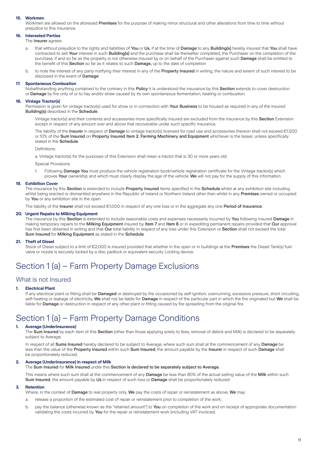#### **15. Workmen**

Workmen are allowed on the aforesaid Premises for the purpose of making minor structural and other alterations from time to time without prejudice to this insurance.

## **16. Interested Parties**

The **Insurer** agrees:

- a. that without prejudice to the rights and liabilities of You or Us, if at the time of Damage to any Building(s) hereby insured that You shall have contracted to sell Your interest in such Building(s) and the purchase shall be thereafter completed, the Purchaser on the completion of the purchase, if and so far as the property is not otherwise insured by or on behalf of the Purchaser against such Damage shall be entitled to the benefit of this Section so far as it relates to such Damage, up to the date of completion
- b. to note the interest of any party notifying their interest in any of the Property Insured in writing, the nature and extent of such interest to be disclosed in the event of Damage.

#### **17. Spontaneous Combustion**

Notwithstanding anything contained to the contrary in this Policy it is understood the insurance by this Section extends to cover destruction or Damage by fire only of or to hay and/or straw caused by its own spontaneous fermentation, heating or combustion.

#### **18. Vintage Tractor(s)**

Permission is given for vintage tractor(s) used for show or in connection with Your Business to be housed as required in any of the insured Building(s) described in the Schedule.

Vintage tractor(s) and their contents and accessories more specifically insured are excluded from the insurance by this Section Extension except in respect of any amount over and above that recoverable under such specific insurance.

The liability of the Insurer in respect of Damage to vintage tractor(s) licensed for road use and accessories thereon shall not exceed €1,500 or 10% of the Sum Insured on Property Insured Item 2. Farming Machinery and Equipment whichever is the lesser, unless specifically stated in the Schedule.

Definitions:

a. Vintage tractor(s) for the purposes of this Extension shall mean a tractor that is 30 or more years old.

Special Provisions:

1. Following Damage You must produce the vehicle registration book/vehicle registration certificate for the Vintage tractor(s) which proves Your ownership and which must clearly display the age of the vehicle. We will not pay for the supply of this information.

#### **19. Exhibition Cover**

The insurance by this Section is extended to include Property Insured Items specified in the Schedule whilst at any exhibition site including whilst being erected or dismantled anywhere in the Republic of Ireland or Northern Ireland other than whilst in any Premises owned or occupied by You or any exhibition site in the open.

The liability of the Insurer shall not exceed €1,000 in respect of any one loss or in the aggregate any one Period of Insurance.

#### **20. Urgent Repairs to Milking Equipment**

The insurance by this Section is extended to include reasonable costs and expenses necessarily incurred by You following insured Damage in making temporary repairs to the Milking Equipment insured by Item 7 and Item 8 or in expediting permanent repairs provided that Our approval has first been obtained in writing and that Our total liability in respect of any loss under this Extension or Section shall not exceed the total Sum Insured for Milking Equipment as stated in the Schedule.

#### **21. Theft of Diesel**

Stock of Diesel subject to a limit of €2,000 is insured provided that whether in the open or in buildings at the Premises the Diesel Tank(s) fuel valve or nozzle is securely locked by a disc padlock or equivalent security Locking device.

# Section 1 (a) – Farm Property Damage Exclusions

## What is not Insured

#### **1. Electrical Plant**

If any electrical plant or fitting shall be Damaged or destroyed by fire occasioned by self-ignition, overrunning, excessive pressure, short circuiting, self-heating or leakage of electricity, We shall not be liable for Damage in respect of the particular part in which the fire originated but We shall be liable for **Damage** or destruction in respect of any other plant or fitting caused by fire spreading from the original fire.

## Section 1 (a) – Farm Property Damage Conditions

#### **1. Average (Underinsurance)**

The Sum Insured by each Item of this Section (other than those applying solely to fees, removal of debris and Milk) is declared to be separately subject to Average.

In respect of all Sums Insured hereby declared to be subject to Average, where such sum shall at the commencement of any Damage be less than the value of the Property Insured within such Sum Insured, the amount payable by the Insurer in respect of such Damage shall be proportionately reduced.

#### **2. Average (Underinsurance) in respect of Milk**

The Sum Insured for Milk Insured under this Section is declared to be separately subject to Average.

This means where such sum shall at the commencement of any Damage be less than 80% of the actual selling value of the Milk within such Sum Insured, the amount payable by Us in respect of such loss or Damage shall be proportionately reduced.

#### **3. Retention**

Where, in the context of Damage to real property only, We pay the costs of repair or reinstatement as above, We may:

- a. release a proportion of the estimated cost of repair or reinstatement prior to completion of the work;
- b. pay the balance (otherwise known as the "retained amount") to You on completion of the work and on receipt of appropriate documentation validating the costs incurred by You for the repair or reinstatement work (including VAT invoices).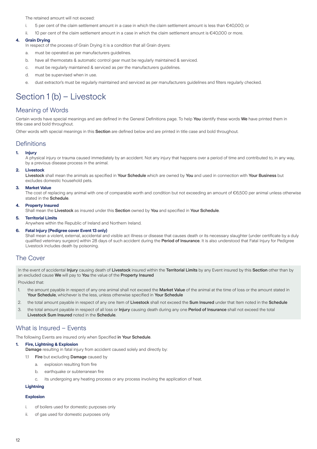The retained amount will not exceed:

- i. 5 per cent of the claim settlement amount in a case in which the claim settlement amount is less than €40,000; or
- ii. 10 per cent of the claim settlement amount in a case in which the claim settlement amount is €40,000 or more.

## **4. Grain Drying**

- In respect of the process of Grain Drving it is a condition that all Grain drvers:
- a. must be operated as per manufacturers guidelines.
- b. have all thermostats & automatic control gear must be regularly maintained & serviced.
- c. must be regularly maintained & serviced as per the manufacturers guidelines.
- d. must be supervised when in use.
- e. dust extractor's must be regularly maintained and serviced as per manufacturers guidelines and filters regularly checked.

# Section 1 (b) – Livestock

## Meaning of Words

Certain words have special meanings and are defined in the General Definitions page. To help You identify these words We have printed them in title case and bold throughout.

Other words with special meanings in this Section are defined below and are printed in title case and bold throughout.

## **Definitions**

### **1. Injury**

A physical injury or trauma caused immediately by an accident. Not any injury that happens over a period of time and contributed to, in any way, by a previous disease process in the animal.

#### **2. Livestock**

Livestock shall mean the animals as specified in Your Schedule which are owned by You and used in connection with Your Business but excludes domestic household pets.

#### **3. Market Value**

The cost of replacing any animal with one of comparable worth and condition but not exceeding an amount of €6,500 per animal unless otherwise stated in the Schedule.

#### **4. Property Insured**

Shall mean the Livestock as insured under this Section owned by You and specified in Your Schedule.

#### **5. Territorial Limits**

Anywhere within the Republic of Ireland and Northern Ireland.

#### **6. Fatal Injury (Pedigree cover Event 13 only)**

Shall mean a violent, external, accidental and visible act illness or disease that causes death or its necessary slaughter (under certificate by a duly qualified veterinary surgeon) within 28 days of such accident during the Period of Insurance. It is also understood that Fatal Injury for Pedigree Livestock includes death by poisoning.

## The Cover

In the event of accidental Injury causing death of Livestock insured within the Territorial Limits by any Event insured by this Section other than by an excluded cause We will pay to You the value of the Property Insured

Provided that:

- 1. the amount payable in respect of any one animal shall not exceed the Market Value of the animal at the time of loss or the amount stated in Your Schedule, whichever is the less, unless otherwise specified in Your Schedule
- 2. the total amount payable in respect of any one Item of Livestock shall not exceed the Sum Insured under that Item noted in the Schedule
- 3. the total amount payable in respect of all loss or Injury causing death during any one Period of Insurance shall not exceed the total Livestock Sum Insured noted in the Schedule.

## What is Insured – Events

The following Events are insured only when Specified in Your Schedule.

### **1. Fire, Lightning & Explosion**

Damage resulting in fatal injury from accident caused solely and directly by:

- 1.1 Fire but excluding Damage caused by
	- a. explosion resulting from fire
	- b. earthquake or subterranean fire
	- c. its undergoing any heating process or any process involving the application of heat.

### **Lightning**

#### **Explosion**

- i. of boilers used for domestic purposes only
- ii. of gas used for domestic purposes only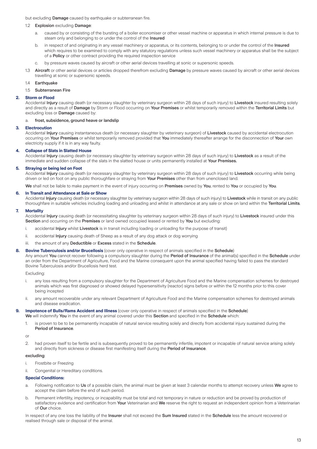but excluding **Damage** caused by earthquake or subterranean fire.

#### 1.2 Explosion excluding Damage:

- a. caused by or consisting of the bursting of a boiler economiser or other vessel machine or apparatus in which internal pressure is due to steam only and belonging to or under the control of the Insured
- b. in respect of and originating in any vessel machinery or apparatus, or its contents, belonging to or under the control of the Insured which requires to be examined to comply with any statutory regulations unless such vessel machinery or apparatus shall be the subject of a Policy or other contract providing the required inspection service
- c. by pressure waves caused by aircraft or other aerial devices travelling at sonic or supersonic speeds.

1.3 Aircraft or other aerial devices or articles dropped therefrom excluding Damage by pressure waves caused by aircraft or other aerial devices travelling at sonic or supersonic speeds.

1.4 Earthquake

1.5 Subterranean Fire

#### **2. Storm or Flood**

Accidental Injury causing death (or necessary slaughter by veterinary surgeon within 28 days of such injury) to Livestock insured resulting solely and directly as a result of Damage by Storm or Flood occurring on Your Premises or whilst temporarily removed within the Territorial Limits but excluding loss or Damage caused by:

#### a. frost, subsidence, ground heave or landslip

#### **3. Electrocution**

Accidental Injury causing instantaneous death (or necessary slaughter by veterinary surgeon) of Livestock caused by accidental electrocution occurring on Your Premises or whilst temporarily removed provided that You immediately thereafter arrange for the disconnection of Your own electricity supply if it is in any way faulty.

#### **4. Collapse of Slats in Slatted House**

Accidental Injury causing death (or necessary slaughter by veterinary surgeon within 28 days of such injury) to Livestock as a result of the immediate and sudden collapse of the slats in the slatted house or units permanently installed at Your Premises.

#### **5. Straying or being led on Foot**

Accidental Injury causing death (or necessary slaughter by veterinary surgeon within 28 days of such injury) to Livestock occurring while being driven or led on foot on any public thoroughfare or straying from Your Premises other than from unenclosed land.

We shall not be liable to make payment in the event of injury occurring on Premises owned by You, rented to You or occupied by You.

#### **6. In Transit and Attendance at Sale or Show**

Accidental Injury causing death (or necessary slaughter by veterinary surgeon within 28 days of such injury) to Livestock while in transit on any public thoroughfare in suitable vehicles including loading and unloading and whilst in attendance at any sale or show on land within the Territorial Limits.

#### **7. Mortality**

Accidental Injury causing death (or necessitating slaughter by veterinary surgeon within 28 days of such injury) to Livestock insured under this Section and occurring on the Premises or land owned occupied leased or rented by You but excluding:

- i. accidental Injury whilst Livestock is in transit including loading or unloading for the purpose of transit)
- ii. accidental Injury causing death of Sheep as a result of any dog attack or dog worrying
- iii. the amount of any Deductible or Excess stated in the Schedule.

#### **8. Bovine Tuberculosis and/or Brucellosis** (cover only operative in respect of animals specified in the Schedule)

Any amount You cannot recover following a compulsory slaughter during the Period of Insurance of the animal(s) specified in the Schedule under an order from the Department of Agriculture, Food and the Marine consequent upon the animal specified having failed to pass the standard Bovine Tuberculosis and/or Brucellosis herd test.

Excluding:

- i. any loss resulting from a compulsory slaughter for the Department of Agriculture Food and the Marine compensation schemes for destroyed animals which was first diagnosed or showed delayed hypersensitivity (reactor) signs before or within the 12 months prior to this cover being incepted
- ii. any amount recoverable under any relevant Department of Agriculture Food and the Marine compensation schemes for destroyed animals and disease eradication.

#### 9. **Impotence of Bulls/Rams Accident and Illness** (cover only operative in respect of animals specified in the Schedule) We will indemnify You in the event of any animal covered under this Section and specified in the Schedule which:

1. is proven to be to be permanently incapable of natural service resulting solely and directly from accidental injury sustained during the Period of Insurance.

or

2. had proven itself to be fertile and is subsequently proved to be permanently infertile, impotent or incapable of natural service arising solely and directly from sickness or disease first manifesting itself during the Period of Insurance.

#### excluding:

- i. Frostbite or Freezing
- ii. Congenital or Hereditary conditions.

#### **Special Conditions:**

- a. Following notification to Us of a possible claim, the animal must be given at least 3 calendar months to attempt recovery unless We agree to accept the claim before the end of such period.
- b. Permanent infertility, impotency, or incapability must be total and not temporary in nature or reduction and be proved by production of satisfactory evidence and certification from Your Veterinarian and We reserve the right to request an independent opinion from a Veterinarian of Our choice.

In respect of any one loss the liability of the Insurer shall not exceed the Sum Insured stated in the Schedule less the amount recovered or realised through sale or disposal of the animal.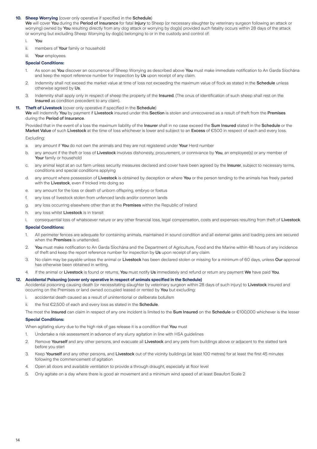#### **10. Sheep Worrying** (cover only operative if specified in the Schedule)

We will cover You during the Period of Insurance for fatal Injury to Sheep (or necessary slaughter by veterinary surgeon following an attack or worrying) owned by You resulting directly from any dog attack or worrying by dog(s) provided such fatality occurs within 28 days of the attack or worrying but excluding Sheep Worrying by dog(s) belonging to or in the custody and control of:

### i. You

- ii. members of Your family or household
- iii. Your employees.

#### **Special Conditions:**

- 1. As soon as You discover an occurrence of Sheep Worrying as described above You must make immediate notification to An Garda Síochána and keep the report reference number for inspection by Us upon receipt of any claim.
- 2. Indemnity shall not exceed the market value at time of loss not exceeding the maximum value of flock as stated in the Schedule unless otherwise agreed by Us.
- 3. Indemnity shall apply only in respect of sheep the property of the Insured. (The onus of identification of such sheep shall rest on the Insured as condition precedent to any claim).

#### **11. Theft of Livestock** (cover only operative if specified in the Schedule)

We will indemnify You by payment if Livestock insured under this Section is stolen and unrecovered as a result of theft from the Premises during the Period of Insurance.

Provided that in the event of a loss the maximum liability of the Insurer shall in no case exceed the Sum Insured stated in the Schedule or the Market Value of such Livestock at the time of loss whichever is lower and subject to an Excess of €500 in respect of each and every loss.

## Excluding:

- a. any amount if You do not own the animals and they are not registered under Your Herd number
- b. any amount if the theft or loss of Livestock involves dishonesty, procurement, or connivance by You, an employee(s) or any member of Your family or household
- c. any animal kept at an out farm unless security measures declared and cover have been agreed by the Insurer, subject to necessary terms, conditions and special conditions applying
- d. any amount where possession of Livestock is obtained by deception or where You or the person tending to the animals has freely parted with the Livestock, even if tricked into doing so
- e. any amount for the loss or death of unborn offspring, embryo or foetus
- f. any loss of livestock stolen from unfenced lands and/or common lands
- g. any loss occurring elsewhere other than at the Premises within the Republic of Ireland
- h. any loss whilst Livestock is in transit
- i. consequential loss of whatsoever nature or any other financial loss, legal compensation, costs and expenses resulting from theft of Livestock.

#### **Special Conditions:**

- All perimeter fences are adequate for containing animals, maintained in sound condition and all external gates and loading pens are secured when the **Premises** is unattended.
- 2. You must make notification to An Garda Síochána and the Department of Agriculture, Food and the Marine within 48 hours of any incidence of theft and keep the report reference number for inspection by Us upon receipt of any claim.
- 3. No claim may be payable unless the animal or Livestock has been declared stolen or missing for a minimum of 60 days, unless Our approval has otherwise been obtained in writing.
- If the animal or Livestock is found or returns, You must notify Us immediately and refund or return any payment We have paid You.

#### **12. Accidental Poisoning (cover only operative in respect of animals specified in the Schedule)**

Accidental poisoning causing death (or necessitating slaughter by veterinary surgeon within 28 days of such injury) to Livestock insured and occurring on the Premises or land owned occupied leased or rented by You but excluding:

- i. accidental death caused as a result of unintentional or deliberate botulism
- ii. the first  $E2,500$  of each and every loss as stated in the **Schedule**.

The most the Insured can claim in respect of any one incident is limited to the Sum Insured on the Schedule or  $€100,000$  whichever is the lesser

#### **Special Conditions:**

When agitating slurry due to the high risk of gas release it is a condition that You must

- 1. Undertake a risk assessment in advance of any slurry agitation in line with HSA guidelines
- 2. Remove Yourself and any other persons, and evacuate all Livestock and any pets from buildings above or adjacent to the slatted tank before you start
- 3. Keep Yourself and any other persons, and Livestock out of the vicinity buildings (at least 100 metres) for at least the first 45 minutes following the commencement of agitation
- 4. Open all doors and available ventilation to provide a through draught, especially at floor level
- 5. Only agitate on a day where there is good air movement and a minimum wind speed of at least Beaufort Scale 2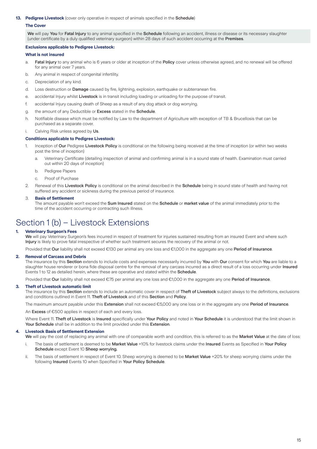#### **13. Pedigree Livestock** (cover only operative in respect of animals specified in the Schedule)

### **The Cover**

We will pay You for Fatal Injury to any animal specified in the Schedule following an accident, illness or disease or its necessary slaughter (under certificate by a duly qualified veterinary surgeon) within 28 days of such accident occurring at the Premises.

#### **Exclusions applicable to Pedigree Livestock:**

**What is not insured**

- a. Fatal Injury to any animal who is 6 years or older at inception of the Policy cover unless otherwise agreed, and no renewal will be offered for any animal over 7 years.
- b. Any animal in respect of congenital infertility.
- c. Depreciation of any kind.
- d. Loss destruction or Damage caused by fire, lightning, explosion, earthquake or subterranean fire.
- e. accidental Injury whilst Livestock is in transit including loading or unloading for the purpose of transit.
- f. accidental Injury causing death of Sheep as a result of any dog attack or dog worrying.
- g. the amount of any Deductible or Excess stated in the Schedule.
- h. Notifiable disease which must be notified by Law to the department of Agriculture with exception of TB & Brucellosis that can be purchased as a separate cover.

i. Calving Risk unless agreed by Us.

#### **Conditions applicable to Pedigree Livestock:**

- 1. Inception of Our Pedigree Livestock Policy is conditional on the following being received at the time of inception (or within two weeks post the time of inception)
	- a. Veterinary Certificate (detailing inspection of animal and confirming animal is in a sound state of health. Examination must carried out within 20 days of inception)
	- b. Pedigree Papers
	- c. Proof of Purchase
- 2. Renewal of this Livestock Policy is conditional on the animal described in the Schedule being in sound state of health and having not suffered any accident or sickness during the previous period of insurance.

#### 3. **Basis of Settlement**

The amount payable won't exceed the Sum Insured stated on the Schedule or market value of the animal immediately prior to the time of the accident occurring or contracting such illness.

## Section 1 (b) – Livestock Extensions

#### **1. Veterinary Surgeon's Fees**

We will pay Veterinary Surgeon's fees incurred in respect of treatment for injuries sustained resulting from an insured Event and where such Injury is likely to prove fatal irrespective of whether such treatment secures the recovery of the animal or not.

Provided that Our liability shall not exceed €130 per animal any one loss and €1,000 in the aggregate any one Period of Insurance.

#### **2. Removal of Carcass and Debris**

The insurance by this Section extends to include costs and expenses necessarily incurred by You with Our consent for which You are liable to a slaughter house renderer or bona fide disposal centre for the removal of any carcass incurred as a direct result of a loss occurring under Insured Events 1 to 12 as detailed herein, where these are operative and stated within the **Schedule** 

Provided that Our liability shall not exceed €75 per animal any one loss and €1,000 in the aggregate any one Period of Insurance.

#### **3. Theft of Livestock automatic limit**

The insurance by this Section extends to include an automatic cover in respect of Theft of Livestock subject always to the definitions, exclusions and conditions outlined in Event 11. Theft of Livestock and of this Section and Policy.

The maximum amount payable under this Extension shall not exceed €5,000 any one loss or in the aggregate any one Period of Insurance.

An **Excess** of €500 applies in respect of each and every loss.

Where Event 11. Theft of Livestock is Insured specifically under Your Policy and noted in Your Schedule it is understood that the limit shown in Your Schedule shall be in addition to the limit provided under this Extension.

#### **4. Livestock Basis of Settlement Extension**

We will pay the cost of replacing any animal with one of comparable worth and condition, this is referred to as the Market Value at the date of loss:

- The basis of settlement is deemed to be Market Value +10% for livestock claims under the Insured Events as Specified in Your Policy Schedule except Event 10 Sheep worrying.
- ii. The basis of settlement in respect of Event 10. Sheep worrying is deemed to be Market Value +20% for sheep worrying claims under the following Insured Events 10 when Specified in Your Policy Schedule.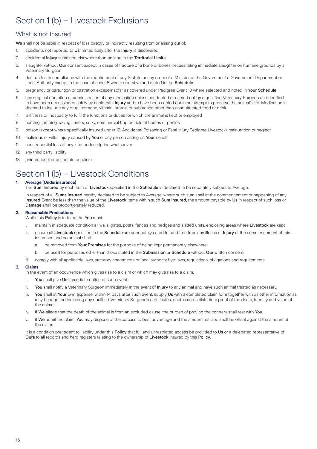# Section 1 (b) – Livestock Exclusions

## What is not Insured

We shall not be liable in respect of loss directly or indirectly resulting from or arising out of:

- 1. accidents not reported to Us immediately after the Injury is discovered
- 2. accidental Injury sustained elsewhere than on land in the Territorial Limits
- 3. slaughter without Our consent except in cases of fracture of a bone or bones necessitating immediate slaughter on humane grounds by a Veterinary Surgeon
- 4. destruction in compliance with the requirement of any Statute or any order of a Minister of the Government a Government Department or Local Authority except in the case of cover 8 where operative and stated in the Schedule
- 5. pregnancy or parturition or castration except insofar as covered under Pedigree Event 13 where selected and noted in Your Schedule
- 6. any surgical operation or administration of any medication unless conducted or carried out by a qualified Veterinary Surgeon and certified to have been necessitated solely by accidental Injury and to have been carried out in an attempt to preserve the animal's life. Medication is deemed to include any drug, hormone, vitamin, protein or substance other than unadulterated food or drink
- 7. unfitness or incapacity to fulfil the functions or duties for which the animal is kept or employed
- 8. hunting, jumping, racing, meets, sulky, commercial trap or trials of horses or ponies
- 9. poison (except where specifically insured under 12. Accidental Poisoning or Fatal Injury Pedigree Livestock), malnutrition or neglect
- 10. malicious or wilful injury caused by You or any person acting on Your behalf
- 11. consequential loss of any kind or description whatsoever
- 12. any third party liability
- 13. unintentional or deliberate botulism

# Section 1 (b) – Livestock Conditions

## **1. Average (Underinsurance)**

The Sum Insured by each Item of Livestock specified in the Schedule is declared to be separately subject to Average.

In respect of all Sums Insured hereby declared to be subject to Average, where such sum shall at the commencement or happening of any Insured Event be less than the value of the Livestock Items within such Sum Insured, the amount payable by Us in respect of such loss or Damage shall be proportionately reduced.

## **2. Reasonable Precautions**

While this **Policy** is in force the You must:

- i. maintain in adequate condition all walls, gates, posts, fences and hedges and slatted units, enclosing areas where Livestock are kept
- ii. ensure all Livestock specified in the Schedule are adequately cared for and free from any illness or Injury at the commencement of this insurance and no animal shall:
	- a. be removed from Your Premises for the purpose of being kept permanently elsewhere
	- b. be used for purposes other than those stated in the **Submission** or **Schedule** without Our written consent.
- iii. comply with all applicable laws, statutory enactments or local authority bye-laws, regulations, obligations and requirements.

#### **3. Claims**

In the event of an occurrence which gives rise to a claim or which may give rise to a claim.

- i. You shall give Us immediate notice of such event.
- ii. You shall notify a Veterinary Surgeon immediately in the event of Injury to any animal and have such animal treated as necessary.
- iii. You shall at Your own expense, within 14 days after such event, supply Us with a completed claim form together with all other information as may be required including any qualified Veterinary Surgeon's certificates, photos and satisfactory proof of the death, identity and value of the animal.
- iv. if We allege that the death of the animal is from an excluded cause, the burden of proving the contrary shall rest with You.
- v. if We admit the claim, You may dispose of the carcass to best advantage and the amount realised shall be offset against the amount of the claim.

It is a condition precedent to liability under this Policy that full and unrestricted access be provided to Us or a delegated representative of Ours to all records and herd registers relating to the ownership of Livestock insured by this Policy.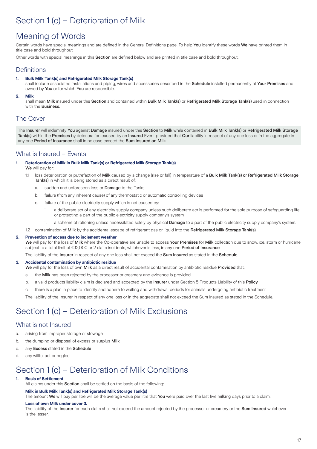# Section 1 (c) – Deterioration of Milk

## Meaning of Words

Certain words have special meanings and are defined in the General Definitions page. To help You identify these words We have printed them in title case and bold throughout.

Other words with special meanings in this **Section** are defined below and are printed in title case and bold throughout.

## **Definitions**

## **1. Bulk Milk Tank(s) and Refrigerated Milk Storage Tank(s)**

shall include associated installations and piping, wires and accessories described in the Schedule installed permanently at Your Premises and owned by You or for which You are responsible.

**2. Milk**

shall mean Milk insured under this Section and contained within Bulk Milk Tank(s) or Refrigerated Milk Storage Tank(s) used in connection with the Business.

## The Cover

The Insurer will indemnify You against Damage insured under this Section to Milk while contained in Bulk Milk Tank(s) or Refrigerated Milk Storage Tank(s) within the Premises by deterioration caused by an Insured Event provided that Our liability in respect of any one loss or in the aggregate in any one Period of Insurance shall in no case exceed the Sum Insured on Milk

## What is Insured – Events

#### **1. Deterioration of Milk in Bulk Milk Tank(s) or Refrigerated Milk Storage Tank(s)**

- We will pay for:
- 1.1 loss deterioration or putrefaction of Milk caused by a change (rise or fall) in temperature of a Bulk Milk Tank(s) or Refrigerated Milk Storage Tank(s) in which it is being stored as a direct result of:
	- a. sudden and unforeseen loss or **Damage** to the Tanks
	- b. failure (from any inherent cause) of any thermostatic or automatic controlling devices
	- c. failure of the public electricity supply which is not caused by:
		- i. a deliberate act of any electricity supply company unless such deliberate act is performed for the sole purpose of safeguarding life or protecting a part of the public electricity supply company's system
		- ii. a scheme of rationing unless necessitated solely by physical Damage to a part of the public electricity supply company's system.
- 1.2 contamination of Milk by the accidental escape of refrigerant gas or liquid into the Refrigerated Milk Storage Tank(s).

#### **2. Prevention of access due to inclement weather**

We will pay for the loss of Milk where the Co-operative are unable to access Your Premises for Milk collection due to snow, ice, storm or hurricane subject to a total limit of €12,000 or 2 claim incidents, whichever is less, in any one Period of Insurance

The liability of the Insurer in respect of any one loss shall not exceed the Sum Insured as stated in the Schedule.

#### **3. Accidental contamination by antibiotic residue**

- We will pay for the loss of own Milk as a direct result of accidental contamination by antibiotic residue Provided that:
- a. the Milk has been rejected by the processer or creamery and evidence is provided
- b. a valid products liability claim is declared and accepted by the Insurer under Section 5 Products Liability of this Policy
- c. there is a plan in place to identify and adhere to waiting and withdrawal periods for animals undergoing antibiotic treatment

The liability of the Insurer in respect of any one loss or in the aggregate shall not exceed the Sum Insured as stated in the Schedule.

# Section 1 (c) – Deterioration of Milk Exclusions

## What is not Insured

- a. arising from improper storage or stowage
- b. the dumping or disposal of excess or surplus Milk
- c. any Excess stated in the Schedule
- d. any willful act or neglect

## Section 1 (c) – Deterioration of Milk Conditions

### **1. Basis of Settlement**

All claims under this Section shall be settled on the basis of the following:

#### **Milk in Bulk Milk Tank(s) and Refrigerated Milk Storage Tank(s)**

The amount We will pay per litre will be the average value per litre that You were paid over the last five milking days prior to a claim.

#### **Loss of own Milk under cover 3.**

The liability of the Insurer for each claim shall not exceed the amount rejected by the processor or creamery or the Sum Insured whichever is the lesser.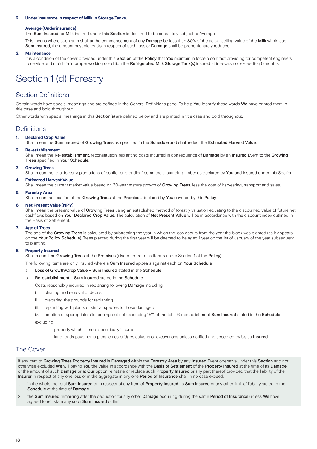#### **2. Under insurance in respect of Milk in Storage Tanks.**

#### **Average (Underinsurance)**

The Sum Insured for Milk insured under this Section is declared to be separately subject to Average.

This means where such sum shall at the commencement of any Damage be less than 80% of the actual selling value of the Milk within such Sum Insured, the amount payable by Us in respect of such loss or Damage shall be proportionately reduced.

#### **3. Maintenance**

It is a condition of the cover provided under this Section of the Policy that You maintain in force a contract providing for competent engineers to service and maintain in proper working condition the Refrigerated Milk Storage Tank(s) insured at intervals not exceeding 6 months.

# Section 1 (d) Forestry

## Section Definitions

Certain words have special meanings and are defined in the General Definitions page. To help You identify these words We have printed them in title case and bold throughout.

Other words with special meanings in this **Section(s)** are defined below and are printed in title case and bold throughout.

## **Definitions**

## **1. Declared Crop Value**

Shall mean the Sum Insured of Growing Trees as specified in the Schedule and shall reflect the Estimated Harvest Value.

#### **2. Re-establishment**

Shall mean the Re-establishment, reconstitution, replanting costs incurred in consequence of Damage by an Insured Event to the Growing Trees specified in Your Schedule.

#### **3. Growing Trees**

Shall mean the total forestry plantations of conifer or broadleaf commercial standing timber as declared by You and insured under this Section.

### **4. Estimated Harvest Value**

Shall mean the current market value based on 30-year mature growth of Growing Trees, less the cost of harvesting, transport and sales.

#### **5. Forestry Area**

Shall mean the location of the Growing Trees at the Premises declared by You covered by this Policy.

#### **6. Net Present Value (NPV)**

Shall mean the present value of Growing Trees using an established method of forestry valuation equating to the discounted value of future net cashflows based on Your Declared Crop Value. The calculation of Net Present Value will be in accordance with the discount index outlined in the Basis of Settlement.

#### **7. Age of Trees**

The age of the Growing Trees is calculated by subtracting the year in which the loss occurs from the year the block was planted (as it appears on the Your Policy Schedule). Trees planted during the first year will be deemed to be aged 1 year on the 1st of January of the year subsequent to planting.

#### **8. Property Insured**

Shall mean item Growing Trees at the Premises (also referred to as Item 5 under Section 1 of the Policy).

The following items are only insured where a Sum Insured appears against each on Your Schedule

#### a. Loss of Growth/Crop Value – Sum Insured stated in the Schedule

b. Re-establishment – Sum Insured stated in the Schedule

Costs reasonably incurred in replanting following Damage including:

- i. clearing and removal of debris
- ii. preparing the grounds for replanting
- iii. replanting with plants of similar species to those damaged
- iv. erection of appropriate site fencing but not exceeding 15% of the total Re-establishment Sum Insured stated in the Schedule excluding

- i. property which is more specifically insured
- ii. land roads pavements piers jetties bridges culverts or excavations unless notified and accepted by Us as Insured

## The Cover

If any Item of Growing Trees Property Insured is Damaged within the Forestry Area by any Insured Event operative under this Section and not otherwise excluded We will pay to You the value in accordance with the Basis of Settlement of the Property Insured at the time of its Damage or the amount of such Damage or at Our option reinstate or replace such Property Insured or any part thereof provided that the liability of the Insurer in respect of any one loss or in the aggregate in any one Period of Insurance shall in no case exceed:

- 1. in the whole the total Sum Insured or in respect of any Item of Property Insured its Sum Insured or any other limit of liability stated in the Schedule at the time of Damage
- 2. the Sum Insured remaining after the deduction for any other Damage occurring during the same Period of Insurance unless We have agreed to reinstate any such Sum Insured or limit.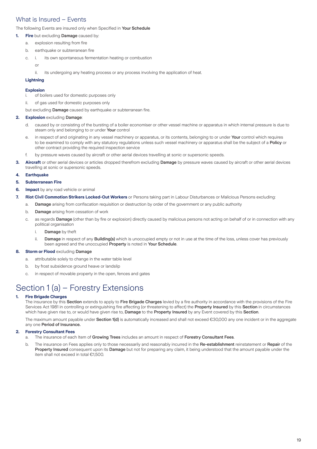## What is Insured – Events

The following Events are insured only when Specified in Your Schedule

- **1.** Fire but excluding **Damage** caused by:
	- a. explosion resulting from fire
	- b. earthquake or subterranean fire
	- c. i. its own spontaneous fermentation heating or combustion
		- or
		- ii. its undergoing any heating process or any process involving the application of heat.

## **Lightning**

## **Explosion**

- of boilers used for domestic purposes only
- ii. of gas used for domestic purposes only
- but excluding **Damage** caused by earthquake or subterranean fire.

## **2. Explosion** excluding Damage:

- d. caused by or consisting of the bursting of a boiler economiser or other vessel machine or apparatus in which internal pressure is due to steam only and belonging to or under Your control
- e. in respect of and originating in any vessel machinery or apparatus, or its contents, belonging to or under Your control which requires to be examined to comply with any statutory regulations unless such vessel machinery or apparatus shall be the subject of a Policy or other contract providing the required inspection service
- f. by pressure waves caused by aircraft or other aerial devices travelling at sonic or supersonic speeds.
- **3. Aircraft** or other aerial devices or articles dropped therefrom excluding Damage by pressure waves caused by aircraft or other aerial devices travelling at sonic or supersonic speeds.

### **4. Earthquake**

- **5. Subterranean Fire**
- **6. Impact** by any road vehicle or animal
- **7. Riot Civil Commotion Strikers Locked-Out Workers** or Persons taking part in Labour Disturbances or Malicious Persons excluding:
	- a. Damage arising from confiscation requisition or destruction by order of the government or any public authority
	- b. Damage arising from cessation of work
	- c. as regards Damage (other than by fire or explosion) directly caused by malicious persons not acting on behalf of or in connection with any political organisation
		- i. Damage by theft
		- ii. Damage in respect of any Building(s) which is unoccupied empty or not in use at the time of the loss, unless cover has previously been agreed and the unoccupied Property is noted in Your Schedule.

## **8. Storm or Flood** excluding Damage

- a. attributable solely to change in the water table level
- b. by frost subsidence ground heave or landslip
- c. in respect of movable property in the open, fences and gates

# Section 1 (a) – Forestry Extensions

## **1. Fire Brigade Charges**

The insurance by this Section extends to apply to Fire Brigade Charges levied by a fire authority in accordance with the provisions of the Fire Services Act 1981 in controlling or extinguishing fire affecting (or threatening to affect) the **Property Insured** by this **Section** in circumstances which have given rise to, or would have given rise to, Damage to the Property Insured by any Event covered by this Section.

The maximum amount payable under Section 1(d) is automatically increased and shall not exceed €30,000 any one incident or in the aggregate any one Period of Insurance.

## **2. Forestry Consultant Fees**

- a. The insurance of each Item of Growing Trees includes an amount in respect of Forestry Consultant Fees.
- b. The insurance on Fees applies only to those necessarily and reasonably incurred in the Re-establishment reinstatement or Repair of the Property Insured consequent upon its Damage but not for preparing any claim, it being understood that the amount payable under the item shall not exceed in total €1,500.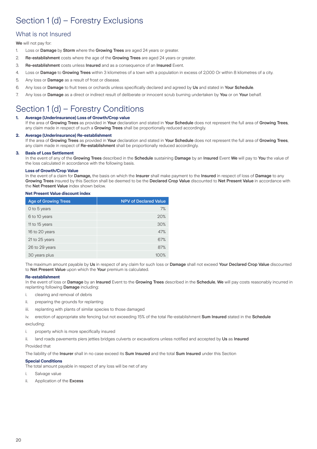# Section 1 (d) – Forestry Exclusions

## What is not Insured

We will not pay for:

- 1. Loss or Damage by Storm where the Growing Trees are aged 24 years or greater.
- 2. Re-establishment costs where the age of the Growing Trees are aged 24 years or greater.
- 3. Re-establishment costs unless Insured and as a consequence of an Insured Event.
- 4. Loss or Damage to Growing Trees within 3 kilometres of a town with a population in excess of 2,000 Or within 8 kilometres of a city.
- 5. Any loss or Damage as a result of frost or disease.
- 6. Any loss or Damage to fruit trees or orchards unless specifically declared and agreed by Us and stated in Your Schedule.
- 7. Any loss or Damage as a direct or indirect result of deliberate or innocent scrub burning undertaken by You or on Your behalf.

# Section 1 (d) – Forestry Conditions

## **1. Average (Underinsurance) Loss of Growth/Crop value**

If the area of Growing Trees as provided in Your declaration and stated in Your Schedule does not represent the full area of Growing Trees, any claim made in respect of such a Growing Trees shall be proportionally reduced accordingly.

### **2. Average (Underinsurance) Re-establishment**

If the area of Growing Trees as provided in Your declaration and stated in Your Schedule does not represent the full area of Growing Trees, any claim made in respect of Re-establishment shall be proportionally reduced accordingly.

### **3. Basis of Loss Settlement**

In the event of any of the Growing Trees described in the Schedule sustaining Damage by an Insured Event We will pay to You the value of the loss calculated in accordance with the following basis.

### **Loss of Growth/Crop Value**

In the event of a claim for Damage, the basis on which the Insurer shall make payment to the Insured in respect of loss of Damage to any Growing Trees insured by this Section shall be deemed to be the Declared Crop Value discounted to Net Present Value in accordance with the Net Present Value index shown below.

#### **Net Present Value discount index**

| <b>Age of Growing Trees</b> | <b>NPV of Declared Value</b> |
|-----------------------------|------------------------------|
| 0 to 5 years                | 7%                           |
| 6 to 10 years               | 20%                          |
| 11 to 15 years              | 30%                          |
| 16 to 20 years              | 47%                          |
| 21 to 25 years              | 67%                          |
| 26 to 29 years              | 87%                          |
| 30 years plus               |                              |

The maximum amount payable by Us in respect of any claim for such loss or Damage shall not exceed Your Declared Crop Value discounted to Net Present Value upon which the Your premium is calculated.

## **Re-establishment**

In the event of loss or Damage by an Insured Event to the Growing Trees described in the Schedule, We will pay costs reasonably incurred in replanting following Damage including:

- i. clearing and removal of debris
- ii. preparing the grounds for replanting
- iii. replanting with plants of similar species to those damaged

iv. erection of appropriate site fencing but not exceeding 15% of the total Re-establishment Sum Insured stated in the Schedule

excluding:

- i. property which is more specifically insured
- ii. land roads pavements piers jetties bridges culverts or excavations unless notified and accepted by Us as Insured

Provided that

The liability of the Insurer shall in no case exceed its Sum Insured and the total Sum Insured under this Section

## **Special Conditions**

The total amount payable in respect of any loss will be net of any

- i. Salvage value
- ii. Application of the Excess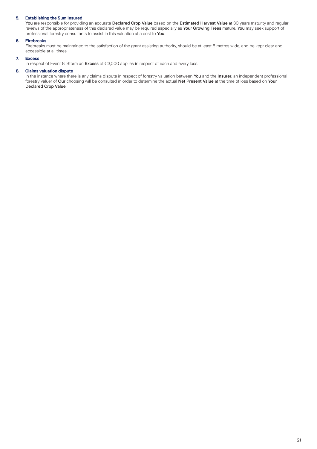## **5. Establishing the Sum Insured**

You are responsible for providing an accurate Declared Crop Value based on the Estimated Harvest Value at 30 years maturity and regular reviews of the appropriateness of this declared value may be required especially as Your Growing Trees mature. You may seek support of professional forestry consultants to assist in this valuation at a cost to You.

## **6. Firebreaks**

Firebreaks must be maintained to the satisfaction of the grant assisting authority, should be at least 6 metres wide, and be kept clear and accessible at all times.

## **7. Excess**

In respect of Event 8. Storm an Excess of €3,000 applies in respect of each and every loss.

### **8. Claims valuation dispute**

In the instance where there is any claims dispute in respect of forestry valuation between You and the Insurer, an independent professional forestry valuer of Our choosing will be consulted in order to determine the actual Net Present Value at the time of loss based on Your Declared Crop Value.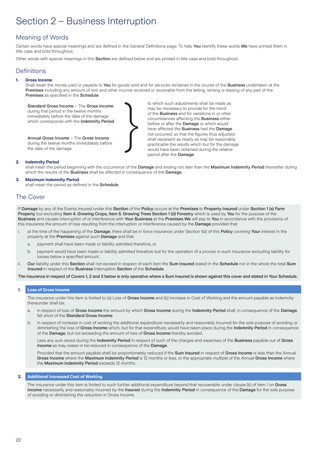# Section 2 – Business Interruption

## Meaning of Words

Certain words have special meanings and are defined in the General Definitions page. To help You identify these words We have printed them in title case and bold throughout.

Other words with special meanings in this Section are defined below and are printed in title case and bold throughout.

## **Definitions**

## **1. Gross Income**

Shall mean the money paid or payable to You for goods sold and for services rendered in the course of the Business undertaken at the Premises including any amount of rent and other income received or receivable from the letting, renting or leasing of any part of the Premises as specified in the Schedule.

Standard Gross Income – The Gross Income during that period in the twelve months immediately before the date of the damage which corresponds with the **Indemnity Period**. to which such adjustments shall be made as may be necessary to provide for the trend of the **Business** and for variations in or other circumstances affecting the Business either before or after the Damage or which would have affected the **Business** had the **Damage** not occurred, so that the figures thus adjusted shall represent as nearly as may be reasonably practicable the results which but for the damage would have been obtained during the relative period after the Damage.

Annual Gross Income – The Gross Income during the twelve months immediately before the date of the damage.

## **2. Indemnity Period**

shall mean the period beginning with the occurrence of the Damage and ending not later than the Maximum Indemnity Period thereafter during which the results of the Business shall be affected in consequence of the Damage.

#### **3. Maximum Indemnity Period**

shall mean the period as defined in the Schedule.

## The Cover

If Damage by any of the Events insured under this Section of the Policy occurs at the Premises to Property Insured under Section 1 (a) Farm Property but excluding Item 4. Growing Crops, Item 5. Growing Trees Section 1 (d) Forestry which is used by You for the purpose of the Business and causes interruption of or interference with Your Business at the Premises We will pay to You in accordance with the provisions of this insurance the amount of loss resulting from the interruption or interference caused by the Damage provided that:

- i. at the time of the happening of the Damage, there shall be in force insurance under Section 1(a) of this Policy covering Your interest in the property at the Premises against such Damage and that:
	- a. payment shall have been made or liability admitted therefore, or
	- b. payment would have been made or liability admitted therefore but for the operation of a proviso in such insurance excluding liability for losses below a specified amount.
- ii. Our liability under this Section shall not exceed in respect of each item the Sum Insured stated in the Schedule nor in the whole the total Sum Insured in respect of the Business Interruption Section of the Schedule.

The insurance in respect of Covers 1, 2 and 3 below is only operative where a Sum Insured is shown against this cover and stated in Your Schedule.

## **1. Loss of Gross Income**

The insurance under this item is limited to (a) Loss of Gross Income and (b) Increase in Cost of Working and the amount payable as indemnity thereunder shall be:

- a. in respect of loss of Gross Income the amount by which Gross Income during the Indemnity Period shall, in consequence of the Damage, fall short of the Standard Gross Income
- b. in respect of increase in cost of working the additional expenditure necessarily and reasonably incurred for the sole purpose of avoiding or diminishing the loss of Gross Income which, but for that expenditure, would have taken place during the Indemnity Period in consequence of the Damage, but not exceeding the amount of loss of Gross income thereby avoided.

Less any sum saved during the Indemnity Period in respect of such of the charges and expenses of the Business payable out of Gross Income as may cease or be reduced in consequence of the Damage.

Provided that the amount payable shall be proportionately reduced if the Sum Insured in respect of Gross Income is less than the Annual Gross Income where the Maximum Indemnity Period is 12 months or less, or the appropriate multiple of the Annual Gross Income where the Maximum Indemnity Period exceeds 12 months.

#### **2. Additional Increased Cost of Working**

The insurance under this item is limited to such further additional expenditure beyond that recoverable under clause (b) of item 1 on Gross Income necessarily and reasonably incurred by the Insured during the Indemnity Period in consequence of the Damage for the sole purpose of avoiding or diminishing the reduction in Gross Income.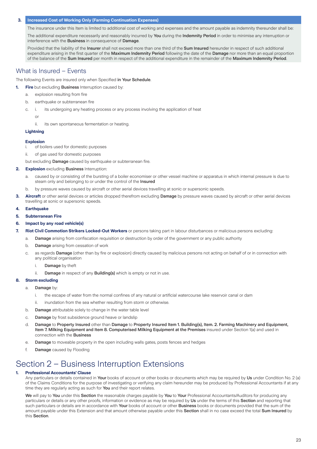#### **3. Increased Cost of Working Only (Farming Continuation Expenses)**

The insurance under this Item is limited to additional cost of working and expenses and the amount payable as indemnity thereunder shall be:

The additional expenditure necessarily and reasonably incurred by You during the Indemnity Period in order to minimise any interruption or interference with the Business in consequence of Damage.

Provided that the liability of the Insurer shall not exceed more than one third of the Sum Insured hereunder in respect of such additional expenditure arising in the first quarter of the Maximum Indemnity Period following the date of the Damage nor more than an equal proportion of the balance of the Sum Insured per month in respect of the additional expenditure in the remainder of the Maximum Indemnity Period.

## What is Insured – Events

The following Events are insured only when Specified in Your Schedule.

- **1. Fire** but excluding Business Interruption caused by:
	- a. explosion resulting from fire
	- b. earthquake or subterranean fire
	- c. i. its undergoing any heating process or any process involving the application of heat

or

ii. its own spontaneous fermentation or heating.

### **Lightning**

#### **Explosion**

- i. of boilers used for domestic purposes
- ii. of gas used for domestic purposes

but excluding **Damage** caused by earthquake or subterranean fire.

- **2. Explosion** excluding Business Interruption:
	- a. caused by or consisting of the bursting of a boiler economiser or other vessel machine or apparatus in which internal pressure is due to steam only and belonging to or under the control of the Insured
	- b. by pressure waves caused by aircraft or other aerial devices travelling at sonic or supersonic speeds.
- **3. Aircraft** or other aerial devices or articles dropped therefrom excluding Damage by pressure waves caused by aircraft or other aerial devices travelling at sonic or supersonic speeds.
- **4. Earthquake**
- **5. Subterranean Fire**

#### **6. Impact by any road vehicle(s)**

- **7. Riot Civil Commotion Strikers Locked-Out Workers** or persons taking part in labour disturbances or malicious persons excluding:
	- a. Damage arising from confiscation requisition or destruction by order of the government or any public authority
	- b. Damage arising from cessation of work
	- c. as regards Damage (other than by fire or explosion) directly caused by malicious persons not acting on behalf of or in connection with any political organisation
		- i. Damage by theft
		- ii. Damage in respect of any Building(s) which is empty or not in use.

## **8. Storm excluding**

- a. Damage by:
	- i. the escape of water from the normal confines of any natural or artificial watercourse lake reservoir canal or dam
	- ii. inundation from the sea whether resulting from storm or otherwise.
	- b. Damage attributable solely to change in the water table level
	- c. Damage by frost subsidence ground heave or landslip
	- d. Damage to Property Insured other than Damage to Property Insured Item 1. Building(s), Item. 2. Farming Machinery and Equipment, Item 7. Milking Equipment and Item 8. Computerised Milking Equipment at the Premises insured under Section 1(a) and used in connection with the Business
	- e. Damage to moveable property in the open including walls gates, posts fences and hedges
	- f. Damage caused by Flooding

# Section 2 – Business Interruption Extensions

#### **1. Professional Accountants' Clause**

Any particulars or details contained in Your books of account or other books or documents which may be required by Us under Condition No. 2 (a) of the Claims Conditions for the purpose of investigating or verifying any claim hereunder may be produced by Professional Accountants if at any time they are regularly acting as such for You and their report relates.

We will pay to You under this Section the reasonable charges payable by You to Your Professional Accountants/Auditors for producing any particulars or details or any other proofs, information or evidence as may be required by Us under the terms of this Section and reporting that such particulars or details are in accordance with Your books of account or other Business books or documents provided that the sum of the amount payable under this Extension and that amount otherwise payable under this Section shall in no case exceed the total Sum Insured by this Section.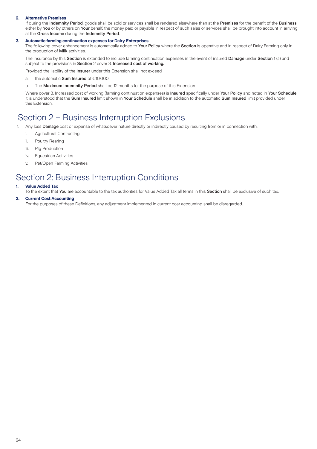### **2. Alternative Premises**

If during the Indemnity Period, goods shall be sold or services shall be rendered elsewhere than at the Premises for the benefit of the Business either by You or by others on Your behalf, the money paid or payable in respect of such sales or services shall be brought into account in arriving at the Gross Income during the Indemnity Period.

#### **3. Automatic farming continuation expenses for Dairy Enterprises**

The following cover enhancement is automatically added to Your Policy where the Section is operative and in respect of Dairy Farming only in the production of Milk activities.

The insurance by this Section is extended to include farming continuation expenses in the event of insured Damage under Section 1 (a) and subject to the provisions in Section 2 cover 3. Increased cost of working.

Provided the liability of the Insurer under this Extension shall not exceed

- a. the automatic Sum Insured of €10,000
- b. The Maximum Indemnity Period shall be 12 months for the purpose of this Extension

Where cover 3. Increased cost of working (farming continuation expenses) is Insured specifically under Your Policy and noted in Your Schedule it is understood that the Sum Insured limit shown in Your Schedule shall be in addition to the automatic Sum Insured limit provided under this Extension.

## Section 2 – Business Interruption Exclusions

- 1. Any loss Damage cost or expense of whatsoever nature directly or indirectly caused by resulting from or in connection with:
	- i. Agricultural Contracting
	- ii. Poultry Rearing
	- iii. Pig Production
	- iv. Equestrian Activities
	- v. Pet/Open Farming Activities

## Section 2: Business Interruption Conditions

#### **1. Value Added Tax**

To the extent that You are accountable to the tax authorities for Value Added Tax all terms in this Section shall be exclusive of such tax.

#### **2. Current Cost Accounting**

For the purposes of these Definitions, any adjustment implemented in current cost accounting shall be disregarded.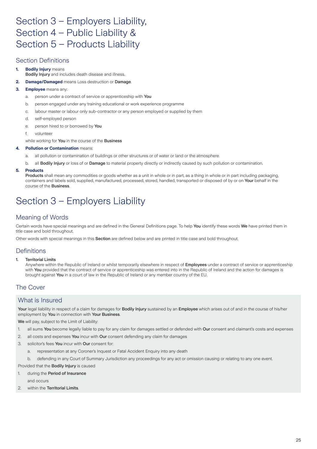# Section 3 – Employers Liability, Section 4 – Public Liability & Section 5 – Products Liability

## Section Definitions

## **1. Bodily Injury** means

- Bodily Injury and includes death disease and illness.
- **2. Damage/Damaged** means Loss destruction or Damage.

## **3. Employee** means any:

- a. person under a contract of service or apprenticeship with You
- b. person engaged under any training educational or work experience programme
- c. labour master or labour only sub-contractor or any person employed or supplied by them
- d. self-employed person
- e. person hired to or borrowed by You
- f. volunteer
- while working for You in the course of the **Business**

## **4. Pollution or Contamination** means:

- a. all pollution or contamination of buildings or other structures or of water or land or the atmosphere
- b. all Bodily Injury or loss of or Damage to material property directly or indirectly caused by such pollution or contamination.

## **5. Products**

Products shall mean any commodities or goods whether as a unit in whole or in part, as a thing in whole or in part including packaging, containers and labels sold, supplied, manufactured, processed, stored, handled, transported or disposed of by or on Your behalf in the course of the Business.

# Section 3 – Employers Liability

## Meaning of Words

Certain words have special meanings and are defined in the General Definitions page. To help You identify these words We have printed them in title case and bold throughout.

Other words with special meanings in this Section are defined below and are printed in title case and bold throughout.

## **Definitions**

## 1. Territorial Limits

Anywhere within the Republic of Ireland or whilst temporarily elsewhere in respect of Employees under a contract of service or apprenticeship with You provided that the contract of service or apprenticeship was entered into in the Republic of Ireland and the action for damages is brought against You in a court of law in the Republic of Ireland or any member country of the EU.

## The Cover

## What is Insured

Your legal liability in respect of a claim for damages for Bodily Injury sustained by an Employee which arises out of and in the course of his/her employment by You in connection with Your Business.

We will pay, subject to the Limit of Liability:

- 1. all sums You become legally liable to pay for any claim for damages settled or defended with Our consent and claimant's costs and expenses
- 2. all costs and expenses You incur with Our consent defending any claim for damages
- 3. solicitor's fees You incur with Our consent for:
	- a. representation at any Coroner's Inquest or Fatal Accident Enquiry into any death
	- b. defending in any Court of Summary Jurisdiction any proceedings for any act or omission causing or relating to any one event.

Provided that the Bodily Injury is caused

- 1. during the Period of Insurance and occurs
- 2 within the Territorial Limits.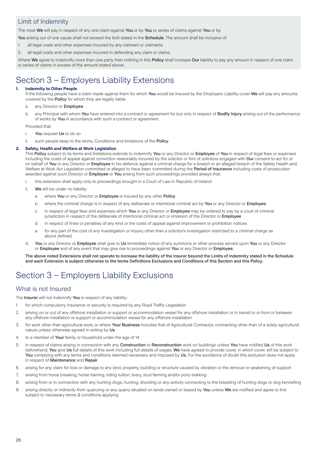## Limit of Indemnity

The most We will pay in respect of any one claim against You or by You or series of claims against You or by

You arising out of one cause shall not exceed the limit stated in the Schedule. The amount shall be inclusive of:

- 1. all legal costs and other expenses incurred by any claimant or claimants
- 2. all legal costs and other expenses incurred in defending any claim or claims.

Where We agree to indemnify more than one party then nothing in this Policy shall increase Our liability to pay any amount in respect of one claim or series of claims in excess of the amount stated above.

# Section 3 – Employers Liability Extensions

## **1. Indemnity to Other People**

If the following people have a claim made against them for which You would be insured by the Employers Liability cover We will pay any amounts covered by the Policy for which they are legally liable:

- a. any Director or **Employee**
- b. any Principal with whom You have entered into a contract or agreement for but only in respect of Bodily Injury arising out of the performance of works by **You** in accordance with such a contract or agreement.

Provided that:

- i. You request Us to do so
- ii. such people keep to the terms, Conditions and limitations of the Policy.

## **2. Safety, Health and Welfare at Work Legislation**

This Policy subject to its terms and limitations extends to indemnify You or any Director or Employee of You in respect of legal fees or expenses including the costs of appeal against conviction reasonably incurred by the solicitor or firm of solicitors engaged with Our consent to act for or on behalf of You or any Director or Employee in his defence against a criminal charge for a breach or an alleged breach of the Safety Health and Welfare at Work Act Legislation committed or alleged to have been committed during the Period of Insurance including costs of prosecution awarded against such Director or **Employee** or You arising from such proceedings provided always that:

- i. this extension shall apply only to proceedings brought in a Court of Law in Republic of Ireland
- ii. We will be under no liability:
	- a. where You or any Director or Employee is insured by any other Policy
	- b. where the criminal charge is in respect of any deliberate or intentional criminal act by You or any Director or Employee
	- c. in respect of legal fees and expenses which You or any Director or Employee may be ordered to pay by a court of criminal jurisdiction in respect of the deliberate of intentional criminal act or omission of the Director or Employee
	- d. in respect of fines or penalties of any kind or the costs of appeal against improvement or prohibition notices
	- e. for any part of the cost of any investigation or inquiry other than a solicitor's investigation restricted to a criminal charge as above defined.
- iii. You or any Director or Employee shall give to Us immediate notice of any summons or other process served upon You or any Director or Employee and of any event that may give rise to proceedings against You or any Director or Employee.

The above noted Extensions shall not operate to increase the liability of the Insurer beyond the Limits of Indemnity stated in the Schedule and each Extension is subject otherwise to the terms Definitions Exclusions and Conditions of this Section and this Policy.

# Section 3 – Employers Liability Exclusions

## What is not Insured

The **Insurer** will not indemnify **You** in respect of any liability:

- 1. for which compulsory Insurance or security is required by any Road Traffic Legislation
- 2. arising on or out of any offshore installation or support or accommodation vessel for any offshore installation or in transit to or from or between any offshore installation or support or accommodation vessel for any offshore installation
- 3. for work other than agricultural work, or where Your Business includes that of Agricultural Contractor, contracting other than of a solely agricultural nature unless otherwise agreed in writing by Us
- 4. to a member of Your family or household under the age of 14
- 5. in respect of claims arising in connection with any Construction or Reconstruction work on buildings unless You have notified Us of this work beforehand, You give Us full details of this work including full details of wages, We have agreed to provide cover, in which cover, will be subject to You complying with any terms and conditions deemed necessary and imposed by Us. For the avoidance of doubt this exclusion does not apply in respect of Maintenance and Repair
- 6. arising for any claim for loss or damage to any land, property, building or structure caused by vibration or the removal or weakening of support
- 7. arising from horse breaking, horse training, riding tuition, livery, stud farming and/or pony trekking
- 8. arising from or in connection with any hunting dogs, hunting, shooting or any activity connecting to the breeding of hunting dogs or dog kennelling
- 9. arising directly or indirectly from quarrying or any quarry situated on lands owned or leased by You unless We are notified and agree to this subject to necessary terms & conditions applying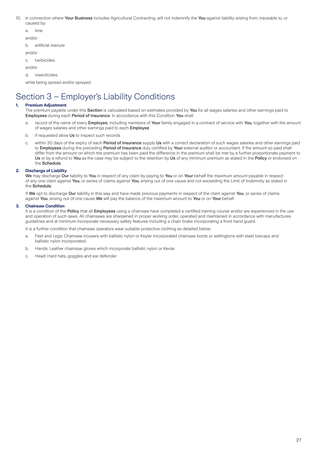- 10. in connection where Your Business includes Agricultural Contracting, will not indemnify the You against liability arising from, traceable to, or caused by:
	- a. lime and/or b. artificial manure and/or c. herbicides and/or d. insecticides while being spread and/or sprayed.

# Section 3 – Employer's Liability Conditions

## **1. Premium Adjustment**

The premium payable under this Section is calculated based on estimates provided by You for all wages salaries and other earnings paid to Employees during each Period of Insurance. In accordance with this Condition You shall:

- a. record of the name of every Employee, including members of Your family engaged in a contract of service with You, together with the amount of wages salaries and other earnings paid to each Employee
- b. if requested allow Us to inspect such records
- c. within 30 days of the expiry of each Period of Insurance supply Us with a correct declaration of such wages salaries and other earnings paid to Employees during the preceding Period of Insurance duly certified by Your external auditor or accountant. If the amount so paid shall differ from the amount on which the premium has been paid the difference in the premium shall be met by a further proportionate payment to Us or by a refund to You as the case may be subject to the retention by Us of any minimum premium as stated in the Policy or endorsed on the Schedule.

## **2. Discharge of Liability**

We may discharge Our liability to You in respect of any claim by paying to You or on Your behalf the maximum amount payable in respect of any one claim against You, or series of claims against You, arising out of one cause and not exceeding the Limit of Indemnity as stated in the Schedule.

If We opt to discharge Our liability in this way and have made previous payments in respect of the claim against You, or series of claims against You, arising out of one cause We will pay the balance of the maximum amount to You or on Your behalf.

### **3. Chainsaw Condition**

It is a condition of the Policy that all Employees using a chainsaw have completed a certified training course and/or are experienced in the use and operation of such saws. All chainsaws are sharpened in proper working order, operated and maintained in accordance with manufactures guidelines and at minimum incorporate necessary safety features including a chain brake incorporating a front hand guard.

It is a further condition that chainsaw operators wear suitable protective clothing as detailed below:

- a. Feet and Legs: Chainsaw trousers with ballistic nylon or Keylar incorporated chainsaw boots or wellingtons with steel toecaps and ballistic nylon incorporated.
- b. Hands: Leather chainsaw gloves which incorporate ballistic nylon or Kevlar
- c. Head: Hard hats, goggles and ear defender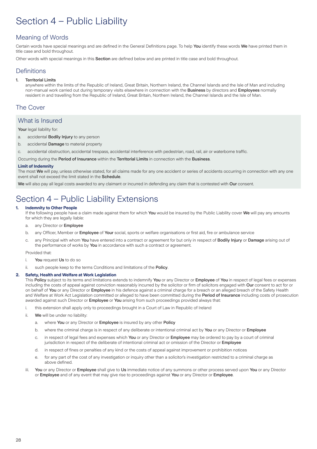# Section 4 – Public Liability

## Meaning of Words

Certain words have special meanings and are defined in the General Definitions page. To help You identify these words We have printed them in title case and bold throughout.

Other words with special meanings in this Section are defined below and are printed in title case and bold throughout.

## **Definitions**

## 1. Territorial Limits

anywhere within the limits of the Republic of Ireland, Great Britain, Northern Ireland, the Channel Islands and the Isle of Man and including non-manual work carried out during temporary visits elsewhere in connection with the Business by directors and Employees normally resident in and travelling from the Republic of Ireland, Great Britain, Northern Ireland, the Channel Islands and the Isle of Man.

## The Cover

## What is Insured

Your legal liability for:

- a. accidental **Bodily Injury** to any person
- b. accidental **Damage** to material property
- c. accidental obstruction, accidental trespass, accidental interference with pedestrian, road, rail, air or waterborne traffic.

Occurring during the Period of Insurance within the Territorial Limits in connection with the Business.

### **Limit of Indemnity**

The most We will pay, unless otherwise stated, for all claims made for any one accident or series of accidents occurring in connection with any one event shall not exceed the limit stated in the Schedule.

We will also pay all legal costs awarded to any claimant or incurred in defending any claim that is contested with Our consent.

# Section 4 – Public Liability Extensions

## **1. Indemnity to Other People**

If the following people have a claim made against them for which You would be insured by the Public Liability cover We will pay any amounts for which they are legally liable:

- a. any Director or Employee
- b. any Officer, Member or Employee of Your social, sports or welfare organisations or first aid, fire or ambulance service
- c. any Principal with whom You have entered into a contract or agreement for but only in respect of Bodily Injury or Damage arising out of the performance of works by You in accordance with such a contract or agreement.

Provided that:

- i. You request Us to do so
- ii. such people keep to the terms Conditions and limitations of the Policy.

## **2. Safety, Health and Welfare at Work Legislation**

This Policy subject to its terms and limitations extends to indemnify You or any Director or Employee of You in respect of legal fees or expenses including the costs of appeal against conviction reasonably incurred by the solicitor or firm of solicitors engaged with Our consent to act for or on behalf of You or any Director or Employee in his defence against a criminal charge for a breach or an alleged breach of the Safety Health and Welfare at Work Act Legislation committed or alleged to have been committed during the Period of Insurance including costs of prosecution awarded against such Director or **Employee** or You arising from such proceedings provided always that:

i. this extension shall apply only to proceedings brought in a Court of Law in Republic of Ireland

- ii. We will be under no liability:
	- a. where You or any Director or Employee is insured by any other Policy
	- b. where the criminal charge is in respect of any deliberate or intentional criminal act by You or any Director or Employee
	- c. in respect of legal fees and expenses which You or any Director or Employee may be ordered to pay by a court of criminal jurisdiction in respect of the deliberate of intentional criminal act or omission of the Director or **Employee**
	- d. in respect of fines or penalties of any kind or the costs of appeal against improvement or prohibition notices
	- e. for any part of the cost of any investigation or inquiry other than a solicitor's investigation restricted to a criminal charge as above defined.
- iii. You or any Director or Employee shall give to Us immediate notice of any summons or other process served upon You or any Director or Employee and of any event that may give rise to proceedings against You or any Director or Employee.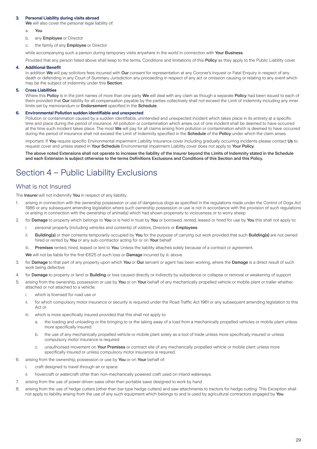## **3. Personal Liability during visits abroad**

We will also cover the personal legal liability of:

- a. You
- b. any **Employee** or Director
- c. the family of any **Employee** or Director

while accompanying such a person during temporary visits anywhere in the world in connection with Your Business.

Provided that any person listed above shall keep to the terms, Conditions and limitations of this Policy as they apply to the Public Liability cover.

#### **4. Additional Benefit**

In addition We will pay solicitors fees incurred with Our consent for representation at any Coroner's Inquest or Fatal Enquiry in respect of any death or defending in any Court of Summary Jurisdiction any proceeding in respect of any act or omission causing or relating to any event which may be the subject of indemnity under this Section.

#### **5. Cross Liabilities**

Where this Policy is in the joint names of more than one party We will deal with any claim as though a separate Policy had been issued to each of them provided that Our liability for all compensation payable by the parties collectively shall not exceed the Limit of Indemnity including any inner limits set by memorandum or Endorsement specified in the Schedule.

#### **6. Environmental Pollution sudden identifiable and unexpected**

Pollution or contamination caused by a sudden identifiable, unintended and unexpected incident which takes place in its entirety at a specific time and place during the period of insurance. All pollution or contamination which arises out of one incident shall be deemed to have occurred at the time such incident takes place. The most We will pay for all claims arising from pollution or contamination which is deemed to have occurred during the period of insurance shall not exceed the Limit of Indemnity specified in the Schedule of the Policy under which the claim arises.

Important: If You require specific Environmental impairment Liability Insurance cover including gradually occurring incidents please contact Us to request cover and unless stated in Your Schedule Environmental impairment Liability cover does not apply to Your Policy.

The above noted Extensions shall not operate to increase the liability of the Insurer beyond the Limits of Indemnity stated in the Schedule and each Extension is subject otherwise to the terms Definitions Exclusions and Conditions of this Section and this Policy.

# Section 4 – Public Liability Exclusions

## What is not Insured

The **Insurer** will not indemnify **You** in respect of any liability:

- 1. arising in connection with the ownership possession or use of dangerous dogs as specified in the regulations made under the Control of Dogs Act 1986 or any subsequent amending legislation where such ownership possession or use is not in accordance with the provision of such regulations or arising in connection with the ownership of animal(s) which had shown propensity to viciousness or to worry sheep
- 2. for Damage to property which belongs to You or is held in trust by You or borrowed, rented, leased or hired for use by You this shall not apply to:
	- i. personal property (including vehicles and contents) of visitors, Directors or **Employees**
	- ii. Building(s) or their contents temporarily occupied by You for the purpose of carrying out work provided that such Building(s) are not owned hired or rented by You or any sub-contractor acting for or on Your behalf
	- iii. Premises rented, hired, leased or lent to You. Unless the liability attaches solely because of a contract or agreement.

We will not be liable for the first €625 of such loss or **Damage** incurred by iii. above.

- 3. for Damage to that part of any property upon which You or Our servant or agent has been working, where the Damage is a direct result of such work being defective
- 4. for Damage to property or land or Building or loss caused directly or indirectly by subsidence or collapse or removal or weakening of support
- 5. arising from the ownership, possession or use by You or on Your behalf of any mechanically propelled vehicle or mobile plant or trailer whether attached or not attached to a vehicle:
	- i. which is licensed for road use or
	- ii. for which compulsory motor insurance or security is required under the Road Traffic Act 1961 or any subsequent amending legislation to this Act or
	- iii. which is more specifically insured provided that this shall not apply to:
		- a. the loading and unloading or the bringing to or the taking away of a load from a mechanically propelled vehicles or mobile plant unless more specifically insured
		- b. the use of any mechanically propelled vehicle or mobile plant solely as a tool of trade unless more specifically insured or unless compulsory motor insurance is required
		- c. unauthorised movement on Your Premises or contract site of any mechanically propelled vehicle or mobile plant unless more specifically insured or unless compulsory motor insurance is required.
- 6. arising from the ownership, possession or use by You or on Your behalf of:
	- i. craft designed to travel through air or space
	- ii. hovercraft or watercraft other than non-mechanically powered craft used on inland waterways.
- 7. arising from the use of power-driven saws other than portable saws designed to work by hand
- 8. arising from the use of hedge cutters (other than bar type hedge cutters) and saw attachments to tractors for hedge cutting. This Exception shall not apply to liability arising from the use of any such equipment which belongs to and is used by agricultural contractors engaged by You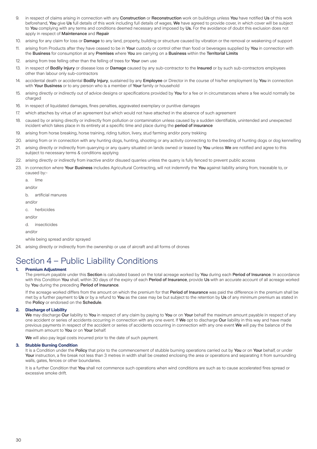- 9. in respect of claims arising in connection with any Construction or Reconstruction work on buildings unless You have notified Us of this work beforehand, You give Us full details of this work including full details of wages, We have agreed to provide cover, in which cover will be subject to You complying with any terms and conditions deemed necessary and imposed by Us. For the avoidance of doubt this exclusion does not apply in respect of Maintenance and Repair
- 10. arising for any claim for loss or Damage to any land, property, building or structure caused by vibration or the removal or weakening of support
- 11. arising from Products after they have ceased to be in Your custody or control other than food or beverages supplied by You in connection with the Business for consumption at any Premises where You are carrying on a Business within the Territorial Limits
- 12. arising from tree felling other than the felling of trees for Your own use
- 13. in respect of **Bodily Injury** or disease loss or **Damage** caused by any sub-contractor to the Insured or by such sub-contractors employees other than labour only sub-contractors
- 14. accidental death or accidental Bodily Injury, sustained by any Employee or Director in the course of his/her employment by You in connection with Your Business or to any person who is a member of Your family or household
- 15. arising directly or indirectly out of advice designs or specifications provided by You for a fee or in circumstances where a fee would normally be charged
- 16. in respect of liquidated damages, fines penalties, aggravated exemplary or punitive damages
- 17. which attaches by virtue of an agreement but which would not have attached in the absence of such agreement
- 18. caused by or arising directly or indirectly from pollution or contamination unless caused by a sudden identifiable, unintended and unexpected incident which takes place in its entirety at a specific time and place during the period of insurance
- 19. arising from horse breaking, horse training, riding tuition, livery, stud farming and/or pony trekking
- 20. arising from or in connection with any hunting dogs, hunting, shooting or any activity connecting to the breeding of hunting dogs or dog kennelling
- 21. arising directly or indirectly from quarrying or any quarry situated on lands owned or leased by You unless We are notified and agree to this subject to necessary terms & conditions applying
- 22. arising directly or indirectly from inactive and/or disused quarries unless the quarry is fully fenced to prevent public access
- 23. in connection where Your Business includes Agricultural Contracting, will not indemnify the You against liability arising from, traceable to, or caused by:
	- a. lime

and/or

b. artificial manures

and/or

c. herbicides

and/or

d. insecticides

and/or

while being spread and/or sprayed

24. arising directly or indirectly from the ownership or use of aircraft and all forms of drones

# Section 4 – Public Liability Conditions

### **1. Premium Adjustment**

The premium payable under this Section is calculated based on the total acreage worked by You during each Period of Insurance. In accordance with this Condition You shall, within 30 days of the expiry of each Period of Insurance, provide Us with an accurate account of all acreage worked by You during the preceding Period of Insurance.

If the acreage worked differs from the amount on which the premium for that Period of Insurance was paid the difference in the premium shall be met by a further payment to Us or by a refund to You as the case may be but subject to the retention by Us of any minimum premium as stated in the Policy or endorsed on the Schedule.

#### **2. Discharge of Liability**

We may discharge Our liability to You in respect of any claim by paying to You or on Your behalf the maximum amount payable in respect of any one accident or series of accidents occurring in connection with any one event. If We opt to discharge Our liability in this way and have made previous payments in respect of the accident or series of accidents occurring in connection with any one event We will pay the balance of the maximum amount to You or on Your behalf.

We will also pay legal costs incurred prior to the date of such payment.

#### **3. Stubble Burning Condition**

It is a Condition under the Policy that prior to the commencement of stubble burning operations carried out by You or on Your behalf, or under Your instruction, a fire break not less than 3 metres in width shall be created enclosing the area or operations and separating it from surrounding walls, gates, fences or other boundaries.

It is a further Condition that You shall not commence such operations when wind conditions are such as to cause accelerated fires spread or excessive smoke drift.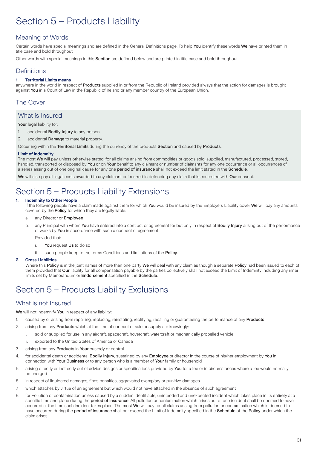# Section 5 – Products Liability

## Meaning of Words

Certain words have special meanings and are defined in the General Definitions page. To help You identify these words We have printed them in title case and bold throughout.

Other words with special meanings in this Section are defined below and are printed in title case and bold throughout.

## **Definitions**

## **1. Territorial Limits means**

anywhere in the world in respect of Products supplied in or from the Republic of Ireland provided always that the action for damages is brought against You in a Court of Law in the Republic of Ireland or any member country of the European Union.

## The Cover

## What is Insured

## Your legal liability for:

- 1. accidental Bodily Injury to any person
- 2. accidental Damage to material property.
- Occurring within the Territorial Limits during the currency of the products Section and caused by Products.

## **Limit of Indemnity**

The most We will pay unless otherwise stated, for all claims arising from commodities or goods sold, supplied, manufactured, processed, stored, handled, transported or disposed by You or on Your behalf to any claimant or number of claimants for any one occurrence or all occurrences of a series arising out of one original cause for any one **period of insurance** shall not exceed the limit stated in the **Schedule**.

We will also pay all legal costs awarded to any claimant or incurred in defending any claim that is contested with Our consent.

# Section 5 – Products Liability Extensions

## **1. Indemnity to Other People**

If the following people have a claim made against them for which You would be insured by the Employers Liability cover We will pay any amounts covered by the Policy for which they are legally liable:

- a. any Director or Employee
- b. any Principal with whom You have entered into a contract or agreement for but only in respect of **Bodily Injury** arising out of the performance of works by You in accordance with such a contract or agreement

Provided that:

- i. You request Us to do so
- ii. such people keep to the terms Conditions and limitations of the Policy.

## **2. Cross Liabilities**

Where this Policy is in the joint names of more than one party We will deal with any claim as though a separate Policy had been issued to each of them provided that Our liability for all compensation payable by the parties collectively shall not exceed the Limit of Indemnity including any inner limits set by Memorandum or Endorsement specified in the Schedule.

# Section 5 – Products Liability Exclusions

## What is not Insured

We will not indemnify You in respect of any liability:

- 1. caused by or arising from repairing, replacing, reinstating, rectifying, recalling or guaranteeing the performance of any Products
- 2. arising from any **Products** which at the time of contract of sale or supply are knowingly:
- i. sold or supplied for use in any aircraft, spacecraft, hovercraft, watercraft or mechanically propelled vehicle
	- ii. exported to the United States of America or Canada
- 3. arising from any **Products** in Your custody or control
- 4. for accidental death or accidental **Bodily Injury**, sustained by any **Employee** or director in the course of his/her employment by You in connection with Your Business or to any person who is a member of Your family or household
- 5. arising directly or indirectly out of advice designs or specifications provided by You for a fee or in circumstances where a fee would normally be charged
- 6. in respect of liquidated damages, fines penalties, aggravated exemplary or punitive damages
- 7. which attaches by virtue of an agreement but which would not have attached in the absence of such agreement
- 8. for Pollution or contamination unless caused by a sudden identifiable, unintended and unexpected incident which takes place in its entirety at a specific time and place during the **period of insurance**. All pollution or contamination which arises out of one incident shall be deemed to have occurred at the time such incident takes place. The most We will pay for all claims arising from pollution or contamination which is deemed to have occurred during the period of insurance shall not exceed the Limit of Indemnity specified in the Schedule of the Policy under which the claim arises.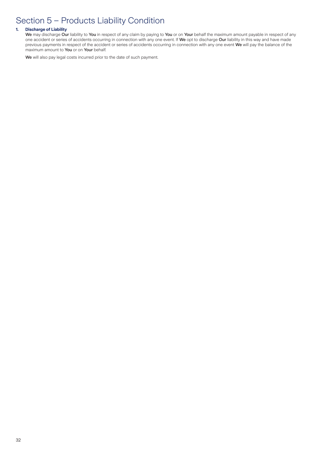# Section 5 – Products Liability Condition

## **1. Discharge of Liability**

We may discharge Our liability to You in respect of any claim by paying to You or on Your behalf the maximum amount payable in respect of any one accident or series of accidents occurring in connection with any one event. If We opt to discharge Our liability in this way and have made previous payments in respect of the accident or series of accidents occurring in connection with any one event We will pay the balance of the maximum amount to You or on Your behalf.

We will also pay legal costs incurred prior to the date of such payment.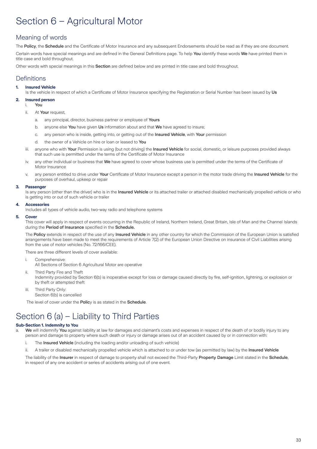# Section 6 – Agricultural Motor

## Meaning of words

The Policy, the Schedule and the Certificate of Motor Insurance and any subsequent Endorsements should be read as if they are one document. Certain words have special meanings and are defined in the General Definitions page. To help You identify these words We have printed them in title case and bold throughout.

Other words with special meanings in this **Section** are defined below and are printed in title case and bold throughout.

## **Definitions**

## **1. Insured Vehicle**

Is the vehicle in respect of which a Certificate of Motor Insurance specifying the Registration or Serial Number has been issued by Us

- **2. Insured person**
	- i. You
	- ii. At Your request,
		- a. any principal, director, business partner or employee of Yours
		- b. anyone else You have given Us information about and that We have agreed to insure;
		- c. any person who is inside, getting into, or getting out of the Insured Vehicle, with Your permission
		- d. the owner of a Vehicle on hire or loan or leased to You
	- iii. anyone who with Your Permission is using (but not driving) the Insured Vehicle for social, domestic, or leisure purposes provided always that such use is permitted under the terms of the Certificate of Motor Insurance
	- iv. any other individual or business that We have agreed to cover whose business use is permitted under the terms of the Certificate of Motor Insurance
	- v. any person entitled to drive under Your Certificate of Motor Insurance except a person in the motor trade driving the Insured Vehicle for the purposes of overhaul, upkeep or repair

### **3. Passenger**

Is any person (other than the driver) who is in the Insured Vehicle or its attached trailer or attached disabled mechanically propelled vehicle or who is getting into or out of such vehicle or trailer

#### **4. Accessories**

Includes all types of vehicle audio, two-way radio and telephone systems

#### **5. Cover**

This cover will apply in respect of events occurring in the Republic of Ireland, Northern Ireland, Great Britain, Isle of Man and the Channel Islands during the Period of Insurance specified in the Schedule.

The Policy extends in respect of the use of any Insured Vehicle in any other country for which the Commission of the European Union is satisfied arrangements have been made to meet the requirements of Article 7(2) of the European Union Directive on insurance of Civil Liabilities arising from the use of motor vehicles (No. 72/166/CEE).

There are three different levels of cover available:

- i. Comprehensive:
	- All Sections of Section 6 Agricultural Motor are operative
- ii. Third Party Fire and Theft

Indemnity provided by Section 6(b) is inoperative except for loss or damage caused directly by fire, self-ignition, lightning, or explosion or by theft or attempted theft

iii. Third Party Only:

Section 6(b) is cancelled

The level of cover under the Policy is as stated in the Schedule.

# Section 6 (a) – Liability to Third Parties

## **Sub-Section 1. Indemnity to You**

a. We will indemnify You against liability at law for damages and claimant's costs and expenses in respect of the death of or bodily injury to any person and damage to property where such death or injury or damage arises out of an accident caused by or in connection with:

- i. The Insured Vehicle (including the loading and/or unloading of such vehicle)
- ii. A trailer or disabled mechanically propelled vehicle which is attached to or under tow (as permitted by law) by the Insured Vehicle

The liability of the Insurer in respect of damage to property shall not exceed the Third-Party Property Damage Limit stated in the Schedule, in respect of any one accident or series of accidents arising out of one event.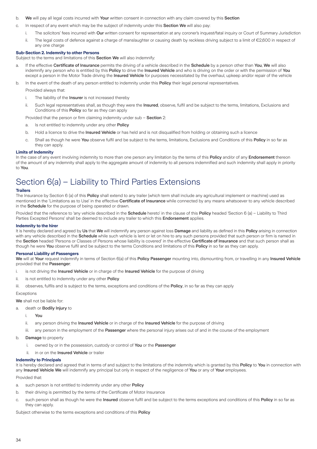- b. We will pay all legal costs incurred with Your written consent in connection with any claim covered by this Section
- c. In respect of any event which may be the subject of indemnity under this Section We will also pay:
	- i. The solicitors' fees incurred with Our written consent for representation at any coroner's inquest/fatal inquiry or Court of Summary Jurisdiction
	- ii. The legal costs of defence against a charge of manslaughter or causing death by reckless driving subject to a limit of €2,600 in respect of any one charge

### **Sub-Section 2. Indemnity to other Persons**

Subject to the terms and limitations of this Section We will also indemnify:

a. If the effective **Certificate of Insurance** permits the driving of a vehicle described in the **Schedule** by a person other than You, We will also indemnify any person who is entitled by this Policy to drive the Insured Vehicle and who is driving on the order or with the permission of You except a person in the Motor Trade driving the Insured Vehicle for purposes necessitated by the overhaul, upkeep and/or repair of the vehicle

b. In the event of the death of any person entitled to indemnity under this Policy their legal personal representatives

- Provided always that:
	- i. The liability of the Insurer is not increased thereby
	- ii. Such legal representatives shall, as though they were the Insured, observe, fulfil and be subject to the terms, limitations, Exclusions and Conditions of this Policy so far as they can apply

Provided that the person or firm claiming indemnity under sub – Section 2:

- a. Is not entitled to indemnity under any other Policy
- b. Hold a licence to drive the Insured Vehicle or has held and is not disqualified from holding or obtaining such a licence
- c. Shall as though he were You observe fulfil and be subject to the terms, limitations, Exclusions and Conditions of this Policy in so far as they can apply.

### **Limits of Indemnity**

In the case of any event involving indemnity to more than one person any limitation by the terms of this **Policy** and/or of any **Endorsement** thereon of the amount of any indemnity shall apply to the aggregate amount of indemnity to all persons indemnified and such indemnity shall apply in priority to You.

# Section 6(a) – Liability to Third Parties Extensions

### **Trailers**

The Insurance by Section 6 (a) of this Policy shall extend to any trailer (which term shall include any agricultural implement or machine) used as mentioned in the 'Limitations as to Use' in the effective **Certificate of Insurance** while connected by any means whatsoever to any vehicle described in the Schedule for the purpose of being operated or drawn.

Provided that the reference to 'any vehicle described in the Schedule hereto' in the clause of this Policy headed 'Section 6 (a) – Liability to Third Parties Excepted Persons' shall be deemed to include any trailer to which this Endorsement applies.

#### **Indemnity to the hirer**

It is hereby declared and agreed by Us that We will indemnify any person against loss Damage and liability as defined in this Policy arising in connection with any vehicle described in the Schedule while such vehicle is lent or let on hire to any such persons provided that such person or firm is named in the Section headed 'Persons or Classes of Persons whose liability is covered' in the effective Certificate of Insurance and that such person shall as though he were You observe fulfil and be subject to the terms Conditions and limitations of this Policy in so far as they can apply.

### **Personal Liability of Passengers**

We will at Your request indemnify in terms of Section 6(a) of this Policy Passenger mounting into, dismounting from, or travelling in any Insured Vehicle provided that the Passenger:

- i. is not driving the Insured Vehicle or in charge of the Insured Vehicle for the purpose of driving
- ii. is not entitled to indemnity under any other **Policy**
- iii. observes, fulfils and is subject to the terms, exceptions and conditions of the **Policy**, in so far as they can apply

#### Exceptions

We shall not be liable for:

#### a. death or **Bodily Injury** to

- i. You
- ii. any person driving the Insured Vehicle or in charge of the Insured Vehicle for the purpose of driving
- iii. any person in the employment of the **Passenger** where the personal injury arises out of and in the course of the employment
- b. Damage to property
	- i. owned by or in the possession, custody or control of You or the Passenger
	- ii. in or on the Insured Vehicle or trailer

#### **Indemnity to Principals**

It is hereby declared and agreed that in terms of and subject to the limitations of the indemnity which is granted by this Policy to You in connection with any Insured Vehicle We will indemnify any principal but only in respect of the negligence of You or any of Your employees.

Provided that:

- a. such person is not entitled to indemnity under any other Policy
- b. their driving is permitted by the terms of the Certificate of Motor Insurance
- c. such person shall as though he were the Insured observe fulfil and be subject to the terms exceptions and conditions of this Policy in so far as they can apply.

Subject otherwise to the terms exceptions and conditions of this Policy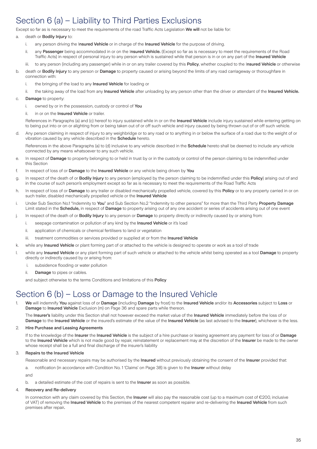# Section 6 (a) – Liability to Third Parties Exclusions

Except so far as is necessary to meet the requirements of the road Traffic Acts Legislation We will not be liable for:

## a. death or **Bodily Injury** to:

- i. any person driving the Insured Vehicle or in charge of the Insured Vehicle for the purpose of driving.
- ii. any Passenger being accommodated in or on the Insured Vehicle. (Except so far as is necessary to meet the requirements of the Road Traffic Acts) in respect of personal injury to any person which is sustained while that person is in or on any part of the Insured Vehicle
- iii. to any person (including any passenger) while in or on any trailer covered by this Policy, whether coupled to the Insured Vehicle or otherwise
- b. death or **Bodily Injury** to any person or **Damage** to property caused or arising beyond the limits of any road carriageway or thoroughfare in connection with:
	- i. the bringing of the load to any **Insured Vehicle** for loading or
	- ii. the taking away of the load from any Insured Vehicle after unloading by any person other than the driver or attendant of the Insured Vehicle.
- c. Damage to property:
	- i. owned by or in the possession, custody or control of You
	- ii. in or on the Insured Vehicle or trailer.

References in Paragraphs (a) and (c) hereof to injury sustained while in or on the Insured Vehicle include injury sustained while entering getting on to being put into or on or alighting from or being taken out of or off such vehicle and injury caused by being thrown out of or off such vehicle.

d. Any person claiming in respect of injury to any weighbridge or to any road or to anything in or below the surface of a road due to the weight of or vibration caused by any vehicle described in the Schedule hereto.

References in the above Paragraphs (a) to (d) inclusive to any vehicle described in the Schedule hereto shall be deemed to include any vehicle connected by any means whatsoever to any such vehicle.

- e. In respect of Damage to property belonging to or held in trust by or in the custody or control of the person claiming to be indemnified under this Section
- f. In respect of loss of or Damage to the Insured Vehicle or any vehicle being driven by You
- g. In respect of the death of or Bodily Injury to any person (employed by the person claiming to be indemnified under this Policy) arising out of and in the course of such person's employment except so far as is necessary to meet the requirements of the Road Traffic Acts
- h. In respect of loss of or Damage to any trailer or disabled mechanically propelled vehicle, covered by this Policy or to any property carried in or on such trailer, disabled mechanically propelled vehicle or the Insured Vehicle
- i. Under Sub Section No.1 "Indemnity to You" and Sub Section No.2 "Indemnity to other persons" for more than the Third Party Property Damage Limit stated in the Schedule, in respect of Damage to property arising out of any one accident or series of accidents arising out of one event
- j. In respect of the death of or Bodily Injury to any person or Damage to property directly or indirectly caused by or arising from:
	- i. seepage contamination or pollution of any kind by the Insured Vehicle or it's load
	- ii. application of chemicals or chemical fertilisers to land or vegetation
	- iii. treatment commodities or services provided or supplied at or from the Insured Vehicle
- k. while any **Insured Vehicle** or plant forming part of or attached to the vehicle is designed to operate or work as a tool of trade
- l. while any Insured Vehicle or any plant forming part of such vehicle or attached to the vehicle whilst being operated as a tool Damage to property directly or indirectly caused by or arising from:
	- i. subsidence flooding or water pollution
	- ii. **Damage** to pipes or cables.

and subject otherwise to the terms Conditions and limitations of this Policy

# Section 6 (b) – Loss or Damage to the Insured Vehicle

1. We will indemnify You against loss of or Damage (including Damage by frost) to the Insured Vehicle and/or its Accessories subject to Loss or Damage to Insured Vehicle Exclusion (m) on Page 36 and spare parts while thereon.

The Insurer's liability under this Section shall not however exceed the market value of the Insured Vehicle immediately before the loss of or Damage to the Insured Vehicle or the insured's estimate of the value of the Insured Vehicle (as last advised to the Insurer), whichever is the less.

## 2. Hire Purchase and Leasing Agreements

If to the knowledge of the Insurer the Insured Vehicle is the subject of a hire purchase or leasing agreement any payment for loss of or Damage to the Insured Vehicle which is not made good by repair, reinstatement or replacement may at the discretion of the Insurer be made to the owner whose receipt shall be a full and final discharge of the insurer's liability

## 3. Repairs to the Insured Vehicle

Reasonable and necessary repairs may be authorised by the Insured without previously obtaining the consent of the Insurer provided that:

a. notification (in accordance with Condition No. 1 'Claims' on Page 38) is given to the Insurer without delay

and

b. a detailed estimate of the cost of repairs is sent to the Insurer as soon as possible.

#### 4. Recovery and Re-delivery

In connection with any claim covered by this Section, the Insurer will also pay the reasonable cost (up to a maximum cost of  $\epsilon$ 200, inclusive of VAT) of removing the Insured Vehicle to the premises of the nearest competent repairer and re-delivering the Insured Vehicle from such premises after repair.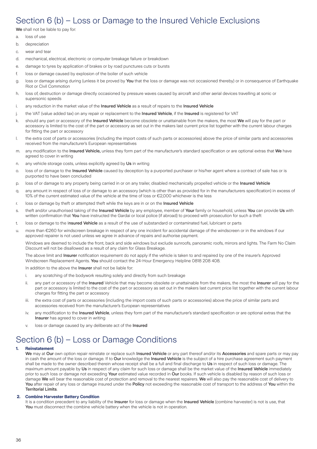## Section 6 (b) – Loss or Damage to the Insured Vehicle Exclusions

We shall not be liable to pay for:

- a. loss of use
- b. depreciation
- c. wear and tear
- d. mechanical, electrical, electronic or computer breakage failure or breakdown
- e. damage to tyres by application of brakes or by road punctures cuts or bursts
- f. loss or damage caused by explosion of the boiler of such vehicle
- g. loss or damage arising during (unless it be proved by You that the loss or damage was not occasioned thereby) or in consequence of Earthquake Riot or Civil Commotion
- h. loss of, destruction or damage directly occasioned by pressure waves caused by aircraft and other aerial devices travelling at sonic or supersonic speeds
- i. any reduction in the market value of the Insured Vehicle as a result of repairs to the Insured Vehicle
- j. the VAT (value added tax) on any repair or replacement to the Insured Vehicle, if the Insured is registered for VAT
- k. should any part or accessory of the Insured Vehicle become obsolete or unattainable from the makers, the most We will pay for the part or accessory is limited to the cost of the part or accessory as set out in the makers last current price list together with the current labour charges for fitting the part or accessory
- l. the extra cost of parts or accessories (including the import costs of such parts or accessories) above the price of similar parts and accessories received from the manufacturer's European representatives
- m. any modification to the Insured Vehicle, unless they form part of the manufacturer's standard specification or are optional extras that We have agreed to cover in writing
- n. any vehicle storage costs, unless explicitly agreed by Us in writing
- o. loss of or damage to the Insured Vehicle caused by deception by a purported purchaser or his/her agent where a contract of sale has or is purported to have been concluded
- p. loss of or damage to any property being carried in or on any trailer, disabled mechanically propelled vehicle or the Insured Vehicle
- q. any amount in respect of loss of or damage to an accessory (which is other than as provided for in the manufacturers specification) in excess of 10% of the current estimated value of the vehicle at the time of loss or €2,000 whichever is the less
- r. loss or damage by theft or attempted theft while the keys are in or on the Insured Vehicle
- s. theft and/or unauthorised taking of the Insured Vehicle by any employee, member of Your family or household, unless You can provide Us with written confirmation that You have instructed the Gardai or local police (if abroad) to proceed with prosecution for such a theft
- t. loss or damage to the Insured Vehicle as a result of the use of substandard or contaminated fuel, lubricant or parts
- u. more than €260 for windscreen breakage in respect of any one incident for accidental damage of the windscreen or in the windows if our approved repairer is not used unless we agree in advance of repairs and authorise payment.

Windows are deemed to include the front, back and side windows but exclude sunroofs, panoramic roofs, mirrors and lights. The Farm No Claim Discount will not be disallowed as a result of any claim for Glass Breakage.

The above limit and Insurer notification requirement do not apply if the vehicle is taken to and repaired by one of the insurer's Approved Windscreen Replacement Agents. You should contact the 24-Hour Emergency Helpline 0818 208 408.

In addition to the above the **Insurer** shall not be liable for:

- i. any scratching of the bodywork resulting solely and directly from such breakage
- ii. any part or accessory of the Insured Vehicle that may become obsolete or unattainable from the makers, the most the Insurer will pay for the part or accessory is limited to the cost of the part or accessory as set out in the makers last current price list together with the current labour charges for fitting the part or accessory
- iii. the extra cost of parts or accessories (including the import costs of such parts or accessories) above the price of similar parts and accessories received from the manufacturer's European representatives
- iv. any modification to the Insured Vehicle, unless they form part of the manufacturer's standard specification or are optional extras that the Insurer has agreed to cover in writing
- v. loss or damage caused by any deliberate act of the Insured

# Section 6 (b) – Loss or Damage Conditions

## **1. Reinstatement**

We may at Our own option repair reinstate or replace such Insured Vehicle or any part thereof and/or its Accessories and spare parts or may pay in cash the amount of the loss or damage. If to Our knowledge the Insured Vehicle is the subject of a hire purchase agreement such payment shall be made to the owner described therein whose receipt shall be a full and final discharge to Us in respect of such loss or damage. The maximum amount payable by Us in respect of any claim for such loss or damage shall be the market value of the Insured Vehicle immediately prior to such loss or damage not exceeding Your estimated value recorded in Our books. If such vehicle is disabled by reason of such loss or damage We will bear the reasonable cost of protection and removal to the nearest repairers. We will also pay the reasonable cost of delivery to You after repair of any loss or damage insured under the Policy not exceeding the reasonable cost of transport to the address of You within the Territorial Limits.

#### **2. Combine Harvester Battery Condition**

It is a condition precedent to any liability of the Insurer for loss or damage when the Insured Vehicle (combine harvester) is not is use, that You must disconnect the combine vehicle battery when the vehicle is not in operation.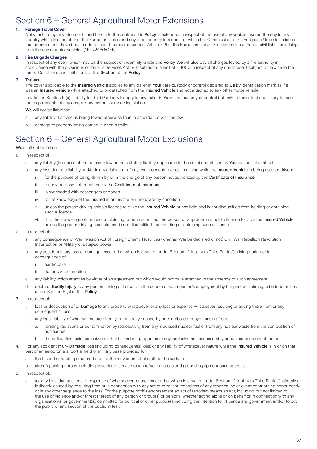# Section 6 – General Agricultural Motor Extensions

### **1. Foreign Travel Cover**

Notwithstanding anything contained herein to the contrary this Policy is extended in respect of the use of any vehicle insured thereby in any country which is a member of the European Union and any other country in respect of which the Commission of the European Union is satisfied that arrangements have been made to meet the requirements of Article 7(2) of the European Union Directive on insurance of civil liabilities arising from the use of motor vehicles (No. 72/166/CEE).

### **2. Fire Brigade Charges**

In respect of any event which may be the subject of indemnity under this Policy We will also pay all charges levied by a fire authority in accordance with the provisions of the Fire Services Act 1981 subject to a limit of €3000 in respect of any one incident subject otherwise to the terms, Conditions and limitations of this Section of the Policy

### **3. Trailers**

The cover applicable to the Insured Vehicle applies to any trailer in Your care custody or control declared to Us by identification mark as if it was an Insured Vehicle while attached to or detached from the Insured Vehicle and not attached to any other motor vehicle.

In addition Section 6 (a) Liability to Third Parties will apply to any trailer in Your care custody or control but only to the extent necessary to meet the requirements of any compulsory motor insurance legislation.

We will not be liable for:

- a. any liability if a trailer is being towed otherwise than in accordance with the law
- b. damage to property being carried in or on a trailer

# Section 6 – General Agricultural Motor Exclusions

### We shall not be liable:

- In respect of
	- a. any liability (in excess of the common law or the statutory liability applicable to the case) undertaken by You by special contract
	- b. any loss damage liability and/or injury arising out of any event occurring or claim arising while the Insured Vehicle is being used or driven:
		- i. for the purpose of being driven by or in the charge of any person not authorized by the Certificate of Insurance
		- ii. for any purpose not permitted by the Certificate of Insurance
		- iii. is overloaded with passengers or goods
		- iv. to the knowledge of the Insured in an unsafe or unroadworthy condition
		- v. unless the person driving holds a licence to drive the Insured Vehicle or has held and is not disqualified from holding or obtaining such a licence
		- vi. If, to the knowledge of the person claiming to be indemnified, the person driving does not hold a licence to drive the Insured Vehicle unless the person driving has held and is not disqualified from holding or obtaining such a licence
- 2. In respect of:
	- a. any consequence of War Invasion Act of Foreign Enemy Hostilities (whether War be declared or not) Civil War Rebellion Revolution Insurrection or Military or usurped power
	- b. any accident injury loss or damage (except that which is covered under Section 1 'Liability to Third Parties') arising during or in consequence of:
		- i. earthquake
		- ii. riot or civil commotion
	- c. any liability which attaches by virtue of an agreement but which would not have attached in the absence of such agreement
	- d. death or Bodily Injury to any person arising out of and in the course of such person's employment by the person claiming to be indemnified under Section 6 (a) of this Policy.
- 3. In respect of:
	- i. loss or destruction of or Damage to any property whatsoever or any loss or expense whatsoever resulting or arising there from or any consequential loss
	- ii. any legal liability of whatever nature directly or indirectly caused by or contributed to by or arising from:
		- a. ionising radiations or contamination by radioactivity from any irradiated nuclear fuel or from any nuclear waste from the combustion of nuclear fuel
		- b. the radioactive toxic explosive or other hazardous properties of any explosive nuclear assembly or nuclear component thereof.
- 4. For any accident injury Damage loss (including consequential loss) or any liability of whatsoever nature while the Insured Vehicle is in or on that part of an aerodrome airport airfield or military base provided for:
	- a. the takeoff or landing of aircraft and for the movement of aircraft on the surface
	- b. aircraft parking aprons including associated service roads refuelling areas and ground equipment parking areas.
- 5. In respect of:
	- a. for any loss, damage, cost or expense of whatsoever nature (except that which is covered under Section 1 'Liability to Third Parties'), directly or indirectly caused by, resulting from or in connection with any act of terrorism regardless of any other cause or event contributing concurrently or in any other sequence to the loss. For the purpose of this endorsement an act of terrorism means an act, including but not limited to the use of violence and/or threat thereof, of any person or group(s) of persons, whether acting alone or on behalf or in connection with any organisation(s) or government(s), committed for political or other purposes including the intention to influence any government and/or to put the public or any section of the public in fear.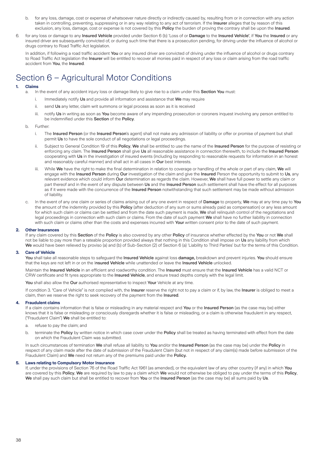- b. for any loss, damage, cost or expense of whatsoever nature directly or indirectly caused by, resulting from or in connection with any action taken in controlling, preventing, suppressing or in any way relating to any act of terrorism. If the Insurer alleges that by reason of this exclusion, any loss, damage, cost or expense is not covered by this **Policy** the burden of proving the contrary shall be upon the Insured.
- 6. for any loss or damage to any Insured Vehicle provided under Section 6 (b) 'Loss of or Damage to the Insured Vehicle', if You the Insured or any insured driver are subsequently convicted of, or during such time that there is a prosecution pending, for driving under the influence of alcohol or drugs contrary to Road Traffic Act legislation.

In addition, if following a road traffic accident You or any insured driver are convicted of driving under the influence of alcohol or drugs contrary to Road Traffic Act legislation the Insurer will be entitled to recover all monies paid in respect of any loss or claim arising from the road traffic accident from You, the Insured.

# Section 6 – Agricultural Motor Conditions

### **1. Claims**

a. In the event of any accident injury loss or damage likely to give rise to a claim under this **Section You** must:

- i. Immediately notify Us and provide all information and assistance that We may require
- ii. send Us any letter, claim writ summons or legal process as soon as it is received
- iii. notify Us in writing as soon as You become aware of any impending prosecution or coroners inquest involving any person entitled to be indemnified under this Section of the Policy.
- b. Further:
	- i. The Insured Person (or the Insured Person's agent) shall not make any admission of liability or offer or promise of payment but shall permit Us to have the sole conduct of all negotiations or legal proceedings.
	- ii. Subject to General Condition 19 of this Policy, We shall be entitled to use the name of the Insured Person for the purpose of resisting or enforcing any claim. The Insured Person shall give Us all reasonable assistance in connection therewith, to include the Insured Person cooperating with Us in the investigation of insured events (including by responding to reasonable requests for information in an honest and reasonably careful manner) and shall act in all cases in Our best interests.
	- iii. While We have the right to make the final determination in relation to coverage or handling of the whole or part of any claim, We will engage with the Insured Person during Our investigation of the claim and give the Insured Person the opportunity to submit to Us, any relevant evidence which could inform Our determination as regards the claim. However, We shall have full power to settle any claim or part thereof and in the event of any dispute between Us and the Insured Person such settlement shall have the effect for all purposes as if it were made with the concurrence of the Insured Person notwithstanding that such settlement may be made without admission of liability.
- c. In the event of any one claim or series of claims arising out of any one event in respect of Damage to property, We may at any time pay to You the amount of the indemnity provided by this Policy (after deduction of any sum or sums already paid as compensation) or any less amount for which such claim or claims can be settled and from the date such payment is made, We shall relinquish control of the negotiations and legal proceedings in connection with such claim or claims. From the date of such payment We shall have no further liability in connection with such claim or claims other than the costs and expenses incurred with Your written consent prior to the date of such payment.

### **2. Other Insurances**

If any claim covered by this Section of the Policy is also covered by any other Policy of insurance whether effected by the You or not We shall not be liable to pay more than a rateable proportion provided always that nothing in this Condition shall impose on Us any liability from which We would have been relieved by proviso (a) and (b) of Sub-Section (2) of Section 6 (a) 'Liability to Third Parties' but for the terms of this Condition.

### **3. Care of Vehicle**

You shall take all reasonable steps to safeguard the Insured Vehicle against loss damage, breakdown and prevent injuries. You should ensure that the keys are not left in or on the Insured Vehicle while unattended or leave the Insured Vehicle unlocked.

Maintain the Insured Vehicle in an efficient and roadworthy condition. The Insured must ensure that the Insured Vehicle has a valid NCT or CRW certificate and fit tyres appropriate to the Insured Vehicle, and ensure tread depths comply with the legal limit.

You shall also allow the Our authorised representative to inspect Your Vehicle at any time.

If condition 3. "Care of Vehicle" is not complied with, the Insurer reserve the right not to pay a claim or if, by law, the Insurer is obliged to meet a claim, then we reserve the right to seek recovery of the payment from the Insured.

### **4. Fraudulent claims**

If a claim contains information that is false or misleading in any material respect and You or the Insured Person (as the case may be) either knows that it is false or misleading or consciously disregards whether it is false or misleading, or a claim is otherwise fraudulent in any respect, ("Fraudulent Claim") We shall be entitled to:

- a. refuse to pay the claim; and
- b. terminate the Policy by written notice in which case cover under the Policy shall be treated as having terminated with effect from the date on which the Fraudulent Claim was submitted.

In such circumstances of termination We shall refuse all liability to You and/or the Insured Person (as the case may be) under the Policy in respect of any claim made after the date of submission of the Fraudulent Claim (but not in respect of any claim(s) made before submission of the Fraudulent Claim) and We need not return any of the premiums paid under the Policy.

### **5. Laws relating to Compulsory Motor Insurance**

If, under the provisions of Section 76 of the Road Traffic Act 1961 (as amended), or the equivalent law of any other country (if any) in which You are covered by this Policy, We are required by law to pay a claim which We would not otherwise be obliged to pay under the terms of this Policy, We shall pay such claim but shall be entitled to recover from You or the Insured Person (as the case may be) all sums paid by Us.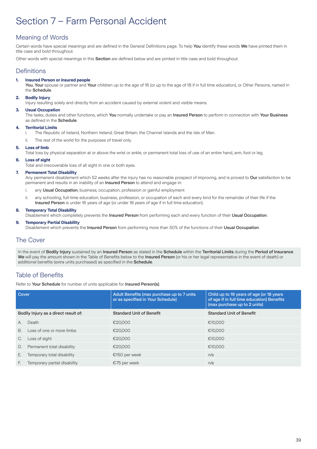# Section 7 – Farm Personal Accident

### Meaning of Words

Certain words have special meanings and are defined in the General Definitions page. To help You identify these words We have printed them in title case and bold throughout.

Other words with special meanings in this Section are defined below and are printed in title case and bold throughout.

### **Definitions**

### **1. Insured Person or insured people**

You, Your spouse or partner and Your children up to the age of 16 (or up to the age of 18 if in full time education), or Other Persons, named in the Schedule.

### **2. Bodily Injury**

Injury resulting solely and directly from an accident caused by external violent and visible means.

### **3. Usual Occupation**

The tasks, duties and other functions, which You normally undertake or pay an Insured Person to perform in connection with Your Business as defined in the Schedule.

### **4. Territorial Limits**

- i. The Republic of Ireland, Northern Ireland, Great Britain, the Channel Islands and the Isle of Man.
- ii. The rest of the world for the purposes of travel only.

### **5. Loss of limb**

Total loss by physical separation at or above the wrist or ankle, or permanent total loss of use of an entire hand, arm, foot or leg.

### **6. Loss of sight**

Total and irrecoverable loss of all sight in one or both eyes.

### **7. Permanent Total Disability**

Any permanent disablement which 52 weeks after the injury has no reasonable prospect of improving, and is proved to Our satisfaction to be permanent and results in an inability of an Insured Person to attend and engage in:

- i. any Usual Occupation, business, occupation, profession or gainful employment
- ii. any schooling, full-time education, business, profession, or occupation of each and every kind for the remainder of their life if the Insured Person is under 16 years of age (or under 18 years of age if in full time education).

### **8. Temporary Total Disability**

Disablement which completely prevents the Insured Person from performing each and every function of their Usual Occupation.

### **9. Temporary Partial Disability**

Disablement which prevents the Insured Person from performing more than 50% of the functions of their Usual Occupation.

### The Cover

In the event of Bodily Injury sustained by an Insured Person as stated in the Schedule within the Territorial Limits during the Period of Insurance We will pay the amount shown in the Table of Benefits below to the Insured Person (or his or her legal representative in the event of death) or additional benefits (extra units purchased) as specified in the **Schedule**.

### Table of Benefits

Refer to Your Schedule for number of units applicable for Insured Person(s).

| Cover                                |                              | Adult Benefits (max purchase up to 7 units)<br>or as specified in Your Schedule) | Child up to 16 years of age (or 18 years<br>of age if in full time education) Benefits<br>(max purchase up to 2 units) |
|--------------------------------------|------------------------------|----------------------------------------------------------------------------------|------------------------------------------------------------------------------------------------------------------------|
| Bodily Injury as a direct result of: |                              | <b>Standard Unit of Benefit</b>                                                  | <b>Standard Unit of Benefit</b>                                                                                        |
| A.                                   | Death                        | €20,000                                                                          | €10.000                                                                                                                |
| <b>B.</b>                            | Loss of one or more limbs    | €20,000                                                                          | €10.000                                                                                                                |
| C.                                   | Loss of sight                | €20,000                                                                          | €10.000                                                                                                                |
| D.                                   | Permanent total disability   | €20,000                                                                          | €10.000                                                                                                                |
| Е.                                   | Temporary total disability   | €150 per week                                                                    | n/a                                                                                                                    |
| F.                                   | Temporary partial disability | €75 per week                                                                     | n/a                                                                                                                    |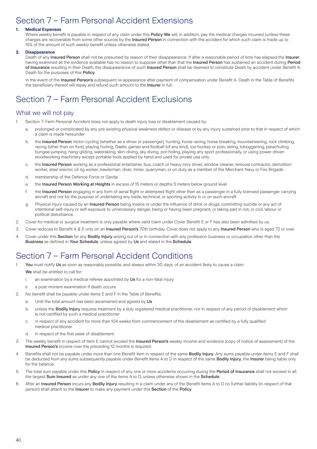# Section 7 – Farm Personal Accident Extensions

### **1. Medical Expenses**

Where weekly benefit is payable in respect of any claim under this Policy We will, in addition, pay the medical charges incurred (unless these charges are recoverable from some other source) by the Insured Person in connection with the accident for which such claim is made up to 15% of the amount of such weekly benefit unless otherwise stated.

### **2. Disappearance**

Death of any Insured Person shall not be presumed by reason of their disappearance. If after a reasonable period of time has elapsed the Insurer having examined all the evidence available has no reason to suppose other than that the Insured Person has sustained an accident during Period of Insurance resulting in their Death, the disappearance of such Insured Person shall be deemed to constitute Death by accident under Benefit A. Death for the purposes of this Policy.

In the event of the Insured Person's subsequent re-appearance after payment of compensation under Benefit A. Death in the Table of Benefits the beneficiary thereof will repay and refund such amount to the Insurer in full.

# Section 7 – Farm Personal Accident Exclusions

### What we will not pay

- 1. Section 7: Farm Personal Accident does not apply to death injury loss or disablement caused by:
	- a. prolonged or complicated by any pre-existing physical weakness defect or disease or by any injury sustained prior to that in respect of which a claim is made hereunder
	- b. the Insured Person motor-cycling (whether as a driver or passenger), hunting, horse racing, horse breaking, mountaineering, rock climbing, racing (other than on foot), playing hurling, Gaelic games and football (of any kind), ice-hockey or polo, skiing, tobogganing, parachuting, bungee-jumping, hang-gliding, waterskiing, skin-diving, sky diving, pot-holing, playing any sport professionally, or using power-driven woodworking machinery except portable tools applied by hand and used for private use only
	- c. the Insured Person working as a professional entertainer, bus, coach or heavy lorry driver, window cleaner, removal contractor, demolition worker, steel erector, oil rig worker, trawlerman, diver, miner, quarryman, or on duty as a member of the Merchant Navy or Fire Brigade
	- d. membership of the Defence Force or Gardaí
	- e. the Insured Person Working at Heights in excess of 15 meters or depths 5 meters below ground level
	- f. the Insured Person engaging in any form of aerial flight or attempted flight other than as a passenger in a fully licensed passenger carrying aircraft and not for the purpose of undertaking any trade, technical, or sporting activity in or on such aircraft
	- g. Physical injury caused by an *Insured Person* being insane or under the influence of drink or drugs, committing suicide or any act of intentional self-injury or self-exposure to unnecessary danger, being or having been pregnant, or taking part in riot, or civil, labour or political disturbance.
- 2. Cover for medical or surgical treatment is only payable where valid claim under Cover Benefit E or F has also been admitted by us.
- 3. Cover reduces to Benefit A & E only on an Insured Person's 70th birthday. Cover does not apply to any Insured Person who is aged 72 or over.
- 4. Cover under this Section for any Bodily Injury arising out of or in connection with any profession business or occupation other than the Business as defined in Your Schedule, unless agreed by Us and stated in the Schedule.

# Section 7 – Farm Personal Accident Conditions

- 1. You must notify Us as soon as reasonably possible, and always within 30 days, of an accident likely to cause a claim. We shall be entitled to call for:
	- i. an examination by a medical referee appointed by Us for a non-fatal injury
		- ii. a post-mortem examination if death occurs.
- 2. No benefit shall be payable under items E and F in the Table of Benefits:
	- a. Until the total amount has been ascertained and agreed by Us
	- b. unless the **Bodily Injury** requires treatment by a duly registered medical practitioner, nor in respect of any period of disablement which is not certified by such a medical practitioner
	- c. in respect of any accident for more than 104 weeks from commencement of the disablement as certified by a fully qualified medical practitioner
	- d. in respect of the first week of disablement.
- 3. The weekly benefit in respect of Item E cannot exceed the Insured Person's weekly income and evidence (copy of notice of assessment) of the Insured Person's income over the preceding 12 months is required.
- 4. Benefits shall not be payable under more than one Benefit item in respect of the same **Bodily Injury**. Any sums payable under items E and F shall be deducted from any sums subsequently payable under Benefit items A to D in respect of the same **Bodily Injury**, the Insurer being liable only for the balance.
- 5. The total sum payable under this Policy in respect of any one or more accidents occurring during the Period of Insurance shall not exceed in all, the largest Sum Insured as under any one of the items A to D, unless otherwise shown in the Schedule.
- 6. After an Insured Person incurs any Bodily Injury resulting in a claim under any of the Benefit items A to D no further liability (in respect of that person) shall attach to the Insurer to make any payment under this Section of the Policy.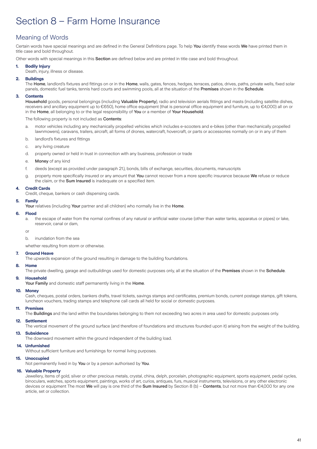# Section 8 – Farm Home Insurance

### Meaning of Words

Certain words have special meanings and are defined in the General Definitions page. To help You identify these words We have printed them in title case and bold throughout.

Other words with special meanings in this Section are defined below and are printed in title case and bold throughout.

### **1. Bodily Injury**

Death, injury, illness or disease.

### **2. Buildings**

The Home, landlord's fixtures and fittings on or in the Home, walls, gates, fences, hedges, terraces, patios, drives, paths, private wells, fixed solar panels, domestic fuel tanks, tennis hard courts and swimming pools, all at the situation of the Premises shown in the Schedule.

### **3. Contents**

Household goods, personal belongings (including Valuable Property), radio and television aerials fittings and masts (including satellite dishes, receivers and ancillary equipment up to €650), home office equipment (that is personal office equipment and furniture, up to €4,000) all on or in the Home, all belonging to or the legal responsibility of You or a member of Your Household.

The following property is not included as **Contents**:

- a. motor vehicles including any mechanically propelled vehicles which includes e-scooters and e-bikes (other than mechanically propelled lawnmowers), caravans, trailers, aircraft, all forms of drones, watercraft, hovercraft, or parts or accessories normally on or in any of them
- b. landlord's fixtures and fittings
- c. any living creature
- d. property owned or held in trust in connection with any business, profession or trade
- e. Money of any kind
- f. deeds (except as provided under paragraph 21.), bonds, bills of exchange, securities, documents, manuscripts
- g. property more specifically insured or any amount that You cannot recover from a more specific insurance because We refuse or reduce the claim, or the Sum Insured is inadequate on a specified item.

#### **4. Credit Cards**

Credit, cheque, bankers or cash dispensing cards.

#### **5. Family**

Your relatives (including Your partner and all children) who normally live in the Home.

#### **6. Flood**

a. the escape of water from the normal confines of any natural or artificial water course (other than water tanks, apparatus or pipes) or lake, reservoir, canal or dam

or

b. inundation from the sea

whether resulting from storm or otherwise.

### **7. Ground Heave**

The upwards expansion of the ground resulting in damage to the building foundations.

### **8. Home**

The private dwelling, garage and outbuildings used for domestic purposes only, all at the situation of the Premises shown in the Schedule.

### **9. Household**

Your Family and domestic staff permanently living in the Home.

#### **10. Money**

Cash, cheques, postal orders, bankers drafts, travel tickets, savings stamps and certificates, premium bonds, current postage stamps, gift tokens, luncheon vouchers, trading stamps and telephone call cards all held for social or domestic purposes.

### **11. Premises**

The **Buildings** and the land within the boundaries belonging to them not exceeding two acres in area used for domestic purposes only.

#### **12. Settlement**

The vertical movement of the ground surface (and therefore of foundations and structures founded upon it) arising from the weight of the building.

### **13. Subsidence**

The downward movement within the ground independent of the building load.

### **14. Unfurnished**

Without sufficient furniture and furnishings for normal living purposes.

### **15. Unoccupied**

Not permanently lived in by You or by a person authorised by You.

### **16. Valuable Property**

Jewellery, items of gold, silver or other precious metals, crystal, china, delph, porcelain, photographic equipment, sports equipment, pedal cycles, binoculars, watches, sports equipment, paintings, works of art, curios, antiques, furs, musical instruments, televisions, or any other electronic devices or equipment The most We will pay is one third of the Sum Insured by Section 8 (b) – Contents, but not more than €4,000 for any one article, set or collection.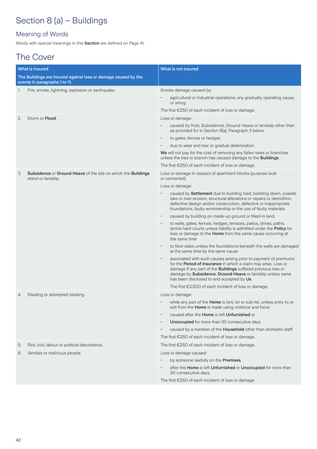# Section 8 (a) – Buildings

### Meaning of Words

Words with special meanings in this Section are defined on Page 41.

# The Cover

|    | <b>What is insured</b>                                                              | What is not insured                                                                                                                                                                                                                                                                                                          |
|----|-------------------------------------------------------------------------------------|------------------------------------------------------------------------------------------------------------------------------------------------------------------------------------------------------------------------------------------------------------------------------------------------------------------------------|
|    | The Buildings are insured against loss or damage caused by the                      |                                                                                                                                                                                                                                                                                                                              |
|    | events in paragraphs 1 to 11.                                                       |                                                                                                                                                                                                                                                                                                                              |
| 1. | Fire, smoke, lightning, explosion or earthquake.                                    | Smoke damage caused by:                                                                                                                                                                                                                                                                                                      |
|    |                                                                                     | agricultural or industrial operations, any gradually operating cause,<br>or smog.                                                                                                                                                                                                                                            |
|    |                                                                                     | The first €250 of each incident of loss or damage.                                                                                                                                                                                                                                                                           |
| 2. | Storm or Flood.                                                                     | Loss or damage:                                                                                                                                                                                                                                                                                                              |
|    |                                                                                     | caused by frost, Subsidence, Ground Heave or landslip other than<br>as provided for in Section 8(a), Paragraph 3 below                                                                                                                                                                                                       |
|    |                                                                                     | to gates, fences or hedges                                                                                                                                                                                                                                                                                                   |
|    |                                                                                     | due to wear and tear or gradual deterioration.                                                                                                                                                                                                                                                                               |
|    |                                                                                     | We will not pay for the cost of removing any fallen trees or branches<br>unless the tree or branch has caused damage to the <b>Buildings</b> .                                                                                                                                                                               |
|    |                                                                                     | The first €250 of each incident of loss or damage.                                                                                                                                                                                                                                                                           |
| 3. | Subsidence or Ground Heave of the site on which the Buildings<br>stand or landslip. | Loss or damage in respect of apartment blocks (purpose built<br>or converted).                                                                                                                                                                                                                                               |
|    |                                                                                     | Loss or damage:                                                                                                                                                                                                                                                                                                              |
|    |                                                                                     | caused by Settlement due to building load, bedding down, coastal,<br>lake or river erosion, structural alterations or repairs or demolition,<br>defective design and/or construction, defective or inappropriate<br>foundations, faulty workmanship or the use of faulty materials                                           |
|    |                                                                                     | caused by building on made-up ground or filled-in land,<br>$\bullet$                                                                                                                                                                                                                                                         |
|    |                                                                                     | to walls, gates, fences, hedges, terraces, patios, drives, paths,<br>$\bullet$<br>tennis hard courts unless liability is admitted under the Policy for<br>loss or damage to the Home from the same cause occurring at<br>the same time                                                                                       |
|    |                                                                                     | to floor slabs unless the foundations beneath the walls are damaged<br>$\bullet$<br>at the same time by the same cause                                                                                                                                                                                                       |
|    |                                                                                     | associated with such causes arising prior to payment of premiums<br>$\bullet$<br>for the Period of Insurance in which a claim may arise. Loss or<br>damage if any part of the Buildings suffered previous loss or<br>damage by Subsidence, Ground Heave or landslip unless same<br>has been disclosed to and accepted by Us. |
|    |                                                                                     | The first €2,500 of each incident of loss or damage.                                                                                                                                                                                                                                                                         |
| 4. | Stealing or attempted stealing.                                                     | Loss or damage:                                                                                                                                                                                                                                                                                                              |
|    |                                                                                     | while any part of the Home is lent, let or sub-let, unless entry to or<br>exit from the Home is made using violence and force                                                                                                                                                                                                |
|    |                                                                                     | caused after the Home is left Unfurnished or                                                                                                                                                                                                                                                                                 |
|    |                                                                                     | Unoccupied for more than 30 consecutive days<br>$\bullet$                                                                                                                                                                                                                                                                    |
|    |                                                                                     | caused by a member of the <b>Household</b> other than domestic staff.                                                                                                                                                                                                                                                        |
|    |                                                                                     | The first $\epsilon$ 250 of each incident of loss or damage.                                                                                                                                                                                                                                                                 |
| 5. | Riot, civil, labour or political disturbance.                                       | The first €250 of each incident of loss or damage.                                                                                                                                                                                                                                                                           |
| 6. | Vandals or malicious people.                                                        | Loss or damage caused:                                                                                                                                                                                                                                                                                                       |
|    |                                                                                     | by someone lawfully on the Premises,                                                                                                                                                                                                                                                                                         |
|    |                                                                                     | after the Home is left Unfurnished or Unoccupied for more than<br>30 consecutive days.                                                                                                                                                                                                                                       |
|    |                                                                                     | The first €250 of each incident of loss or damage.                                                                                                                                                                                                                                                                           |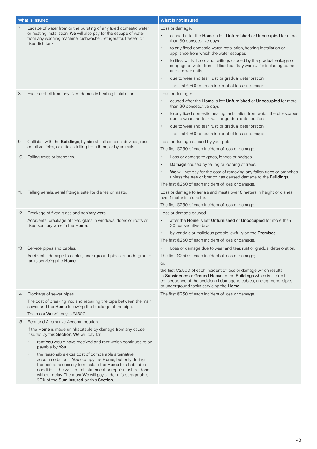|     | What is insured                                                                                                                                                                                                                                                                                                                                    | What is not insured                                                                                                                                                               |
|-----|----------------------------------------------------------------------------------------------------------------------------------------------------------------------------------------------------------------------------------------------------------------------------------------------------------------------------------------------------|-----------------------------------------------------------------------------------------------------------------------------------------------------------------------------------|
| 7.  | Escape of water from or the bursting of any fixed domestic water<br>or heating installation. We will also pay for the escape of water<br>from any washing machine, dishwasher, refrigerator, freezer, or<br>fixed fish tank.                                                                                                                       | Loss or damage:                                                                                                                                                                   |
|     |                                                                                                                                                                                                                                                                                                                                                    | caused after the Home is left Unfurnished or Unoccupied for more<br>than 30 consecutive days                                                                                      |
|     |                                                                                                                                                                                                                                                                                                                                                    | to any fixed domestic water installation, heating installation or<br>appliance from which the water escapes                                                                       |
|     |                                                                                                                                                                                                                                                                                                                                                    | to tiles, walls, floors and ceilings caused by the gradual leakage or<br>seepage of water from all fixed sanitary ware units including baths<br>and shower units                  |
|     |                                                                                                                                                                                                                                                                                                                                                    | due to wear and tear, rust, or gradual deterioration<br>$\bullet$                                                                                                                 |
|     |                                                                                                                                                                                                                                                                                                                                                    | The first €500 of each incident of loss or damage                                                                                                                                 |
| 8.  | Escape of oil from any fixed domestic heating installation.                                                                                                                                                                                                                                                                                        | Loss or damage:                                                                                                                                                                   |
|     |                                                                                                                                                                                                                                                                                                                                                    | caused after the Home is left Unfurnished or Unoccupied for more<br>than 30 consecutive days                                                                                      |
|     |                                                                                                                                                                                                                                                                                                                                                    | to any fixed domestic heating installation from which the oil escapes<br>$\bullet$<br>due to wear and tear, rust, or gradual deterioration                                        |
|     |                                                                                                                                                                                                                                                                                                                                                    | due to wear and tear, rust, or gradual deterioration<br>$\bullet$                                                                                                                 |
|     |                                                                                                                                                                                                                                                                                                                                                    | The first €500 of each incident of loss or damage                                                                                                                                 |
| 9.  | Collision with the Buildings, by aircraft, other aerial devices, road                                                                                                                                                                                                                                                                              | Loss or damage caused by your pets                                                                                                                                                |
|     | or rail vehicles, or articles falling from them, or by animals.                                                                                                                                                                                                                                                                                    | The first €250 of each incident of loss or damage.                                                                                                                                |
| 10. | Falling trees or branches.                                                                                                                                                                                                                                                                                                                         | Loss or damage to gates, fences or hedges.                                                                                                                                        |
|     |                                                                                                                                                                                                                                                                                                                                                    | Damage caused by felling or lopping of trees.<br>$\bullet$                                                                                                                        |
|     |                                                                                                                                                                                                                                                                                                                                                    | We will not pay for the cost of removing any fallen trees or branches<br>unless the tree or branch has caused damage to the Buildings.                                            |
|     |                                                                                                                                                                                                                                                                                                                                                    | The first $\epsilon$ 250 of each incident of loss or damage.                                                                                                                      |
| 11. | Falling aerials, aerial fittings, satellite dishes or masts.                                                                                                                                                                                                                                                                                       | Loss or damage to aerials and masts over 8 meters in height or dishes<br>over 1 meter in diameter.                                                                                |
|     |                                                                                                                                                                                                                                                                                                                                                    | The first €250 of each incident of loss or damage.                                                                                                                                |
| 12. | Breakage of fixed glass and sanitary ware.                                                                                                                                                                                                                                                                                                         | Loss or damage caused:                                                                                                                                                            |
|     | Accidental breakage of fixed glass in windows, doors or roofs or<br>fixed sanitary ware in the Home.                                                                                                                                                                                                                                               | after the Home is left Unfurnished or Unoccupied for more than<br>30 consecutive days                                                                                             |
|     |                                                                                                                                                                                                                                                                                                                                                    | by vandals or malicious people lawfully on the Premises.                                                                                                                          |
|     |                                                                                                                                                                                                                                                                                                                                                    | The first €250 of each incident of loss or damage.                                                                                                                                |
|     | 13. Service pipes and cables.                                                                                                                                                                                                                                                                                                                      | Loss or damage due to wear and tear, rust or gradual deterioration.                                                                                                               |
|     | Accidental damage to cables, underground pipes or underground<br>tanks servicing the <b>Home</b> .                                                                                                                                                                                                                                                 | The first €250 of each incident of loss or damage;<br>or:                                                                                                                         |
|     |                                                                                                                                                                                                                                                                                                                                                    | the first €2,500 of each incident of loss or damage which results                                                                                                                 |
|     |                                                                                                                                                                                                                                                                                                                                                    | in Subsidence or Ground Heave to the Buildings which is a direct<br>consequence of the accidental damage to cables, underground pipes<br>or underground tanks servicing the Home. |
| 14. | Blockage of sewer pipes.                                                                                                                                                                                                                                                                                                                           | The first €250 of each incident of loss or damage.                                                                                                                                |
|     | The cost of breaking into and repairing the pipe between the main<br>sewer and the <b>Home</b> following the blockage of the pipe.                                                                                                                                                                                                                 |                                                                                                                                                                                   |
|     | The most We will pay is $€1500$ .                                                                                                                                                                                                                                                                                                                  |                                                                                                                                                                                   |
| 15. | Rent and Alternative Accommodation.                                                                                                                                                                                                                                                                                                                |                                                                                                                                                                                   |
|     | If the Home is made uninhabitable by damage from any cause<br>insured by this Section, We will pay for:                                                                                                                                                                                                                                            |                                                                                                                                                                                   |
|     | rent You would have received and rent which continues to be<br>payable by You                                                                                                                                                                                                                                                                      |                                                                                                                                                                                   |
|     | the reasonable extra cost of comparable alternative<br>accommodation if You occupy the Home, but only during<br>the period necessary to reinstate the Home to a habitable<br>condition. The work of reinstatement or repair must be done<br>without delay. The most We will pay under this paragraph is<br>20% of the Sum Insured by this Section. |                                                                                                                                                                                   |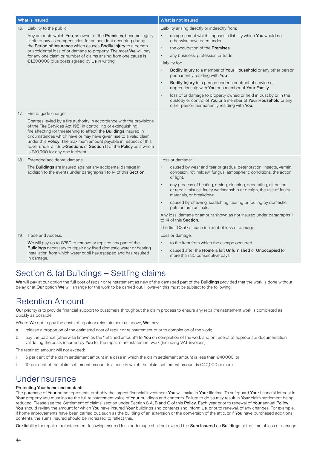|     | What is insured                                                                                                                                                                                                                                                                                                                                                                                                                                                                          | What is not insured                                                                                                                                                                             |
|-----|------------------------------------------------------------------------------------------------------------------------------------------------------------------------------------------------------------------------------------------------------------------------------------------------------------------------------------------------------------------------------------------------------------------------------------------------------------------------------------------|-------------------------------------------------------------------------------------------------------------------------------------------------------------------------------------------------|
| 16. | Liability to the public.                                                                                                                                                                                                                                                                                                                                                                                                                                                                 | Liability arising directly or indirectly from:                                                                                                                                                  |
|     | Any amounts which You, as owner of the Premises, become legally<br>liable to pay as compensation for an accident occurring during<br>the Period of Insurance which causes Bodily Injury to a person<br>or accidental loss of or damage to property. The most We will pay                                                                                                                                                                                                                 | an agreement which imposes a liability which You would not<br>otherwise have been under                                                                                                         |
|     |                                                                                                                                                                                                                                                                                                                                                                                                                                                                                          | the occupation of the Premises<br>$\ddot{\phantom{0}}$                                                                                                                                          |
|     | for any one claim or number of claims arising from one cause is                                                                                                                                                                                                                                                                                                                                                                                                                          | any business, profession or trade.<br>$\bullet$                                                                                                                                                 |
|     | €1,300,000 plus costs agreed by Us in writing.                                                                                                                                                                                                                                                                                                                                                                                                                                           | Liability for:                                                                                                                                                                                  |
|     |                                                                                                                                                                                                                                                                                                                                                                                                                                                                                          | Bodily Injury to a member of Your Household or any other person<br>permanently residing with You                                                                                                |
|     |                                                                                                                                                                                                                                                                                                                                                                                                                                                                                          | Bodily Injury to a person under a contract of service or<br>$\bullet$<br>apprenticeship with You or a member of Your Family                                                                     |
|     |                                                                                                                                                                                                                                                                                                                                                                                                                                                                                          | loss of or damage to property owned or held in trust by or in the<br>$\bullet$<br>custody or control of You or a member of Your Household or any<br>other person permanently residing with You. |
| 17. | Fire brigade charges.<br>Charges levied by a fire authority in accordance with the provisions<br>of the Fire Services Act 1981 in controlling or extinguishing<br>fire affecting (or threatening to affect) the Buildings insured in<br>circumstances which have or may have given rise to a valid claim<br>under this Policy. The maximum amount payable in respect of this<br>cover under all Sub-Sections of Section 8 of the Policy as a whole<br>is $€10,000$ for any one incident. |                                                                                                                                                                                                 |
| 18. | Extended accidental damage.                                                                                                                                                                                                                                                                                                                                                                                                                                                              | Loss or damage:                                                                                                                                                                                 |
|     | The <b>Buildings</b> are insured against any accidental damage in<br>addition to the events under paragraphs 1 to 14 of this Section.                                                                                                                                                                                                                                                                                                                                                    | caused by wear and tear or gradual deterioration, insects, vermin,<br>corrosion, rot, mildew, fungus, atmospheric conditions, the action<br>of light,                                           |
|     |                                                                                                                                                                                                                                                                                                                                                                                                                                                                                          | any process of heating, drying, cleaning, decorating, alteration<br>$\bullet$<br>or repair, misuse, faulty workmanship or design, the use of faulty<br>materials, or breakdown                  |
|     |                                                                                                                                                                                                                                                                                                                                                                                                                                                                                          | caused by chewing, scratching, tearing or fouling by domestic<br>pets or farm animals.                                                                                                          |
|     |                                                                                                                                                                                                                                                                                                                                                                                                                                                                                          | Any loss, damage or amount shown as not insured under paragraphs 1<br>to 14 of this Section.                                                                                                    |
|     |                                                                                                                                                                                                                                                                                                                                                                                                                                                                                          | The first €250 of each incident of loss or damage.                                                                                                                                              |
| 19. | Trace and Access.                                                                                                                                                                                                                                                                                                                                                                                                                                                                        | Loss or damage:                                                                                                                                                                                 |
|     | We will pay up to $\epsilon$ 750 to remove or replace any part of the                                                                                                                                                                                                                                                                                                                                                                                                                    | to the item from which the escape occurred<br>$\bullet$                                                                                                                                         |
|     | Buildings necessary to repair any fixed domestic water or heating<br>installation from which water or oil has escaped and has resulted<br>in damage.                                                                                                                                                                                                                                                                                                                                     | caused after the Home is left Unfurnished or Unoccupied for<br>$\bullet$<br>more than 30 consecutive days.                                                                                      |

# Section 8. (a) Buildings – Settling claims

We will pay at our option the full cost of repair or reinstatement as new of the damaged part of the **Buildings** provided that the work is done without delay or at Our option We will arrange for the work to be carried out. However, this must be subject to the following:

# Retention Amount

Our priority is to provide financial support to customers throughout the claim process to ensure any repair/reinstatement work is completed as quickly as possible.

Where We opt to pay the costs of repair or reinstatement as above, We may:

- a. release a proportion of the estimated cost of repair or reinstatement prior to completion of the work;
- b. pay the balance (otherwise known as the "retained amount") to You on completion of the work and on receipt of appropriate documentation validating the costs incurred by You for the repair or reinstatement work (including VAT invoices).

The retained amount will not exceed:

- i. 5 per cent of the claim settlement amount in a case in which the claim settlement amount is less than €40,000; or
- ii. 10 per cent of the claim settlement amount in a case in which the claim settlement amount is €40,000 or more.

# **Underinsurance**

### Protecting Your home and contents

The purchase of Your home represents probably the largest financial investment You will make in Your lifetime. To safeguard Your financial interest in Your property you must insure the full reinstatement value of Your buildings and contents. Failure to do so may result in Your claim settlement being reduced. Please see the 'Settlement of claims' section under Section 8 A, B and C of this Policy. Each year prior to renewal of Your annual Policy You should review the amount for which You have insured Your buildings and contents and inform Us, prior to renewal, of any changes. For example, if home improvements have been carried out, such as the building of an extension or the conversion of the attic, or if You have purchased additional contents, the sums insured should be increased to reflect this.

Our liability for repair or reinstatement following insured loss or damage shall not exceed the Sum Insured on Buildings at the time of loss or damage.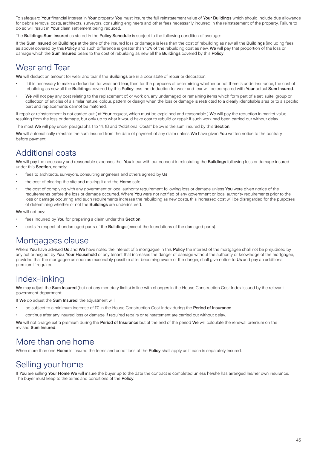To safeguard Your financial interest in Your property You must insure the full reinstatement value of Your Buildings which should include due allowance for debris removal costs, architects, surveyors, consulting engineers and other fees necessarily incurred in the reinstatement of the property. Failure to do so will result in Your claim settlement being reduced.

The Buildings Sum Insured as stated in the Policy Schedule is subject to the following condition of average:

If the Sum Insured on Buildings at the time of the insured loss or damage is less than the cost of rebuilding as new all the Buildings (including fees as above) covered by this Policy and such difference is greater than 15% of the rebuilding cost as new, We will pay that proportion of the loss or damage which the Sum Insured bears to the cost of rebuilding as new all the Buildings covered by this Policy.

# Wear and Tear

We will deduct an amount for wear and tear if the **Buildings** are in a poor state of repair or decoration.

- If it is necessary to make a deduction for wear and tear, then for the purposes of determining whether or not there is underinsurance, the cost of rebuilding as new all the Buildings covered by this Policy less the deduction for wear and tear will be compared with Your actual Sum Insured.
- We will not pay any cost relating to the replacement of, or work on, any undamaged or remaining items which form part of a set, suite, group or collection of articles of a similar nature, colour, pattern or design when the loss or damage is restricted to a clearly identifiable area or to a specific part and replacements cannot be matched.

If repair or reinstatement is not carried out (at Your request, which must be explained and reasonable) We will pay the reduction in market value resulting from the loss or damage, but only up to what it would have cost to rebuild or repair if such work had been carried out without delay

The most We will pay under paragraphs 1 to 14, 18 and "Additional Costs" below is the sum insured by this Section.

We will automatically reinstate the sum insured from the date of payment of any claim unless We have given You written notice to the contrary before payment.

# Additional costs

We will pay the necessary and reasonable expenses that You incur with our consent in reinstating the Buildings following loss or damage insured under this Section, namely:

- fees to architects, surveyors, consulting engineers and others agreed by Us
- the cost of clearing the site and making it and the **Home** safe
- the cost of complying with any government or local authority requirement following loss or damage unless You were given notice of the requirements before the loss or damage occurred. Where You were not notified of any government or local authority requirements prior to the loss or damage occurring and such requirements increase the rebuilding as new costs, this increased cost will be disregarded for the purposes of determining whether or not the Buildings are underinsured.

We will not pay:

- fees Incurred by You for preparing a claim under this Section
- costs in respect of undamaged parts of the Buildings (except the foundations of the damaged parts).

# Mortgagees clause

Where You have advised Us and We have noted the interest of a mortgagee in this Policy the interest of the mortgagee shall not be prejudiced by any act or neglect by You, Your Household or any tenant that increases the danger of damage without the authority or knowledge of the mortgagee, provided that the mortgagee as soon as reasonably possible after becoming aware of the danger, shall give notice to Us and pay an additional premium if required.

### Index-linking

We may adjust the Sum Insured (but not any monetary limits) in line with changes in the House Construction Cost Index issued by the relevant government department.

If We do adjust the Sum Insured, the adjustment will:

- be subject to a minimum increase of 1% in the House Construction Cost Index during the Period of Insurance
- continue after any insured loss or damage if required repairs or reinstatement are carried out without delay.

We will not charge extra premium during the Period of Insurance but at the end of the period We will calculate the renewal premium on the revised Sum Insured.

# More than one home

When more than one **Home** is insured the terms and conditions of the **Policy** shall apply as if each is separately insured.

# Selling your home

If You are selling Your Home We will insure the buyer up to the date the contract is completed unless he/she has arranged his/her own insurance. The buyer must keep to the terms and conditions of the Policy.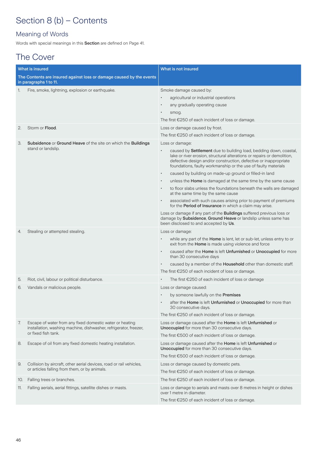# Section 8 (b) – Contents

### Meaning of Words

Words with special meanings in this Section are defined on Page 41.

# The Cover

|     | <b>What is insured</b>                                                                                                        | What is not insured                                                                                                                                                                                                                                                                |
|-----|-------------------------------------------------------------------------------------------------------------------------------|------------------------------------------------------------------------------------------------------------------------------------------------------------------------------------------------------------------------------------------------------------------------------------|
|     | The Contents are insured against loss or damage caused by the events<br>in paragraphs 1 to 11.                                |                                                                                                                                                                                                                                                                                    |
| 1.  | Fire, smoke, lightning, explosion or earthquake.                                                                              | Smoke damage caused by:                                                                                                                                                                                                                                                            |
|     |                                                                                                                               | agricultural or industrial operations                                                                                                                                                                                                                                              |
|     |                                                                                                                               | any gradually operating cause                                                                                                                                                                                                                                                      |
|     |                                                                                                                               | smog.                                                                                                                                                                                                                                                                              |
|     |                                                                                                                               | The first $\epsilon$ 250 of each incident of loss or damage.                                                                                                                                                                                                                       |
| 2.  | Storm or Flood.                                                                                                               | Loss or damage caused by frost.                                                                                                                                                                                                                                                    |
|     |                                                                                                                               | The first €250 of each incident of loss or damage.                                                                                                                                                                                                                                 |
| 3.  | <b>Subsidence or Ground Heave of the site on which the Buildings</b><br>stand or landslip.                                    | Loss or damage:                                                                                                                                                                                                                                                                    |
|     |                                                                                                                               | caused by Settlement due to building load, bedding down, coastal,<br>lake or river erosion, structural alterations or repairs or demolition,<br>defective design and/or construction, defective or inappropriate<br>foundations, faulty workmanship or the use of faulty materials |
|     |                                                                                                                               | caused by building on made-up ground or filled-in land<br>$\bullet$                                                                                                                                                                                                                |
|     |                                                                                                                               | unless the Home is damaged at the same time by the same cause                                                                                                                                                                                                                      |
|     |                                                                                                                               | to floor slabs unless the foundations beneath the walls are damaged<br>at the same time by the same cause                                                                                                                                                                          |
|     |                                                                                                                               | associated with such causes arising prior to payment of premiums<br>for the Period of Insurance in which a claim may arise.                                                                                                                                                        |
|     |                                                                                                                               | Loss or damage if any part of the Buildings suffered previous loss or<br>damage by Subsidence, Ground Heave or landslip unless same has<br>been disclosed to and accepted by Us.                                                                                                   |
| 4.  | Stealing or attempted stealing.                                                                                               | Loss or damage:                                                                                                                                                                                                                                                                    |
|     |                                                                                                                               | while any part of the <b>Home</b> is lent, let or sub-let, unless entry to or<br>exit from the Home is made using violence and force                                                                                                                                               |
|     |                                                                                                                               | caused after the Home is left Unfurnished or Unoccupied for more<br>than 30 consecutive days                                                                                                                                                                                       |
|     |                                                                                                                               | caused by a member of the <b>Household</b> other than domestic staff.                                                                                                                                                                                                              |
|     |                                                                                                                               | The first €250 of each incident of loss or damage.                                                                                                                                                                                                                                 |
| 5.  | Riot, civil, labour or political disturbance.                                                                                 | The first $E250$ of each incident of loss or damage                                                                                                                                                                                                                                |
| 6.  | Vandals or malicious people.                                                                                                  | Loss or damage caused:                                                                                                                                                                                                                                                             |
|     |                                                                                                                               | by someone lawfully on the Premises                                                                                                                                                                                                                                                |
|     |                                                                                                                               | after the Home is left Unfurnished or Unoccupied for more than<br>30 consecutive days.                                                                                                                                                                                             |
|     |                                                                                                                               | The first €250 of each incident of loss or damage.                                                                                                                                                                                                                                 |
| 7.  | Escape of water from any fixed domestic water or heating<br>installation, washing machine, dishwasher, refrigerator, freezer, | Loss or damage caused after the Home is left Unfurnished or<br>Unoccupied for more than 30 consecutive days.                                                                                                                                                                       |
|     | or fixed fish tank.                                                                                                           | The first €500 of each incident of loss or damage.                                                                                                                                                                                                                                 |
| 8.  | Escape of oil from any fixed domestic heating installation.                                                                   | Loss or damage caused after the Home is left Unfurnished or<br>Unoccupied for more than 30 consecutive days.                                                                                                                                                                       |
|     |                                                                                                                               | The first €500 of each incident of loss or damage.                                                                                                                                                                                                                                 |
| 9.  | Collision by aircraft, other aerial devices, road or rail vehicles,                                                           | Loss or damage caused by domestic pets.                                                                                                                                                                                                                                            |
|     | or articles falling from them, or by animals.                                                                                 | The first €250 of each incident of loss or damage.                                                                                                                                                                                                                                 |
| 10. | Falling trees or branches.                                                                                                    | The first $E250$ of each incident of loss or damage.                                                                                                                                                                                                                               |
| 11. | Falling aerials, aerial fittings, satellite dishes or masts.                                                                  | Loss or damage to aerials and masts over 8 metres in height or dishes<br>over 1 metre in diameter.                                                                                                                                                                                 |
|     |                                                                                                                               | The first €250 of each incident of loss or damage.                                                                                                                                                                                                                                 |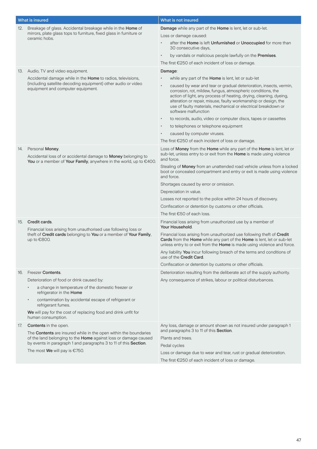|     | What is insured                                                                                                                                        | What is not insured                                                                                                                                                                                                                                                                            |
|-----|--------------------------------------------------------------------------------------------------------------------------------------------------------|------------------------------------------------------------------------------------------------------------------------------------------------------------------------------------------------------------------------------------------------------------------------------------------------|
| 12. | Breakage of glass. Accidental breakage while in the Home of                                                                                            | Damage while any part of the Home is lent, let or sub-let.                                                                                                                                                                                                                                     |
|     | mirrors, plate glass tops to furniture, fixed glass in furniture or<br>ceramic hobs.                                                                   | Loss or damage caused:                                                                                                                                                                                                                                                                         |
|     |                                                                                                                                                        | after the Home is left Unfurnished or Unoccupied for more than<br>30 consecutive days,                                                                                                                                                                                                         |
|     |                                                                                                                                                        | by vandals or malicious people lawfully on the Premises.<br>$\bullet$                                                                                                                                                                                                                          |
|     |                                                                                                                                                        | The first €250 of each incident of loss or damage.                                                                                                                                                                                                                                             |
|     | 13. Audio, TV and video equipment.                                                                                                                     | Damage:                                                                                                                                                                                                                                                                                        |
|     | Accidental damage while in the Home to radios, televisions,                                                                                            | while any part of the Home is lent, let or sub-let                                                                                                                                                                                                                                             |
|     | (including satellite decoding equipment) other audio or video<br>equipment and computer equipment.                                                     | caused by wear and tear or gradual deterioration, insects, vermin,<br>$\bullet$                                                                                                                                                                                                                |
|     |                                                                                                                                                        | corrosion, rot, mildew, fungus, atmospheric conditions, the<br>action of light, any process of heating, drying, cleaning, dyeing,<br>alteration or repair, misuse, faulty workmanship or design, the<br>use of faulty materials, mechanical or electrical breakdown or<br>software malfunction |
|     |                                                                                                                                                        | to records, audio, video or computer discs, tapes or cassettes<br>$\bullet$                                                                                                                                                                                                                    |
|     |                                                                                                                                                        | to telephones or telephone equipment<br>$\bullet$                                                                                                                                                                                                                                              |
|     |                                                                                                                                                        | caused by computer viruses.                                                                                                                                                                                                                                                                    |
|     |                                                                                                                                                        | The first $E$ 250 of each incident of loss or damage.                                                                                                                                                                                                                                          |
| 14. | Personal Money.<br>Accidental loss of or accidental damage to Money belonging to<br>You or a member of Your Family, anywhere in the world, up to €400. | Loss of Money from the Home while any part of the Home is lent, let or<br>sub-let, unless entry to or exit from the Home is made using violence<br>and force.                                                                                                                                  |
|     |                                                                                                                                                        | Stealing of Money from an unattended road vehicle unless from a locked<br>boot or concealed compartment and entry or exit is made using violence<br>and force.                                                                                                                                 |
|     |                                                                                                                                                        | Shortages caused by error or omission.                                                                                                                                                                                                                                                         |
|     |                                                                                                                                                        | Depreciation in value.                                                                                                                                                                                                                                                                         |
|     |                                                                                                                                                        | Losses not reported to the police within 24 hours of discovery.                                                                                                                                                                                                                                |
|     |                                                                                                                                                        | Confiscation or detention by customs or other officials.                                                                                                                                                                                                                                       |
|     |                                                                                                                                                        | The first €50 of each loss.                                                                                                                                                                                                                                                                    |
| 15. | Credit cards.<br>Financial loss arising from unauthorised use following loss or                                                                        | Financial loss arising from unauthorized use by a member of<br>Your Household.                                                                                                                                                                                                                 |
|     | theft of Credit cards belonging to You or a member of Your Family,<br>up to €800.                                                                      | Financial loss arising from unauthorized use following theft of Credit<br>Cards from the Home while any part of the Home is lent, let or sub-let<br>unless entry to or exit from the Home is made using violence and force.                                                                    |
|     |                                                                                                                                                        | Any liability You incur following breach of the terms and conditions of<br>use of the Credit Card.                                                                                                                                                                                             |
|     |                                                                                                                                                        | Confiscation or detention by customs or other officials.                                                                                                                                                                                                                                       |
| 16. | Freezer Contents.                                                                                                                                      | Deterioration resulting from the deliberate act of the supply authority.                                                                                                                                                                                                                       |
|     | Deterioration of food or drink caused by:                                                                                                              | Any consequence of strikes, labour or political disturbances.                                                                                                                                                                                                                                  |
|     | a change in temperature of the domestic freezer or<br>refrigerator in the Home                                                                         |                                                                                                                                                                                                                                                                                                |
|     | contamination by accidental escape of refrigerant or<br>refrigerant fumes.                                                                             |                                                                                                                                                                                                                                                                                                |
|     | We will pay for the cost of replacing food and drink unfit for<br>human consumption.                                                                   |                                                                                                                                                                                                                                                                                                |
| 17. | <b>Contents</b> in the open.                                                                                                                           | Any loss, damage or amount shown as not insured under paragraph 1                                                                                                                                                                                                                              |
|     | The Contents are insured while in the open within the boundaries                                                                                       | and paragraphs 3 to 11 of this Section.                                                                                                                                                                                                                                                        |
|     | of the land belonging to the Home against loss or damage caused<br>by events in paragraph 1 and paragraphs 3 to 11 of this Section.                    | Plants and trees.                                                                                                                                                                                                                                                                              |
|     |                                                                                                                                                        | Pedal cycles                                                                                                                                                                                                                                                                                   |
|     | The most We will pay is $€750$ .                                                                                                                       | Loss or damage due to wear and tear, rust or gradual deterioration.                                                                                                                                                                                                                            |
|     |                                                                                                                                                        | The first €250 of each incident of loss or damage.                                                                                                                                                                                                                                             |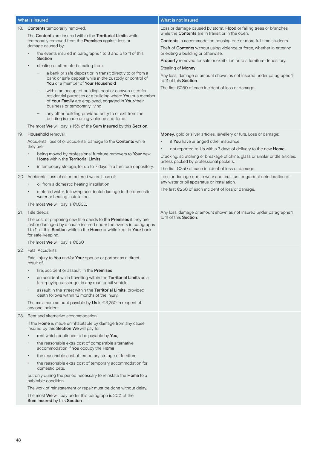|     | What is insured                                                                                                                                                                                                                       | What is not insured                                                                                                                                                                      |
|-----|---------------------------------------------------------------------------------------------------------------------------------------------------------------------------------------------------------------------------------------|------------------------------------------------------------------------------------------------------------------------------------------------------------------------------------------|
| 18. | <b>Contents</b> temporarily removed.                                                                                                                                                                                                  | Loss or damage caused by storm, Flood or falling trees or branches                                                                                                                       |
|     | The Contents are insured within the Territorial Limits while                                                                                                                                                                          | while the <b>Contents</b> are in transit or in the open.                                                                                                                                 |
|     | temporarily removed from the Premises against loss or<br>damage caused by:                                                                                                                                                            | <b>Contents</b> in accommodation housing one or more full time students.<br>Theft of Contents without using violence or force, whether in entering                                       |
|     | the events insured in paragraphs 1 to 3 and 5 to 11 of this<br>Section                                                                                                                                                                | or exiting a building or otherwise.<br>Property removed for sale or exhibition or to a furniture depository.                                                                             |
|     | stealing or attempted stealing from:<br>$\bullet$                                                                                                                                                                                     | Stealing of Money.                                                                                                                                                                       |
|     | a bank or safe deposit or in transit directly to or from a<br>bank or safe deposit while in the custody or control of<br>You or a member of Your Household                                                                            | Any loss, damage or amount shown as not insured under paragraphs 1<br>to 11 of this Section.                                                                                             |
|     | within an occupied building, boat or caravan used for<br>$\overline{\phantom{m}}$<br>residential purposes or a building where You or a member<br>of Your Family are employed, engaged in Your/their<br>business or temporarily living | The first $E$ 250 of each incident of loss or damage.                                                                                                                                    |
|     | any other building provided entry to or exit from the<br>building is made using violence and force.                                                                                                                                   |                                                                                                                                                                                          |
|     | The most We will pay is 15% of the Sum Insured by this Section.                                                                                                                                                                       |                                                                                                                                                                                          |
| 19. | Household removal.                                                                                                                                                                                                                    | Money, gold or silver articles, jewellery or furs. Loss or damage:                                                                                                                       |
|     | Accidental loss of or accidental damage to the Contents while<br>they are:                                                                                                                                                            | if You have arranged other insurance                                                                                                                                                     |
|     | being moved by professional furniture removers to Your new<br>Home within the Territorial Limits                                                                                                                                      | not reported to Us within 7 days of delivery to the new Home.<br>Cracking, scratching or breakage of china, glass or similar brittle articles,<br>unless packed by professional packers. |
|     | in temporary storage, for up to 7 days in a furniture depository.                                                                                                                                                                     | The first €250 of each incident of loss or damage.                                                                                                                                       |
|     | 20. Accidental loss of oil or metered water. Loss of:                                                                                                                                                                                 | Loss or damage due to wear and tear, rust or gradual deterioration of<br>any water or oil apparatus or installation.                                                                     |
|     | oil from a domestic heating installation<br>$\bullet$                                                                                                                                                                                 | The first $E$ 250 of each incident of loss or damage.                                                                                                                                    |
|     | metered water, following accidental damage to the domestic<br>$\bullet$<br>water or heating installation.                                                                                                                             |                                                                                                                                                                                          |
|     | The most <b>We</b> will pay is $\epsilon$ 1,000.                                                                                                                                                                                      |                                                                                                                                                                                          |
| 21. | Title deeds.                                                                                                                                                                                                                          | Any loss, damage or amount shown as not insured under paragraphs 1                                                                                                                       |
|     | The cost of preparing new title deeds to the Premises if they are<br>lost or damaged by a cause insured under the events in paragraphs<br>1 to 11 of this Section while in the Home or while kept in Your bank<br>for safe-keeping.   | to 11 of this Section.                                                                                                                                                                   |
|     | The most We will pay is €650.                                                                                                                                                                                                         |                                                                                                                                                                                          |
|     | Fatal Accidents.                                                                                                                                                                                                                      |                                                                                                                                                                                          |
|     | Fatal injury to You and/or Your spouse or partner as a direct<br>result of:                                                                                                                                                           |                                                                                                                                                                                          |
|     | fire, accident or assault, in the Premises<br>$\bullet$                                                                                                                                                                               |                                                                                                                                                                                          |
|     | an accident while travelling within the Territorial Limits as a<br>٠<br>fare-paying passenger in any road or rail vehicle                                                                                                             |                                                                                                                                                                                          |
|     | assault in the street within the Territorial Limits, provided<br>death follows within 12 months of the injury.                                                                                                                        |                                                                                                                                                                                          |
|     | The maximum amount payable by Us is $\epsilon$ 3,250 in respect of<br>any one incident.                                                                                                                                               |                                                                                                                                                                                          |
|     | 23. Rent and alternative accommodation.                                                                                                                                                                                               |                                                                                                                                                                                          |
|     | If the Home is made uninhabitable by damage from any cause<br>insured by this Section We will pay for:                                                                                                                                |                                                                                                                                                                                          |
|     | rent which continues to be payable by You,<br>$\bullet$                                                                                                                                                                               |                                                                                                                                                                                          |
|     | the reasonable extra cost of comparable alternative<br>$\bullet$<br>accommodation if You occupy the Home                                                                                                                              |                                                                                                                                                                                          |
|     | the reasonable cost of temporary storage of furniture<br>$\bullet$                                                                                                                                                                    |                                                                                                                                                                                          |
|     | the reasonable extra cost of temporary accommodation for<br>$\bullet$<br>domestic pets,                                                                                                                                               |                                                                                                                                                                                          |
|     | but only during the period necessary to reinstate the Home to a<br>habitable condition.                                                                                                                                               |                                                                                                                                                                                          |
|     | The work of reinstatement or repair must be done without delay.                                                                                                                                                                       |                                                                                                                                                                                          |
|     | The most We will pay under this paragraph is 20% of the<br>Sum Insured by this Section.                                                                                                                                               |                                                                                                                                                                                          |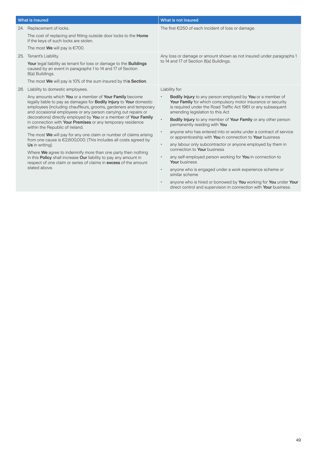|     | What is insured                                                                                                                                                                                                                                                                                                                                                                                                                                   | What is not insured                                                                                                                                                                                                                                                                                                                |  |
|-----|---------------------------------------------------------------------------------------------------------------------------------------------------------------------------------------------------------------------------------------------------------------------------------------------------------------------------------------------------------------------------------------------------------------------------------------------------|------------------------------------------------------------------------------------------------------------------------------------------------------------------------------------------------------------------------------------------------------------------------------------------------------------------------------------|--|
|     | 24. Replacement of locks.                                                                                                                                                                                                                                                                                                                                                                                                                         | The first $\epsilon$ 250 of each incident of loss or damage.                                                                                                                                                                                                                                                                       |  |
|     | The cost of replacing and fitting outside door locks to the <b>Home</b><br>if the keys of such locks are stolen.                                                                                                                                                                                                                                                                                                                                  |                                                                                                                                                                                                                                                                                                                                    |  |
|     | The most <b>We</b> will pay is $\epsilon$ 700.                                                                                                                                                                                                                                                                                                                                                                                                    |                                                                                                                                                                                                                                                                                                                                    |  |
| 25. | Tenant's Liability.                                                                                                                                                                                                                                                                                                                                                                                                                               | Any loss or damage or amount shown as not insured under paragraphs 1                                                                                                                                                                                                                                                               |  |
|     | Your legal liability as tenant for loss or damage to the Buildings<br>caused by an event in paragraphs 1 to 14 and 17 of Section<br>8(a) Buildings.                                                                                                                                                                                                                                                                                               | to 14 and 17 of Section 8(a) Buildings.                                                                                                                                                                                                                                                                                            |  |
|     | The most We will pay is 10% of the sum insured by this Section.                                                                                                                                                                                                                                                                                                                                                                                   |                                                                                                                                                                                                                                                                                                                                    |  |
| 26. | Liability to domestic employees.                                                                                                                                                                                                                                                                                                                                                                                                                  | Liability for:                                                                                                                                                                                                                                                                                                                     |  |
|     | Any amounts which You or a member of Your Family become<br>legally liable to pay as damages for <b>Bodily Injury</b> to Your domestic<br>employees (including chauffeurs, grooms, gardeners and temporary<br>and occasional employees or any person carrying out repairs or<br>decorations) directly employed by You or a member of Your Family<br>in connection with Your Premises or any temporary residence<br>within the Republic of Ireland. | <b>Bodily Injury</b> to any person employed by You or a member of<br>$\bullet$<br>Your Family for which compulsory motor insurance or security<br>is required under the Road Traffic Act 1961 or any subsequent<br>amending legislation to this Act<br>Bodily Injury to any member of Your Family or any other person<br>$\bullet$ |  |
|     |                                                                                                                                                                                                                                                                                                                                                                                                                                                   | permanently residing with You                                                                                                                                                                                                                                                                                                      |  |
|     | The most We will pay for any one claim or number of claims arising<br>from one cause is $£2,600,000$ . (This includes all costs agreed by                                                                                                                                                                                                                                                                                                         | anyone who has entered into or works under a contract of service<br>$\bullet$<br>or apprenticeship with You in connection to Your business                                                                                                                                                                                         |  |
|     | Us in writing).<br>Where We agree to indemnify more than one party then nothing<br>in this Policy shall increase Our liability to pay any amount in<br>respect of one claim or series of claims in <b>excess</b> of the amount<br>stated above.                                                                                                                                                                                                   | any labour only subcontractor or anyone employed by them in<br>$\bullet$<br>connection to Your business                                                                                                                                                                                                                            |  |
|     |                                                                                                                                                                                                                                                                                                                                                                                                                                                   | any self-employed person working for You in connection to<br>٠<br>Your business                                                                                                                                                                                                                                                    |  |
|     |                                                                                                                                                                                                                                                                                                                                                                                                                                                   | anyone who is engaged under a work experience scheme or<br>$\bullet$<br>similar scheme                                                                                                                                                                                                                                             |  |
|     |                                                                                                                                                                                                                                                                                                                                                                                                                                                   | anyone who is hired or borrowed by You working for You under Your<br>$\bullet$<br>direct control and supervision in connection with <b>Your</b> business.                                                                                                                                                                          |  |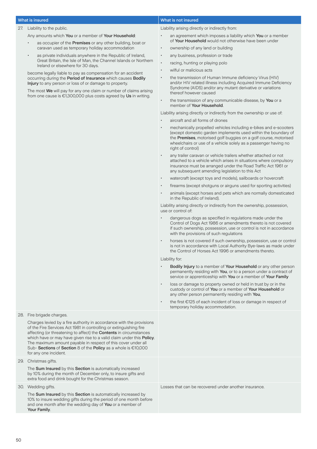#### 27. Liability to the public.

- Any amounts which You or a member of Your Household:
	- as occupier of the Premises or any other building, boat or caravan used as temporary holiday accommodation
	- as private individuals anywhere in the Republic of Ireland, Great Britain, the Isle of Man, the Channel Islands or Northern Ireland or elsewhere for 30 days.

become legally liable to pay as compensation for an accident occurring during the Period of Insurance which causes Bodily Injury to any person or loss of or damage to property.

The most We will pay for any one claim or number of claims arising from one cause is €1,300,000 plus costs agreed by Us in writing.

### What is insured **What is insured** What is not insured

Liability arising directly or indirectly from:

- an agreement which imposes a liability which You or a member of Your Household would not otherwise have been under
- ownership of any land or building
- any business, profession or trade
- racing, hunting or playing polo
- wilful or malicious acts
- the transmission of Human Immune deficiency Virus (HIV) and/or HIV related illness including Acquired Immune Deficiency Syndrome (AIDS) and/or any mutant derivative or variations thereof however caused
- the transmission of any communicable disease, by You or a member of Your Household.

Liability arising directly or indirectly from the ownership or use of:

- aircraft and all forms of drones
- mechanically propelled vehicles including e-bikes and e-scooters (except domestic garden implements used within the boundary of the Premises, motorised golf buggies on a golf course, motorised wheelchairs or use of a vehicle solely as a passenger having no right of control)
- any trailer caravan or vehicle trailers whether attached or not attached to a vehicle which arises in situations where compulsory insurance must be arranged under the Road Traffic Act 1961 or any subsequent amending legislation to this Act
- watercraft (except toys and models), sailboards or hovercraft
- firearms (except shotguns or airguns used for sporting activities)
- animals (except horses and pets which are normally domesticated in the Republic of Ireland).

Liability arising directly or indirectly from the ownership, possession, use or control of:

- dangerous dogs as specified in regulations made under the Control of Dogs Act 1986 or amendments thereto is not covered if such ownership, possession, use or control is not in accordance with the provisions of such regulations
- horses is not covered if such ownership, possession, use or control is not in accordance with Local Authority Bye-laws as made under the Control of Horses Act 1996 or amendments thereto.

#### Liability for:

- Bodily Injury to a member of Your Household or any other person permanently residing with You, or to a person under a contract of service or apprenticeship with You or a member of Your Family
- loss or damage to property owned or held in trust by or in the custody or control of You or a member of Your Household or any other person permanently residing with You,
- the first €125 of each incident of loss or damage in respect of temporary holiday accommodation.

#### 28. Fire brigade charges.

Charges levied by a fire authority in accordance with the provisions of the Fire Services Act 1981 in controlling or extinguishing fire affecting (or threatening to affect) the Contents in circumstances which have or may have given rise to a valid claim under this Policy. The maximum amount payable in respect of this cover under all Sub- Sections of Section 8 of the Policy as a whole is €10,000 for any one incident.

#### 29. Christmas gifts.

The Sum Insured by this Section is automatically increased by 10% during the month of December only, to insure gifts and extra food and drink bought for the Christmas season.

30. Wedding gifts.

The Sum Insured by this Section is automatically increased by 10% to insure wedding gifts during the period of one month before and one month after the wedding day of You or a member of Your Family.

Losses that can be recovered under another insurance.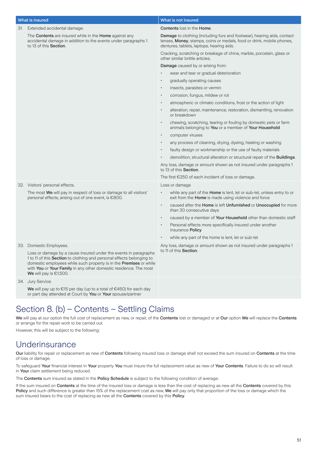| What is insured                                                                                                                                                                                                                                                                                                          | What is not insured                                                                                                                                                                           |
|--------------------------------------------------------------------------------------------------------------------------------------------------------------------------------------------------------------------------------------------------------------------------------------------------------------------------|-----------------------------------------------------------------------------------------------------------------------------------------------------------------------------------------------|
| 31. Extended accidental damage.                                                                                                                                                                                                                                                                                          | <b>Contents lost in the Home.</b>                                                                                                                                                             |
| The Contents are insured while in the Home against any<br>accidental damage in addition to the events under paragraphs 1<br>to 13 of this Section.                                                                                                                                                                       | Damage to clothing (including furs and footwear), hearing aids, contact<br>lenses, Money, stamps, coins or medals, food or drink, mobile phones,<br>dentures, tablets, laptops, hearing aids. |
|                                                                                                                                                                                                                                                                                                                          | Cracking, scratching or breakage of china, marble, porcelain, glass or<br>other similar brittle articles.                                                                                     |
|                                                                                                                                                                                                                                                                                                                          | Damage caused by or arising from:                                                                                                                                                             |
|                                                                                                                                                                                                                                                                                                                          | wear and tear or gradual deterioration                                                                                                                                                        |
|                                                                                                                                                                                                                                                                                                                          | gradually operating causes<br>$\bullet$                                                                                                                                                       |
|                                                                                                                                                                                                                                                                                                                          | insects, parasites or vermin<br>$\bullet$                                                                                                                                                     |
|                                                                                                                                                                                                                                                                                                                          | corrosion, fungus, mildew or rot<br>$\bullet$                                                                                                                                                 |
|                                                                                                                                                                                                                                                                                                                          | atmospheric or climatic conditions, frost or the action of light<br>$\bullet$                                                                                                                 |
|                                                                                                                                                                                                                                                                                                                          | alteration, repair, maintenance, restoration, dismantling, renovation<br>$\bullet$<br>or breakdown                                                                                            |
|                                                                                                                                                                                                                                                                                                                          | chewing, scratching, tearing or fouling by domestic pets or farm<br>$\bullet$<br>animals belonging to You or a member of Your Household                                                       |
|                                                                                                                                                                                                                                                                                                                          | computer viruses<br>$\bullet$                                                                                                                                                                 |
|                                                                                                                                                                                                                                                                                                                          | any process of cleaning, drying, dyeing, heating or washing<br>$\bullet$                                                                                                                      |
|                                                                                                                                                                                                                                                                                                                          | faulty design or workmanship or the use of faulty materials                                                                                                                                   |
|                                                                                                                                                                                                                                                                                                                          | demolition, structural alteration or structural repair of the <b>Buildings</b> .                                                                                                              |
|                                                                                                                                                                                                                                                                                                                          | Any loss, damage or amount shown as not insured under paragraphs 1<br>to 13 of this Section.                                                                                                  |
|                                                                                                                                                                                                                                                                                                                          | The first $\epsilon$ 250 of each incident of loss or damage.                                                                                                                                  |
| 32. Visitors' personal effects.                                                                                                                                                                                                                                                                                          | Loss or damage                                                                                                                                                                                |
| The most We will pay in respect of loss or damage to all visitors'<br>personal effects, arising out of one event, is €800.                                                                                                                                                                                               | while any part of the <b>Home</b> is lent, let or sub-let, unless entry to or<br>exit from the Home is made using violence and force                                                          |
|                                                                                                                                                                                                                                                                                                                          | caused after the Home is left Unfurnished or Unoccupied for more<br>$\bullet$<br>than 30 consecutive days                                                                                     |
|                                                                                                                                                                                                                                                                                                                          | caused by a member of Your Household other than domestic staff<br>$\bullet$                                                                                                                   |
|                                                                                                                                                                                                                                                                                                                          | Personal effects more specifically insured under another<br>$\bullet$<br>insurance Policy                                                                                                     |
|                                                                                                                                                                                                                                                                                                                          | while any part of the home is lent, let or sub-let                                                                                                                                            |
| 33. Domestic Employees.                                                                                                                                                                                                                                                                                                  | Any loss, damage or amount shown as not insured under paragraphs 1                                                                                                                            |
| Loss or damage by a cause insured under the events in paragraphs<br>1 to 11 of this Section to clothing and personal effects belonging to<br>domestic employees while such property is in the <b>Premises</b> or while<br>with You or Your Family in any other domestic residence. The most<br>We will pay is $€1,500$ . | to 11 of this Section.                                                                                                                                                                        |
| 34. Jury Service.                                                                                                                                                                                                                                                                                                        |                                                                                                                                                                                               |
| We will pay up to $\epsilon$ 15 per day (up to a total of $\epsilon$ 450) for each day<br>or part day attended at Court by You or Your spouse/partner                                                                                                                                                                    |                                                                                                                                                                                               |

# Section 8. (b) – Contents – Settling Claims

We will pay at our option the full cost of replacement as new, or repair, of the Contents lost or damaged or at Our option We will replace the Contents or arrange for the repair work to be carried out.

However, this will be subject to the following:

### **Underinsurance**

Our liability for repair or replacement as new of Contents following insured loss or damage shall not exceed the sum insured on Contents at the time of loss or damage.

To safeguard Your financial interest in Your property You must insure the full replacement value as new of Your Contents. Failure to do so will result in Your claim settlement being reduced.

The Contents sum insured as stated in the Policy Schedule is subject to the following condition of average:

If the sum insured on Contents at the time of the insured loss or damage is less than the cost of replacing as new all the Contents covered by this Policy and such difference is greater than 15% of the replacement cost as new, We will pay only that proportion of the loss or damage which the sum insured bears to the cost of replacing as new all the Contents covered by this Policy.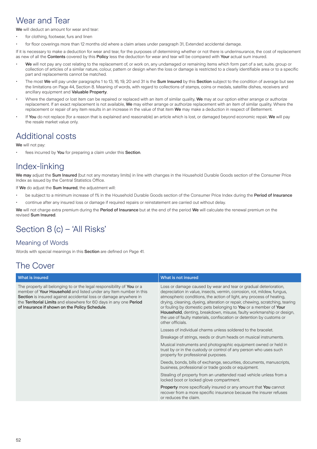### Wear and Tear

We will deduct an amount for wear and tear:

- for clothing, footwear, furs and linen
- for floor coverings more than 12 months old where a claim arises under paragraph 31, Extended accidental damage.

If it is necessary to make a deduction for wear and tear, for the purposes of determining whether or not there is underinsurance, the cost of replacement as new of all the Contents covered by this Policy less the deduction for wear and tear will be compared with Your actual sum insured.

- We will not pay any cost relating to the replacement of, or work on, any undamaged or remaining items which form part of a set, suite, group or collection of articles of a similar nature, colour, pattern or design when the loss or damage is restricted to a clearly identifiable area or to a specific part and replacements cannot be matched.
- The most We will pay under paragraphs 1 to 13, 16, 19, 20 and 31 is the Sum Insured by this Section subject to the condition of average but see the limitations on Page 44, Section 8. Meaning of words, with regard to collections of stamps, coins or medals, satellite dishes, receivers and ancillary equipment and Valuable Property.
- Where the damaged or lost item can be repaired or replaced with an item of similar quality, We may at our option either arrange or authorize replacement. If an exact replacement is not available, We may either arrange or authorize replacement with an item of similar quality. Where the replacement or repair of any item results in an increase in the value of that item We may make a deduction in respect of Betterment.
- If You do not replace (for a reason that is explained and reasonable) an article which is lost, or damaged beyond economic repair, We will pay the resale market value only.

# Additional costs

We will not pay:

fees incurred by You for preparing a claim under this Section.

# Index-linking

We may adjust the Sum Insured (but not any monetary limits) in line with changes in the Household Durable Goods section of the Consumer Price Index as issued by the Central Statistics Office.

If We do adiust the Sum Insured, the adjustment will:

- be subject to a minimum increase of 1% in the Household Durable Goods section of the Consumer Price Index during the Period of Insurance
- continue after any insured loss or damage if required repairs or reinstatement are carried out without delay.

We will not charge extra premium during the Period of Insurance but at the end of the period We will calculate the renewal premium on the revised Sum Insured.

# Section 8 (c) – 'All Risks'

### Meaning of Words

Words with special meanings in this **Section** are defined on Page 41.

# The Cover

#### What is insured **What is insured** What is not insured The property all belonging to or the legal responsibility of You or a member of Your Household and listed under any Item number in this Section is insured against accidental loss or damage anywhere in the Territorial Limits and elsewhere for 60 days in any one Period of Insurance if shown on the Policy Schedule. Loss or damage caused by wear and tear or gradual deterioration, depreciation in value, insects, vermin, corrosion, rot, mildew, fungus, atmospheric conditions, the action of light, any process of heating, drying, cleaning, dyeing, alteration or repair, chewing, scratching, tearing or fouling by domestic pets belonging to You or a member of Your Household, denting, breakdown, misuse, faulty workmanship or design, the use of faulty materials, confiscation or detention by customs or other officials. Losses of individual charms unless soldered to the bracelet. Breakage of strings, reeds or drum heads on musical instruments. Musical instruments and photographic equipment owned or held in trust by or in the custody or control of any person who uses such property for professional purposes. Deeds, bonds, bills of exchange, securities, documents, manuscripts, business, professional or trade goods or equipment. Stealing of property from an unattended road vehicle unless from a locked boot or locked glove compartment. Property more specifically insured or any amount that You cannot recover from a more specific insurance because the insurer refuses or reduces the claim.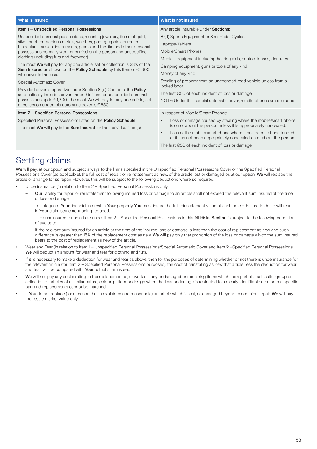#### What is insured **What is insured** What is not insured Item 1 – Unspecified Personal Possessions Unspecified personal possessions, meaning jewellery, items of gold, silver or other precious metals, watches, photographic equipment, binoculars, musical instruments, prams and the like and other personal possessions normally worn or carried on the person and unspecified clothing (including furs and footwear). The most We will pay for any one article, set or collection is 33% of the Sum Insured as shown on the Policy Schedule by this Item or €1,300 whichever is the less. Special Automatic Cover: Provided cover is operative under Section 8 (b) Contents, the Policy automatically includes cover under this item for unspecified personal possessions up to €1,300. The most We will pay for any one article, set or collection under this automatic cover is €650. Any article insurable under Sections: 8 (d) Sports Equipment or 8 (e) Pedal Cycles. Laptops/Tablets Mobile/Smart Phones Medical equipment including hearing aids, contact lenses, dentures Camping equipment, guns or tools of any kind Money of any kind Stealing of property from an unattended road vehicle unless from a locked boot The first €50 of each incident of loss or damage. NOTE: Under this special automatic cover, mobile phones are excluded. Item 2 – Specified Personal Possessions Specified Personal Possessions listed on the Policy Schedule. The most We will pay is the Sum Insured for the individual item(s). In respect of Mobile/Smart Phones: Loss or damage caused by stealing where the mobile/smart phone is on or about the person unless it is appropriately concealed. Loss of the mobile/smart phone where it has been left unattended or it has not been appropriately concealed on or about the person. The first €50 of each incident of loss or damage. Settling claims

We will pay, at our option and subject always to the limits specified in the Unspecified Personal Possessions Cover or the Specified Personal Possessions Cover (as applicable), the full cost of repair, or reinstatement as new, of the article lost or damaged or, at our option, We will replace the article or arrange for its repair. However, this will be subject to the following deductions where so required:

• Underinsurance (in relation to Item 2 – Specified Personal Possessions only

- Our liability for repair or reinstatement following insured loss or damage to an article shall not exceed the relevant sum insured at the time of loss or damage.
- To safeguard Your financial interest in Your property You must insure the full reinstatement value of each article. Failure to do so will result in Your claim settlement being reduced.
- The sum insured for an article under Item 2 Specified Personal Possessions in this All Risks Section is subject to the following condition of average:

If the relevant sum insured for an article at the time of the insured loss or damage is less than the cost of replacement as new and such difference is greater than 15% of the replacement cost as new, We will pay only that proportion of the loss or damage which the sum insured bears to the cost of replacement as new of the article.

- Wear and Tear (in relation to Item 1 Unspecified Personal Possessions/Special Automatic Cover and Item 2 –Specified Personal Possessions, We will deduct an amount for wear and tear for clothing and furs.
- If it is necessary to make a deduction for wear and tear as above, then for the purposes of determining whether or not there is underinsurance for the relevant article (for Item 2 – Specified Personal Possessions purposes), the cost of reinstating as new that article, less the deduction for wear and tear, will be compared with Your actual sum insured.
- We will not pay any cost relating to the replacement of, or work on, any undamaged or remaining items which form part of a set, suite, group or collection of articles of a similar nature, colour, pattern or design when the loss or damage is restricted to a clearly identifiable area or to a specific part and replacements cannot be matched.
- If You do not replace (for a reason that is explained and reasonable) an article which is lost, or damaged beyond economical repair, We will pay the resale market value only.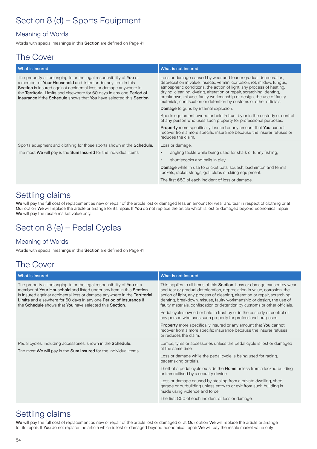# Section 8 (d) – Sports Equipment

### Meaning of Words

Words with special meanings in this Section are defined on Page 41.

### The Cover

| What is insured                                                                                                                                                                                                                                                                                                                                                 | What is not insured                                                                                                                                                                                                                                                                                                                                                                                                                      |
|-----------------------------------------------------------------------------------------------------------------------------------------------------------------------------------------------------------------------------------------------------------------------------------------------------------------------------------------------------------------|------------------------------------------------------------------------------------------------------------------------------------------------------------------------------------------------------------------------------------------------------------------------------------------------------------------------------------------------------------------------------------------------------------------------------------------|
| The property all belonging to or the legal responsibility of You or<br>a member of Your Household and listed under any item in this<br>Section is insured against accidental loss or damage anywhere in<br>the Territorial Limits and elsewhere for 60 days in any one Period of<br><b>Insurance if the Schedule</b> shows that You have selected this Section. | Loss or damage caused by wear and tear or gradual deterioration,<br>depreciation in value, insects, vermin, corrosion, rot, mildew, fungus,<br>atmospheric conditions, the action of light, any process of heating,<br>drying, cleaning, dyeing, alteration or repair, scratching, denting,<br>breakdown, misuse, faulty workmanship or design, the use of faulty<br>materials, confiscation or detention by customs or other officials. |
|                                                                                                                                                                                                                                                                                                                                                                 | <b>Damage</b> to guns by internal explosion.                                                                                                                                                                                                                                                                                                                                                                                             |
|                                                                                                                                                                                                                                                                                                                                                                 | Sports equipment owned or held in trust by or in the custody or control<br>of any person who uses such property for professional purposes.                                                                                                                                                                                                                                                                                               |
|                                                                                                                                                                                                                                                                                                                                                                 | <b>Property</b> more specifically insured or any amount that You cannot<br>recover from a more specific insurance because the insurer refuses or<br>reduces the claim.                                                                                                                                                                                                                                                                   |
| Sports equipment and clothing for those sports shown in the <b>Schedule</b> .                                                                                                                                                                                                                                                                                   | Loss or damage.                                                                                                                                                                                                                                                                                                                                                                                                                          |
| The most We will pay is the Sum Insured for the individual items.                                                                                                                                                                                                                                                                                               | angling tackle while being used for shark or tunny fishing.<br>$\bullet$                                                                                                                                                                                                                                                                                                                                                                 |
|                                                                                                                                                                                                                                                                                                                                                                 | shuttlecocks and balls in play.<br>$\bullet$                                                                                                                                                                                                                                                                                                                                                                                             |
|                                                                                                                                                                                                                                                                                                                                                                 | Damage while in use to cricket bats, squash, badminton and tennis<br>rackets, racket strings, golf clubs or skiing equipment.                                                                                                                                                                                                                                                                                                            |
|                                                                                                                                                                                                                                                                                                                                                                 | The first $\epsilon$ 50 of each incident of loss or damage.                                                                                                                                                                                                                                                                                                                                                                              |

### Settling claims

We will pay the full cost of replacement as new or repair of the article lost or damaged less an amount for wear and tear in respect of clothing or at Our option We will replace the article or arrange for its repair. If You do not replace the article which is lost or damaged beyond economical repair We will pay the resale market value only.

# Section 8 (e) – Pedal Cycles

### Meaning of Words

Words with special meanings in this Section are defined on Page 41.

# The Cover

| What is insured                                                                                                                                                                                                                                                                                                                                          | What is not insured                                                                                                                                                                                                                                                                                                                                                                               |
|----------------------------------------------------------------------------------------------------------------------------------------------------------------------------------------------------------------------------------------------------------------------------------------------------------------------------------------------------------|---------------------------------------------------------------------------------------------------------------------------------------------------------------------------------------------------------------------------------------------------------------------------------------------------------------------------------------------------------------------------------------------------|
| The property all belonging to or the legal responsibility of You or a<br>member of Your Household and listed under any item in this Section<br>is insured against accidental loss or damage anywhere in the Territorial<br>Limits and elsewhere for 60 days in any one Period of Insurance if<br>the Schedule shows that You have selected this Section. | This applies to all items of this <b>Section</b> . Loss or damage caused by wear<br>and tear or gradual deterioration, depreciation in value, corrosion, the<br>action of light, any process of cleaning, alteration or repair, scratching,<br>denting, breakdown, misuse, faulty workmanship or design, the use of<br>faulty materials, confiscation or detention by customs or other officials. |
|                                                                                                                                                                                                                                                                                                                                                          | Pedal cycles owned or held in trust by or in the custody or control of<br>any person who uses such property for professional purposes.                                                                                                                                                                                                                                                            |
|                                                                                                                                                                                                                                                                                                                                                          | <b>Property</b> more specifically insured or any amount that You cannot<br>recover from a more specific insurance because the insurer refuses<br>or reduces the claim.                                                                                                                                                                                                                            |
| Pedal cycles, including accessories, shown in the <b>Schedule</b> .<br>The most We will pay is the Sum Insured for the individual items.                                                                                                                                                                                                                 | Lamps, tyres or accessories unless the pedal cycle is lost or damaged<br>at the same time.                                                                                                                                                                                                                                                                                                        |
|                                                                                                                                                                                                                                                                                                                                                          | Loss or damage while the pedal cycle is being used for racing,<br>pacemaking or trials.                                                                                                                                                                                                                                                                                                           |
|                                                                                                                                                                                                                                                                                                                                                          | Theft of a pedal cycle outside the <b>Home</b> unless from a locked building<br>or immobilised by a security device.                                                                                                                                                                                                                                                                              |
|                                                                                                                                                                                                                                                                                                                                                          | Loss or damage caused by stealing from a private dwelling, shed,<br>garage or outbuilding unless entry to or exit from such building is<br>made using violence and force.                                                                                                                                                                                                                         |
|                                                                                                                                                                                                                                                                                                                                                          | The first $\epsilon$ 50 of each incident of loss or damage.                                                                                                                                                                                                                                                                                                                                       |

# Settling claims

We will pay the full cost of replacement as new or repair of the article lost or damaged or at Our option We will replace the article or arrange for its repair. If You do not replace the article which is lost or damaged beyond economical repair We will pay the resale market value only.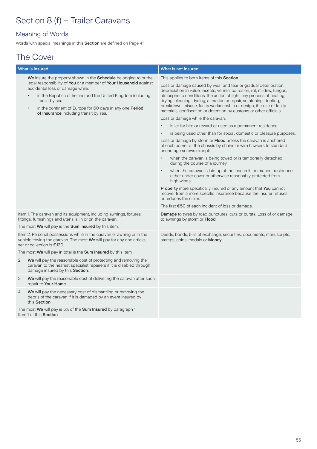# Section 8 (f) - Trailer Caravans

### Meaning of Words

Words with special meanings in this Section are defined on Page 41.

# The Cover

|                | What is insured                                                                                                                                                                                                                                                                                                        | What is not insured                                                                                                                                                                                                                                                                                                                                                                                                                      |
|----------------|------------------------------------------------------------------------------------------------------------------------------------------------------------------------------------------------------------------------------------------------------------------------------------------------------------------------|------------------------------------------------------------------------------------------------------------------------------------------------------------------------------------------------------------------------------------------------------------------------------------------------------------------------------------------------------------------------------------------------------------------------------------------|
| $\mathbf{1}$ . | We insure the property shown in the Schedule belonging to or the<br>legal responsibility of You or a member of Your Household against<br>accidental loss or damage while:<br>in the Republic of Ireland and the United Kingdom including<br>transit by sea<br>in the continent of Europe for 60 days in any one Period | This applies to both Items of this Section.                                                                                                                                                                                                                                                                                                                                                                                              |
|                |                                                                                                                                                                                                                                                                                                                        | Loss or damage caused by wear and tear or gradual deterioration,<br>depreciation in value, insects, vermin, corrosion, rot, mildew, fungus,<br>atmospheric conditions, the action of light, any process of heating,<br>drying, cleaning, dyeing, alteration or repair, scratching, denting,<br>breakdown, misuse, faulty workmanship or design, the use of faulty<br>materials, confiscation or detention by customs or other officials. |
|                | of Insurance including transit by sea.                                                                                                                                                                                                                                                                                 | Loss or damage while the caravan:                                                                                                                                                                                                                                                                                                                                                                                                        |
|                |                                                                                                                                                                                                                                                                                                                        | is let for hire or reward or used as a permanent residence                                                                                                                                                                                                                                                                                                                                                                               |
|                |                                                                                                                                                                                                                                                                                                                        | is being used other than for social, domestic or pleasure purposes.                                                                                                                                                                                                                                                                                                                                                                      |
|                |                                                                                                                                                                                                                                                                                                                        | Loss or damage by storm or Flood unless the caravan is anchored<br>at each corner of the chassis by chains or wire hawsers to standard<br>anchorage screws except:                                                                                                                                                                                                                                                                       |
|                |                                                                                                                                                                                                                                                                                                                        | when the caravan is being towed or is temporarily detached<br>during the course of a journey                                                                                                                                                                                                                                                                                                                                             |
|                |                                                                                                                                                                                                                                                                                                                        | when the caravan is laid up at the Insured's permanent residence<br>either under cover or otherwise reasonably protected from<br>high winds.                                                                                                                                                                                                                                                                                             |
|                |                                                                                                                                                                                                                                                                                                                        | <b>Property</b> more specifically insured or any amount that You cannot<br>recover from a more specific insurance because the insurer refuses<br>or reduces the claim.                                                                                                                                                                                                                                                                   |
|                |                                                                                                                                                                                                                                                                                                                        | The first $\epsilon$ 50 of each incident of loss or damage.                                                                                                                                                                                                                                                                                                                                                                              |
|                | Item 1. The caravan and its equipment, including awnings, fixtures,<br>fittings, furnishings and utensils, in or on the caravan.                                                                                                                                                                                       | <b>Damage</b> to tyres by road punctures, cuts or bursts. Loss of or damage<br>to awnings by storm or Flood.                                                                                                                                                                                                                                                                                                                             |
|                | The most We will pay is the Sum Insured by this item.                                                                                                                                                                                                                                                                  |                                                                                                                                                                                                                                                                                                                                                                                                                                          |
|                | Item 2. Personal possessions while in the caravan or awning or in the<br>vehicle towing the caravan. The most We will pay for any one article,<br>set or collection is €130.                                                                                                                                           | Deeds, bonds, bills of exchange, securities, documents, manuscripts,<br>stamps, coins, medals or Money.                                                                                                                                                                                                                                                                                                                                  |
|                | The most We will pay in total is the Sum Insured by this Item.                                                                                                                                                                                                                                                         |                                                                                                                                                                                                                                                                                                                                                                                                                                          |
| 2.             | We will pay the reasonable cost of protecting and removing the<br>caravan to the nearest specialist repairers if it is disabled through<br>damage insured by this Section.                                                                                                                                             |                                                                                                                                                                                                                                                                                                                                                                                                                                          |
| 3.             | We will pay the reasonable cost of delivering the caravan after such<br>repair to Your Home.                                                                                                                                                                                                                           |                                                                                                                                                                                                                                                                                                                                                                                                                                          |
| 4.             | We will pay the necessary cost of dismantling or removing the<br>debris of the caravan if it is damaged by an event insured by<br>this Section.                                                                                                                                                                        |                                                                                                                                                                                                                                                                                                                                                                                                                                          |
|                | The most We will pay is 5% of the Sum Insured by paragraph 1,<br>Item 1 of this Section.                                                                                                                                                                                                                               |                                                                                                                                                                                                                                                                                                                                                                                                                                          |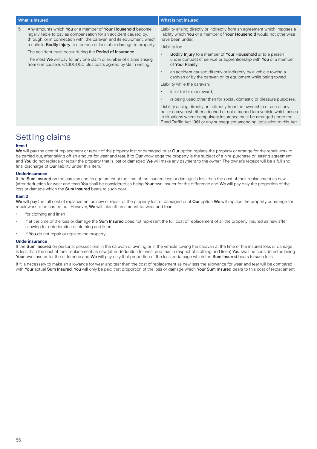5. Any amounts which You or a member of Your Household become legally liable to pay as compensation for an accident caused by, through, or in connection with, the caravan and its equipment, which results in Bodily Injury to a person or loss of or damage to property.

The accident must occur during the Period of Insurance.

The most We will pay for any one claim or number of claims arising from one cause is €1,300,000 plus costs agreed by Us in writing.

### What is insured **What is insured** What is not insured

Liability arising directly or indirectly from an agreement which imposes a liability which You or a member of Your Household would not otherwise have been under.

Liability for:

- **Bodily Injury** to a member of Your Household or to a person under contract of service or apprenticeship with You or a member of Your Family,
- an accident caused directly or indirectly by a vehicle towing a caravan or by the caravan or its equipment while being towed.

Liability while the caravan:

- is let for hire or reward
- is being used other than for social, domestic or pleasure purposes.

Liability arising directly or indirectly from the ownership or use of any trailer caravan whether attached or not attached to a vehicle which arises in situations where compulsory insurance must be arranged under the Road Traffic Act 1961 or any subsequent amending legislation to this Act.

### Settling claims

### **Item 1**

We will pay the cost of replacement or repair of the property lost or damaged, or at Our option replace the property or arrange for the repair work to be carried out, after taking off an amount for wear and tear. If to Our knowledge the property is the subject of a hire-purchase or leasing agreement and You do not replace or repair the property that is lost or damaged We will make any payment to the owner. The owner's receipt will be a full and final discharge of Our liability under this Item.

#### **Underinsurance**

If the Sum Insured on the caravan and its equipment at the time of the insured loss or damage is less than the cost of their replacement as new (after deduction for wear and tear) You shall be considered as being Your own insurer for the difference and We will pay only the proportion of the loss or damage which the Sum Insured bears to such cost.

#### **Item 2**

We will pay the full cost of replacement as new or repair of the property lost or damaged or at Our option We will replace the property or arrange for repair work to be carried out. However, We will take off an amount for wear and tear:

- for clothing and linen
- if at the time of the loss or damage the **Sum Insured** does not represent the full cost of replacement of all the property insured as new after allowing for deterioration of clothing and linen
- if You do not repair or replace the property.

### **Underinsurance**

If the Sum Insured on personal possessions in the caravan or awning or in the vehicle towing the caravan at the time of the insured loss or damage is less than the cost of their replacement as new (after deduction for wear and tear in respect of clothing and linen) You shall be considered as being Your own insurer for the difference and We will pay only that proportion of the loss or damage which the Sum Insured bears to such loss.

If it is necessary to make an allowance for wear and tear then the cost of replacement as new less the allowance for wear and tear will be compared with Your actual Sum Insured. You will only be paid that proportion of the loss or damage which Your Sum Insured bears to this cost of replacement.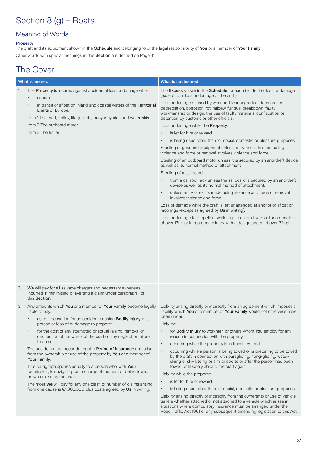# Section 8 (g) – Boats

### Meaning of Words

### **Property**

The craft and its equipment shown in the **Schedule** and belonging to or the legal responsibility of **You** or a member of **Your Family**. Other words with special meanings in this Section are defined on Page 41.

# The Cover

| <b>What is insured</b> |                                                                                                                                                                                                                                                                                                                       | What is not insured                                                                                                                                                                                                                                                                                      |
|------------------------|-----------------------------------------------------------------------------------------------------------------------------------------------------------------------------------------------------------------------------------------------------------------------------------------------------------------------|----------------------------------------------------------------------------------------------------------------------------------------------------------------------------------------------------------------------------------------------------------------------------------------------------------|
| 1.                     | The Property is insured against accidental loss or damage while:<br>ashore                                                                                                                                                                                                                                            | The Excess shown in the Schedule for each incident of loss or damage<br>(except total loss or damage of the craft).                                                                                                                                                                                      |
|                        | in transit or afloat on inland and coastal waters of the Territorial<br><b>Limits or Europe.</b><br>Item 1 The craft, trolley, life-jackets, buoyancy aids and water-skis.                                                                                                                                            | Loss or damage caused by wear and tear or gradual deterioration,<br>depreciation, corrosion, rot, mildew, fungus, breakdown, faulty<br>workmanship or design, the use of faulty materials, confiscation or<br>detention by customs or other officials.                                                   |
|                        | Item 2 The outboard motor.                                                                                                                                                                                                                                                                                            | Loss or damage while the Property:                                                                                                                                                                                                                                                                       |
|                        | Item 3 The trailer.                                                                                                                                                                                                                                                                                                   | is let for hire or reward                                                                                                                                                                                                                                                                                |
|                        |                                                                                                                                                                                                                                                                                                                       | is being used other than for social, domestic or pleasure purposes.                                                                                                                                                                                                                                      |
|                        |                                                                                                                                                                                                                                                                                                                       | Stealing of gear and equipment unless entry or exit is made using<br>violence and force or removal involves violence and force.                                                                                                                                                                          |
|                        |                                                                                                                                                                                                                                                                                                                       | Stealing of an outboard motor unless it is secured by an anti-theft device<br>as well as its normal method of attachment.                                                                                                                                                                                |
|                        |                                                                                                                                                                                                                                                                                                                       | Stealing of a sailboard:                                                                                                                                                                                                                                                                                 |
|                        |                                                                                                                                                                                                                                                                                                                       | from a car roof rack unless the sailboard is secured by an anti-theft<br>device as well as its normal method of attachment,                                                                                                                                                                              |
|                        |                                                                                                                                                                                                                                                                                                                       | unless entry or exit is made using violence and force or removal<br>involves violence and force.                                                                                                                                                                                                         |
|                        |                                                                                                                                                                                                                                                                                                                       | Loss or damage while the craft is left unattended at anchor or afloat on<br>moorings (except as agreed by Us in writing).                                                                                                                                                                                |
|                        |                                                                                                                                                                                                                                                                                                                       | Loss or damage to propellers while in use on craft with outboard motors<br>of over 17hp or inboard machinery with a design speed of over 32kph.                                                                                                                                                          |
| 2.                     | We will pay for all salvage charges and necessary expenses<br>incurred in minimising or averting a claim under paragraph 1 of<br>this Section.                                                                                                                                                                        |                                                                                                                                                                                                                                                                                                          |
| З.                     | Any amounts which You or a member of Your Family become legally<br>liable to pay:                                                                                                                                                                                                                                     | Liability arising directly or indirectly from an agreement which imposes a<br>liability which You or a member of Your Family would not otherwise have                                                                                                                                                    |
|                        | as compensation for an accident causing Bodily Injury to a<br>person or loss of or damage to property                                                                                                                                                                                                                 | been under.<br>Liability:                                                                                                                                                                                                                                                                                |
|                        | for the cost of any attempted or actual raising, removal or<br>$\bullet$<br>destruction of the wreck of the craft or any neglect or failure                                                                                                                                                                           | for <b>Bodily Injury</b> to workmen or others whom You employ for any<br>reason in connection with the property                                                                                                                                                                                          |
|                        | to do so.                                                                                                                                                                                                                                                                                                             | occurring while the property is in transit by road<br>$\bullet$                                                                                                                                                                                                                                          |
|                        | The accident must occur during the Period of Insurance and arise<br>from the ownership or use of the property by You or a member of<br>Your Family.<br>This paragraph applies equally to a person who, with Your<br>permission, is navigating or in charge of the craft or being towed<br>on water-skis by the craft. | occurring while a person is being towed or is preparing to be towed<br>$\bullet$<br>by the craft in connection with paragliding, hang-gliding, water-<br>skiing or ski- kiteing or similar sports or after the person has been<br>towed until safely aboard the craft again.                             |
|                        |                                                                                                                                                                                                                                                                                                                       | Liability while the property:                                                                                                                                                                                                                                                                            |
|                        | The most We will pay for any one claim or number of claims arising                                                                                                                                                                                                                                                    | is let for hire or reward                                                                                                                                                                                                                                                                                |
|                        | from one cause is $£1,300,000$ plus costs agreed by Us in writing.                                                                                                                                                                                                                                                    | is being used other than for social, domestic or pleasure purposes.<br>٠                                                                                                                                                                                                                                 |
|                        |                                                                                                                                                                                                                                                                                                                       | Liability arising directly or indirectly from the ownership or use of vehicle<br>trailers whether attached or not attached to a vehicle which arises in<br>situations where compulsory insurance must be arranged under the<br>Road Traffic Act 1961 or any subsequent amending legislation to this Act. |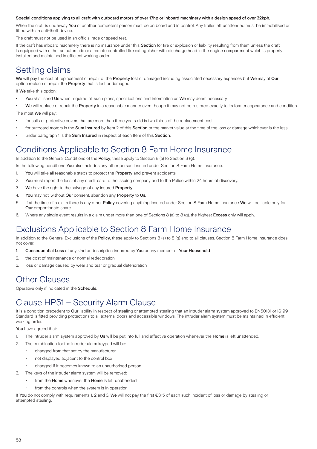### Special conditions applying to all craft with outboard motors of over 17hp or inboard machinery with a design speed of over 32kph.

When the craft is underway You or another competent person must be on board and in control. Any trailer left unattended must be immobilised or fitted with an anti-theft device.

The craft must not be used in an official race or speed test.

If the craft has inboard machinery there is no insurance under this Section for fire or explosion or liability resulting from them unless the craft is equipped with either an automatic or a remote controlled fire extinguisher with discharge head in the engine compartment which is properly installed and maintained in efficient working order.

# Settling claims

We will pay the cost of replacement or repair of the Property lost or damaged including associated necessary expenses but We may at Our option replace or repair the Property that is lost or damaged.

If We take this option:

- You shall send Us when required all such plans, specifications and information as We may deem necessary
- We will replace or repair the Property in a reasonable manner even though it may not be restored exactly to its former appearance and condition.

The most We will pay:

- for sails or protective covers that are more than three years old is two thirds of the replacement cost
- for outboard motors is the Sum Insured by Item 2 of this Section or the market value at the time of the loss or damage whichever is the less
- under paragraph 1 is the Sum Insured in respect of each Item of this Section.

### Conditions Applicable to Section 8 Farm Home Insurance

In addition to the General Conditions of the Policy, these apply to Section 8 (a) to Section 8 (g).

In the following conditions You also includes any other person insured under Section 8 Farm Home Insurance.

- 1. You will take all reasonable steps to protect the Property and prevent accidents.
- 2. You must report the loss of any credit card to the issuing company and to the Police within 24 hours of discovery.
- 3. We have the right to the salvage of any insured Property.
- 4. You may not, without Our consent, abandon any Property to Us.
- 5. If at the time of a claim there is any other Policy covering anything insured under Section 8 Farm Home Insurance We will be liable only for Our proportionate share.
- 6. Where any single event results in a claim under more than one of Sections 8 (a) to 8 (g), the highest Excess only will apply.

### Exclusions Applicable to Section 8 Farm Home Insurance

In addition to the General Exclusions of the Policy, these apply to Sections 8 (a) to 8 (g) and to all clauses. Section 8 Farm Home Insurance does not cover:

- 1. Consequential Loss of any kind or description incurred by You or any member of Your Household
- 2. the cost of maintenance or normal redecoration
- 3. loss or damage caused by wear and tear or gradual deterioration

### Other Clauses

Operative only if indicated in the Schedule.

# Clause HP51 – Security Alarm Clause

It is a condition precedent to Our liability in respect of stealing or attempted stealing that an intruder alarm system approved to EN50131 or IS199 Standard is fitted providing protections to all external doors and accessible windows. The intruder alarm system must be maintained in efficient working order.

You have agreed that:

- 1. The intruder alarm system approved by Us will be put into full and effective operation whenever the Home is left unattended.
- 2. The combination for the intruder alarm keypad will be:
	- changed from that set by the manufacturer
	- not displayed adjacent to the control box
	- changed if it becomes known to an unauthorised person.
- 3. The keys of the intruder alarm system will be removed:
	- from the Home whenever the Home is left unattended
	- from the controls when the system is in operation.

If You do not comply with requirements 1, 2 and 3, We will not pay the first €315 of each such incident of loss or damage by stealing or attempted stealing.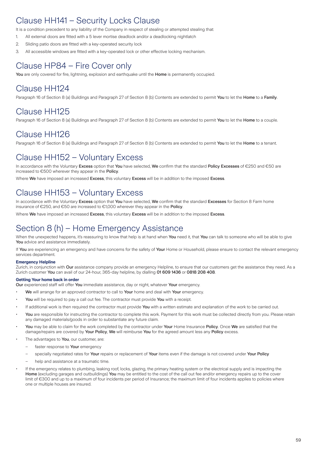# Clause HH141 – Security Locks Clause

It is a condition precedent to any liability of the Company in respect of stealing or attempted stealing that:

- 1. All external doors are fitted with a 5 lever mortise deadlock and/or a deadlocking nightlatch
- 2. Sliding patio doors are fitted with a key-operated security lock
- 3. All accessible windows are fitted with a key-operated lock or other effective locking mechanism.

# Clause HP84 – Fire Cover only

You are only covered for fire, lightning, explosion and earthquake until the Home is permanently occupied.

# Clause HH124

Paragraph 16 of Section 8 (a) Buildings and Paragraph 27 of Section 8 (b) Contents are extended to permit You to let the Home to a Family.

### Clause HH125

Paragraph 16 of Section 8 (a) Buildings and Paragraph 27 of Section 8 (b) Contents are extended to permit You to let the Home to a couple.

### Clause HH126

Paragraph 16 of Section 8 (a) Buildings and Paragraph 27 of Section 8 (b) Contents are extended to permit You to let the Home to a tenant.

### Clause HH152 – Voluntary Excess

In accordance with the Voluntary Excess option that You have selected, We confirm that the standard Policy Excesses of €250 and €50 are increased to €500 wherever they appear in the Policy.

Where We have imposed an increased Excess, this voluntary Excess will be in addition to the imposed Excess.

### Clause HH153 – Voluntary Excess

In accordance with the Voluntary Excess option that You have selected, We confirm that the standard Excesses for Section 8 Farm home insurance of €250, and €50 are increased to €1,000 wherever they appear in the Policy.

Where We have imposed an increased Excess, this voluntary Excess will be in addition to the imposed Excess.

### Section 8 (h) – Home Emergency Assistance

When the unexpected happens, it's reassuring to know that help is at hand when You need it, that You can talk to someone who will be able to give You advice and assistance immediately.

If You are experiencing an emergency and have concerns for the safety of Your Home or Household, please ensure to contact the relevant emergency services department.

### **Emergency Helpline**

Zurich, in conjunction with Our assistance company provide an emergency Helpline, to ensure that our customers get the assistance they need. As a Zurich customer You can avail of our 24-hour, 365-day helpline, by dialling 01 609 1436 or 0818 208 408.

### **Getting Your home back in order**

Our experienced staff will offer You immediate assistance, day or night, whatever Your emergency.

- We will arrange for an approved contractor to call to Your home and deal with Your emergency.
- You will be required to pay a call out fee. The contractor must provide You with a receipt.
- If additional work is then required the contractor must provide You with a written estimate and explanation of the work to be carried out.
- You are responsible for instructing the contractor to complete this work. Payment for this work must be collected directly from you. Please retain any damaged materials/goods in order to substantiate any future claim.
- You may be able to claim for the work completed by the contractor under Your Home Insurance Policy. Once We are satisfied that the damage/repairs are covered by Your Policy, We will reimburse You for the agreed amount less any Policy excess.
- The advantages to You, our customer, are:
	- faster response to Your emergency
	- specially negotiated rates for Your repairs or replacement of Your items even if the damage is not covered under Your Policy
	- help and assistance at a traumatic time.
- If the emergency relates to plumbing, leaking roof, locks, glazing, the primary heating system or the electrical supply and is impacting the Home (excluding garages and outbuildings) You may be entitled to the cost of the call out fee and/or emergency repairs up to the cover limit of €300 and up to a maximum of four incidents per period of Insurance; the maximum limit of four incidents applies to policies where one or multiple houses are insured.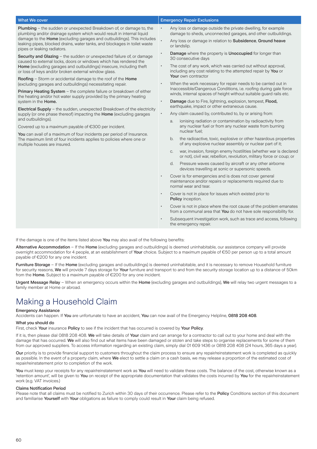| <b>What We cover</b>                                                                                                                                                                                                                                                                                                                                                                                                                                                                                                                                                                                                                                                                                                                                        | <b>Emergency Repair Exclusions</b>                                                                                                               |
|-------------------------------------------------------------------------------------------------------------------------------------------------------------------------------------------------------------------------------------------------------------------------------------------------------------------------------------------------------------------------------------------------------------------------------------------------------------------------------------------------------------------------------------------------------------------------------------------------------------------------------------------------------------------------------------------------------------------------------------------------------------|--------------------------------------------------------------------------------------------------------------------------------------------------|
| <b>Plumbing</b> – the sudden or unexpected Breakdown of, or damage to, the<br>plumbing and/or drainage system which would result in internal liquid<br>damage to the <b>Home</b> (excluding garages and outbuildings). This includes<br>leaking pipes, blocked drains, water tanks, and blockages in toilet waste<br>pipes or leaking radiators.<br>Security and Glazing - the sudden or unexpected failure of, or damage<br>caused to external locks, doors or windows which has rendered the<br>Home (excluding garages and outbuildings) insecure, including theft<br>or loss of keys and/or broken external window glass.<br>Roofing - Storm or accidental damage to the roof of the Home<br>(excluding garages and outbuildings) necessitating repair. | Any loss or damage outside the private dwelling, for example<br>$\bullet$<br>damage to sheds, unconnected garages, and other outbuildings.       |
|                                                                                                                                                                                                                                                                                                                                                                                                                                                                                                                                                                                                                                                                                                                                                             | $\ddot{\phantom{0}}$<br>Any loss or damage in relation to Subsidence, Ground heave<br>or landslip.                                               |
|                                                                                                                                                                                                                                                                                                                                                                                                                                                                                                                                                                                                                                                                                                                                                             | Damage where the property is Unoccupied for longer than<br>$\bullet$<br>30 consecutive days                                                      |
|                                                                                                                                                                                                                                                                                                                                                                                                                                                                                                                                                                                                                                                                                                                                                             | The cost of any work, which was carried out without approval,<br>$\bullet$<br>including any cost relating to the attempted repair by You or      |
|                                                                                                                                                                                                                                                                                                                                                                                                                                                                                                                                                                                                                                                                                                                                                             | Your own contractor<br>When the work necessary for repair needs to be carried out in<br>$\bullet$                                                |
| Primary Heating System - the complete failure or breakdown of either<br>the heating and/or hot water supply provided by the primary heating                                                                                                                                                                                                                                                                                                                                                                                                                                                                                                                                                                                                                 | Inaccessible/Dangerous Conditions, i.e. roofing during gale force<br>winds, internal spaces of height without suitable quard rails etc.          |
| system in the Home.<br><b>Electrical Supply</b> – the sudden, unexpected Breakdown of the electricity<br>supply (or one phase thereof) impacting the Home (excluding garages<br>and outbuildings).<br>Covered up to a maximum payable of $\epsilon$ 300 per incident.<br>You can avail of a maximum of four incidents per period of Insurance.<br>The maximum limit of four incidents applies to policies where one or<br>multiple houses are insured.                                                                                                                                                                                                                                                                                                      | Damage due to Fire, lightning, explosion, tempest, Flood,<br>$\bullet$<br>earthquake, impact or other extraneous cause.                          |
|                                                                                                                                                                                                                                                                                                                                                                                                                                                                                                                                                                                                                                                                                                                                                             | Any claim caused by, contributed to, by or arising from:<br>$\bullet$                                                                            |
|                                                                                                                                                                                                                                                                                                                                                                                                                                                                                                                                                                                                                                                                                                                                                             | ionising radiation or contamination by radioactivity from<br>a.<br>any nuclear fuel or from any nuclear waste from burning<br>nuclear fuel:      |
|                                                                                                                                                                                                                                                                                                                                                                                                                                                                                                                                                                                                                                                                                                                                                             | the radioactive, toxic, explosive or other hazardous properties<br>b.<br>of any explosive nuclear assembly or nuclear part of it;                |
|                                                                                                                                                                                                                                                                                                                                                                                                                                                                                                                                                                                                                                                                                                                                                             | war, invasion, foreign enemy hostilities (whether war is declared<br>C.<br>or not), civil war, rebellion, revolution, military force or coup; or |
|                                                                                                                                                                                                                                                                                                                                                                                                                                                                                                                                                                                                                                                                                                                                                             | Pressure waves caused by aircraft or any other airborne<br>d.<br>devices travelling at sonic or supersonic speeds.                               |

Cover is for emergencies and is does not cover general maintenance and/or repairs or replacements required due to

• Cover is not in place for issues which existed prior to

Cover is not in place where the root cause of the problem emanates from a communal area that You do not have sole responsibility for. Subsequent investigation work, such as trace and access, following

normal wear and tear.

the emergency repair.

Policy inception.

If the damage is one of the items listed above You may also avail of the following benefits:

Alternative Accommodation – If the Home (excluding garages and outbuildings) is deemed uninhabitable, our assistance company will provide overnight accommodation for 4 people, at an establishment of Your choice. Subject to a maximum payable of €50 per person up to a total amount payable of €200 for any one incident.

Furniture Storage - If the Home (excluding garages and outbuildings) is deemed uninhabitable, and it is necessary to remove Household furniture for security reasons, We will provide 7 days storage for Your furniture and transport to and from the security storage location up to a distance of 50km from the Home. Subject to a maximum payable of €200 for any one incident.

Urgent Message Relay – When an emergency occurs within the Home (excluding garages and outbuildings), We will relay two urgent messages to a family member at Home or abroad.

# Making a Household Claim

#### Emergency Assistance

Accidents can happen. If You are unfortunate to have an accident, You can now avail of the Emergency Helpline, 0818 208 408.

#### What you should do

First, check Your insurance Policy to see if the incident that has occurred is covered by Your Policy.

If it is, then please dial 0818 208 408. We will take details of Your claim and can arrange for a contractor to call out to your home and deal with the damage that has occurred. We will also find out what items have been damaged or stolen and take steps to organise replacements for some of them from our approved suppliers. To access information regarding an existing claim, simply dial 01 609 1436 or 0818 208 408 (24 hours, 365 days a year).

Our priority is to provide financial support to customers throughout the claim process to ensure any repair/reinstatement work is completed as quickly as possible. In the event of a property claim, where We elect to settle a claim on a cash basis, we may release a proportion of the estimated cost of repair/reinstatement prior to completion of the work.

You must keep your receipts for any repair/reinstatement work as You will need to validate these costs. The balance of the cost, otherwise known as a 'retention amount', will be given to You on receipt of the appropriate documentation that validates the costs incurred by You for the repair/reinstatement work (e.g. VAT invoices.)

### Claims Notification Period

Please note that all claims must be notified to Zurich within 30 days of their occurrence. Please refer to the Policy Conditions section of this document and familiarise Yourself with Your obligations as failure to comply could result in Your claim being refused.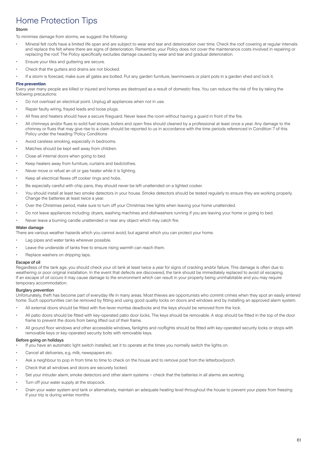# Home Protection Tips

### Storm

To minimise damage from storms, we suggest the following:

- Mineral felt roofs have a limited life span and are subject to wear and tear and deterioration over time. Check the roof covering at regular intervals and replace the felt where there are signs of deterioration. Remember, your Policy does not cover the maintenance costs involved in repairing or replacing the roof. The Policy specifically excludes damage caused by wear and tear and gradual deterioration.
- Ensure your tiles and guttering are secure.
- Check that the gutters and drains are not blocked.
- If a storm is forecast, make sure all gates are bolted. Put any garden furniture, lawnmowers or plant pots in a garden shed and lock it.

### **Fire prevention**

Every year many people are killed or injured and homes are destroyed as a result of domestic fires. You can reduce the risk of fire by taking the following precautions:

- Do not overload an electrical point. Unplug all appliances when not in use.
- Repair faulty wiring, frayed leads and loose plugs.
- All fires and heaters should have a secure fireguard. Never leave the room without having a guard in front of the fire.
- All chimneys and/or flues to solid fuel stoves, boilers and open fires should cleaned by a professional at least once a year. Any damage to the chimney or flues that may give rise to a claim should be reported to us in accordance with the time periods referenced in Condition 7 of this Policy under the heading 'Policy Conditions
- Avoid careless smoking, especially in bedrooms.
- Matches should be kept well away from children.
- Close all internal doors when going to bed.
- Keep heaters away from furniture, curtains and bedclothes.
- Never move or refuel an oil or gas heater while it is lighting.
- Keep all electrical flexes off cooker rings and hobs.
- Be especially careful with chip pans, they should never be left unattended on a lighted cooker.
- You should install at least two smoke detectors in your house. Smoke detectors should be tested regularly to ensure they are working properly. Change the batteries at least twice a year.
- Over the Christmas period, make sure to turn off your Christmas tree lights when leaving your home unattended.
- Do not leave appliances including: dryers, washing machines and dishwashers running if you are leaving your home or going to bed.
- Never leave a burning candle unattended or near any object which may catch fire.

### Water damage

There are various weather hazards which you cannot avoid, but against which you can protect your home.

- Lag pipes and water tanks wherever possible.
- Leave the underside of tanks free to ensure rising warmth can reach them.
- Replace washers on dripping taps.

### Escape of oil

Regardless of the tank age, you should check your oil tank at least twice a year for signs of cracking and/or failure. This damage is often due to weathering or poor original installation. In the event that defects are discovered, the tank should be immediately replaced to avoid oil escaping. If an escape of oil occurs it may cause damage to the environment which can result in your property being uninhabitable and you may require temporary accommodation.

### Burglary prevention

Unfortunately, theft has become part of everyday life in many areas. Most thieves are opportunists who commit crimes when they spot an easily entered home. Such opportunities can be removed by fitting and using good quality locks on doors and windows and by installing an approved alarm system.

- All external doors should be fitted with five-lever mortise deadlocks and the keys should be removed from the lock.
- All patio doors should be fitted with key-operated patio door locks. The keys should be removable. A stop should be fitted in the top of the door frame to prevent the doors from being lifted out of their frame.
- All ground floor windows and other accessible windows, fanlights and rooflights should be fitted with key-operated security locks or stops with removable keys or key-operated security bolts with removable keys.

### Before going on holidays

- If you have an automatic light switch installed, set it to operate at the times you normally switch the lights on.
- Cancel all deliveries, e.g. milk, newspapers etc.
- Ask a neighbour to pop in from time to time to check on the house and to remove post from the letterbox/porch.
- Check that all windows and doors are securely locked.
- Set your intruder alarm, smoke detectors and other alarm systems check that the batteries in all alarms are working.
- Turn off your water supply at the stopcock.
- Drain your water system and tank or alternatively, maintain an adequate heating level throughout the house to prevent your pipes from freezing if your trip is during winter months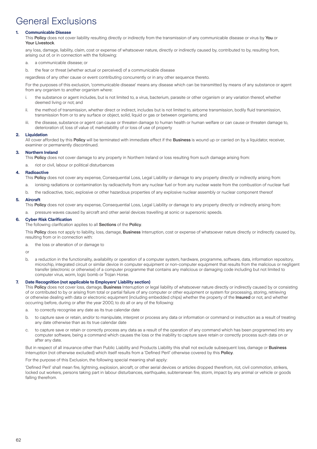# General Exclusions

### **1. Communicable Disease**

This Policy does not cover liability resulting directly or indirectly from the transmission of any communicable disease or virus by You or Your Livestock.

any loss, damage, liability, claim, cost or expense of whatsoever nature, directly or indirectly caused by, contributed to by, resulting from, arising out of, or in connection with the following:

- a. a communicable disease; or
- b. the fear or threat (whether actual or perceived) of a communicable disease

regardless of any other cause or event contributing concurrently or in any other sequence thereto.

For the purposes of this exclusion, 'communicable disease' means any disease which can be transmitted by means of any substance or agent from any organism to another organism where:

- i. the substance or agent includes, but is not limited to, a virus, bacterium, parasite or other organism or any variation thereof, whether deemed living or not; and
- ii. the method of transmission, whether direct or indirect, includes but is not limited to, airborne transmission, bodily fluid transmission, transmission from or to any surface or object, solid, liquid or gas or between organisms; and
- iii. the disease, substance or agent can cause or threaten damage to human health or human welfare or can cause or threaten damage to, deterioration of, loss of value of, marketability of or loss of use of property

### **2. Liquidation**

All cover afforded by this Policy will be terminated with immediate effect if the Business is wound up or carried on by a liquidator, receiver, examiner or permanently discontinued.

### **3. Northern Ireland**

This Policy does not cover damage to any property in Northern Ireland or loss resulting from such damage arising from:

a. riot or civil, labour or political disturbances

### **4. Radioactive**

This Policy does not cover any expense, Consequential Loss, Legal Liability or damage to any property directly or indirectly arising from:

- a. ionising radiations or contamination by radioactivity from any nuclear fuel or from any nuclear waste from the combustion of nuclear fuel
- b. the radioactive, toxic, explosive or other hazardous properties of any explosive nuclear assembly or nuclear component thereof

### **5. Aircraft**

This Policy does not cover any expense, Consequential Loss, Legal Liability or damage to any property directly or indirectly arising from:

pressure waves caused by aircraft and other aerial devices travelling at sonic or supersonic speeds.

### **6. Cyber Risk Clarification**

### The following clarification applies to all Sections of the Policy.

This Policy does not apply to liability, loss, damage, Business Interruption, cost or expense of whatsoever nature directly or indirectly caused by, resulting from or in connection with:

a. the loss or alteration of or damage to

or

b. a reduction in the functionality, availability or operation of a computer system, hardware, programme, software, data, information repository, microchip, integrated circuit or similar device in computer equipment or non-computer equipment that results from the malicious or negligent transfer (electronic or otherwise) of a computer programme that contains any malicious or damaging code including but not limited to computer virus, worm, logic bomb or Trojan Horse.

### **7. Date Recognition (not applicable to Employers' Liability section)**

This Policy does not cover loss, damage, Business Interruption or legal liability of whatsoever nature directly or indirectly caused by or consisting of or contributed to by or arising from total or partial failure of any computer or other equipment or system for processing, storing, retrieving or otherwise dealing with data or electronic equipment (including embedded chips) whether the property of the Insured or not, and whether occurring before, during or after the year 2000, to do all or any of the following:

- a. to correctly recognise any date as its true calendar date
- b. to capture save or retain, and/or to manipulate, interpret or process any data or information or command or instruction as a result of treating any date otherwise than as its true calendar date
- c. to capture save or retain or correctly process any data as a result of the operation of any command which has been programmed into any computer software, being a command which causes the loss or the inability to capture save retain or correctly process such data on or after any date.

But in respect of all insurance other than Public Liability and Products Liability this shall not exclude subsequent loss, damage or Business Interruption (not otherwise excluded) which itself results from a 'Defined Peril' otherwise covered by this Policy.

For the purpose of this Exclusion, the following special meaning shall apply:

'Defined Peril' shall mean fire, lightning, explosion, aircraft, or other aerial devices or articles dropped therefrom, riot, civil commotion, strikers, locked out workers, persons taking part in labour disturbances, earthquake, subterranean fire, storm, impact by any animal or vehicle or goods falling therefrom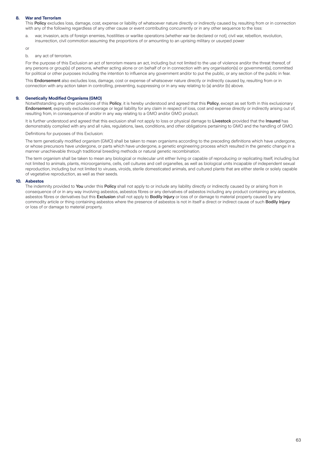### **8. War and Terrorism**

This Policy excludes loss, damage, cost, expense or liability of whatsoever nature directly or indirectly caused by, resulting from or in connection with any of the following regardless of any other cause or event contributing concurrently or in any other sequence to the loss:

a. war, invasion, acts of foreign enemies, hostilities or warlike operations (whether war be declared or not), civil war, rebellion, revolution, insurrection, civil commotion assuming the proportions of or amounting to an uprising military or usurped power

or

#### b. any act of terrorism.

For the purpose of this Exclusion an act of terrorism means an act, including but not limited to the use of violence and/or the threat thereof, of any persons or group(s) of persons, whether acting alone or on behalf of or in connection with any organisation(s) or government(s), committed for political or other purposes including the intention to influence any government and/or to put the public, or any section of the public in fear.

This Endorsement also excludes loss, damage, cost or expense of whatsoever nature directly or indirectly caused by, resulting from or in connection with any action taken in controlling, preventing, suppressing or in any way relating to (a) and/or (b) above.

### **9. Genetically Modified Organisms (GMO)**

Notwithstanding any other provisions of this Policy, it is hereby understood and agreed that this Policy, except as set forth in this exclusionary Endorsement, expressly excludes coverage or legal liability for any claim in respect of loss, cost and expense directly or indirectly arising out of, resulting from, in consequence of and/or in any way relating to a GMO and/or GMO product.

It is further understood and agreed that this exclusion shall not apply to loss or physical damage to Livestock provided that the Insured has demonstrably complied with any and all rules, regulations, laws, conditions, and other obligations pertaining to GMO and the handling of GMO.

Definitions for purposes of this Exclusion:

The term genetically modified organism (GMO) shall be taken to mean organisms according to the preceding definitions which have undergone, or whose precursors have undergone, or parts which have undergone, a genetic engineering process which resulted in the genetic change in a manner unachievable through traditional breeding methods or natural genetic recombination.

The term organism shall be taken to mean any biological or molecular unit either living or capable of reproducing or replicating itself, including but not limited to animals, plants, microorganisms, cells, cell cultures and cell organelles, as well as biological units incapable of independent sexual reproduction, including but not limited to viruses, viroids, sterile domesticated animals, and cultured plants that are either sterile or solely capable of vegetative reproduction, as well as their seeds.

### **10. Asbestos**

The indemnity provided to You under this Policy shall not apply to or include any liability directly or indirectly caused by or arising from in consequence of or in any way involving asbestos, asbestos fibres or any derivatives of asbestos including any product containing any asbestos, asbestos fibres or derivatives but this Exclusion shall not apply to Bodily Injury or loss of or damage to material property caused by any commodity article or thing containing asbestos where the presence of asbestos is not in itself a direct or indirect cause of such **Bodily Injury** or loss of or damage to material property.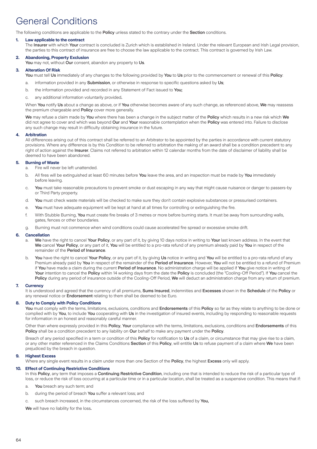# General Conditions

The following conditions are applicable to the Policy unless stated to the contrary under the Section conditions.

### **1. Law applicable to the contract**

The Insurer with which Your contract is concluded is Zurich which is established in Ireland. Under the relevant European and Irish Legal provision. the parties to this contract of insurance are free to choose the law applicable to the contract. This contract is governed by Irish Law.

### **2. Abandoning, Property Exclusion**

You may not, without Our consent, abandon any property to Us.

### **3. Alteration Of Risk**

You must tell Us immediately of any changes to the following provided by You to Us prior to the commencement or renewal of this Policy:

- a. information provided in any **Submission**, or otherwise in response to specific questions asked by Us;
- b. the information provided and recorded in any Statement of Fact issued to You;
- c. any additional information voluntarily provided.

When You notify Us about a change as above, or if You otherwise becomes aware of any such change, as referenced above, We may reassess the premium chargeable and Policy cover more generally.

We may refuse a claim made by You where there has been a change in the subject matter of the Policy which results in a new risk which We did not agree to cover and which was beyond Our and Your reasonable contemplation when the Policy was entered into. Failure to disclose any such change may result in difficulty obtaining insurance in the future.

#### **4. Arbitration**

All differences arising out of this contract shall be referred to an Arbitrator to be appointed by the parties in accordance with current statutory provisions. Where any difference is by this Condition to be referred to arbitration the making of an award shall be a condition precedent to any right of action against the Insurer. Claims not referred to arbitration within 12 calendar months from the date of disclaimer of liability shall be deemed to have been abandoned.

### **5. Burning of Waste**

- a. Fire will never be left unattended.
- b. All fires will be extinguished at least 60 minutes before You leave the area, and an inspection must be made by You immediately before leaving.
- c. You must take reasonable precautions to prevent smoke or dust escaping in any way that might cause nuisance or danger to passers-by or Third Party property.
- d. You must check waste materials will be checked to make sure they don't contain explosive substances or pressurised containers.
- e. You must have adequate equipment will be kept at hand at all times for controlling or extinguishing the fire.
- f. With Stubble Burning, You must create fire breaks of 3 metres or more before burning starts. It must be away from surrounding walls, gates, fences or other boundaries.
- g. Burning must not commence when wind conditions could cause accelerated fire spread or excessive smoke drift.

### **6. Cancellation**

- a. We have the right to cancel Your Policy, or any part of it, by giving 10 days notice in writing to Your last known address. In the event that We cancel Your Policy, or any part of it, You will be entitled to a pro-rata refund of any premium already paid by You in respect of the remainder of the Period of Insurance.
- b. You have the right to cancel Your Policy, or any part of it, by giving Us notice in writing and You will be entitled to a pro-rata refund of any Premium already paid by You in respect of the remainder of the Period of Insurance. However, You will not be entitled to a refund of Premium if You have made a claim during the current Period of Insurance. No administration charge will be applied if You give notice in writing of Your intention to cancel the Policy within 14 working days from the date the Policy is concluded (the "Cooling-Off Period"). If You cancel the Policy during any period of insurance outside of the Cooling-Off Period, We will deduct an administration charge from any return of premium.

### **7. Currency**

It is understood and agreed that the currency of all premiums, Sums Insured, indemnities and Excesses shown in the Schedule of the Policy or any renewal notice or **Endorsement** relating to them shall be deemed to be Euro.

### **8. Duty to Comply with Policy Conditions**

You must comply with the terms, limitations, exclusions, conditions and Endorsements of this Policy so far as they relate to anything to be done or complied with by You, to include You cooperating with Us in the investigation of insured events, including by responding to reasonable requests for information in an honest and reasonably careful manner.

Other than where expressly provided in this Policy, Your compliance with the terms, limitations, exclusions, conditions and Endorsements of this Policy shall be a condition precedent to any liability on Our behalf to make any payment under the Policy.

Breach of any period specified in a term or condition of this Policy for notification to Us of a claim, or circumstance that may give rise to a claim, or any other matter referenced in the Claims Conditions Section of this Policy, will entitle Us to refuse payment of a claim where We have been prejudiced by the breach in question.

### **9. Highest Excess**

Where any single event results in a claim under more than one Section of the Policy, the highest Excess only will apply.

### **10. Effect of Continuing Restrictive Conditions**

In this Policy, any term that imposes a Continuing Restrictive Condition, including one that is intended to reduce the risk of a particular type of loss, or reduce the risk of loss occurring at a particular time or in a particular location, shall be treated as a suspensive condition. This means that if:

- a. You breach any such term; and
- b. during the period of breach You suffer a relevant loss; and

c. such breach increased, in the circumstances concerned, the risk of the loss suffered by You,

We will have no liability for the loss.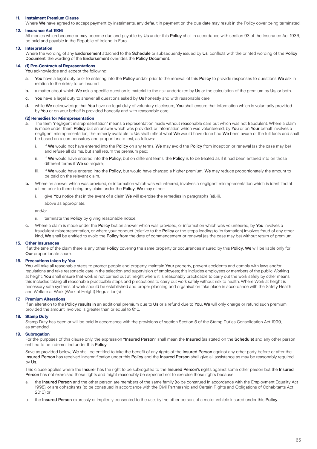### **11. Instalment Premium Clause**

Where We have agreed to accept payment by instalments, any default in payment on the due date may result in the Policy cover being terminated.

### **12. Insurance Act 1936**

All monies which become or may become due and payable by Us under this Policy shall in accordance with section 93 of the Insurance Act 1936, be paid and payable in the Republic of Ireland in Euro.

#### **13. Interpretation**

Where the wording of any Endorsement attached to the Schedule or subsequently issued by Us, conflicts with the printed wording of the Policy Document, the wording of the Endorsement overrides the Policy Document.

#### **14. (1) Pre-Contractual Representations**

You acknowledge and accept the following:

- a. You have a legal duty prior to entering into the Policy and/or prior to the renewal of this Policy to provide responses to questions We ask in relation to the risk(s) to be insured.
- b. a matter about which We ask a specific question is material to the risk undertaken by Us or the calculation of the premium by Us, or both.
- c. You have a legal duty to answer all questions asked by Us honestly and with reasonable care.
- d. while We acknowledge that You have no legal duty of voluntary disclosure, You shall ensure that information which is voluntarily provided by You or on your behalf is provided honestly and with reasonable care.

#### **(2) Remedies for Misrepresentation**

- a. The term "negligent misrepresentation" means a representation made without reasonable care but which was not fraudulent. Where a claim is made under them Policy but an answer which was provided, or information which was volunteered, by You or on Your behalf involves a negligent misrepresentation, the remedy available to Us shall reflect what We would have done had We been aware of the full facts and shall be based on a compensatory and proportionate test, as follows:
	- i. if We would not have entered into the Policy on any terms, We may avoid the Policy from inception or renewal (as the case may be) and refuse all claims, but shall return the premium paid;
	- ii. if We would have entered into the Policy, but on different terms, the Policy is to be treated as if it had been entered into on those different terms if We so require:
	- iii. if We would have entered into the Policy, but would have charged a higher premium, We may reduce proportionately the amount to be paid on the relevant claim.
- b. Where an answer which was provided, or information which was volunteered, involves a negligent misrepresentation which is identified at a time prior to there being any claim under the Policy, We may either:
	- i. give You notice that in the event of a claim We will exercise the remedies in paragraphs (a)i.-iii.
	- above as appropriate;

and/or

- ii. terminate the Policy by giving reasonable notice.
- Where a claim is made under the Policy but an answer which was provided, or information which was volunteered, by You involves a fraudulent misrepresentation, or where your conduct (relative to the Policy or the steps leading to its formation) involves fraud of any other kind, We shall be entitled to avoid the Policy from the date of commencement or renewal (as the case may be) without return of premium.

#### **15. Other Insurances**

If at the time of the claim there is any other Policy covering the same property or occurrences insured by this Policy, We will be liable only for **Our** proportionate share

### **16. Precautions taken by You**

You will take all reasonable steps to protect people and property, maintain Your property, prevent accidents and comply with laws and/or regulations and take reasonable care in the selection and supervision of employees; this includes employees or members of the public Working at height, You shall ensure that work is not carried out at height where it is reasonably practicable to carry out the work safely by other means this includes taking all reasonable practicable steps and precautions to carry out work safely without risk to health. Where Work at height is necessary safe systems of work should be established and proper planning and organisation take place in accordance with the Safety Health and Welfare at Work (Work at Height) Regulation(s).

### **17. Premium Alterations**

If an alteration to the **Policy results in** an additional premium due to Us or a refund due to You. We will only charge or refund such premium provided the amount involved is greater than or equal to €10.

#### **18. Stamp Duty**

Stamp Duty has been or will be paid in accordance with the provisions of section Section 5 of the Stamp Duties Consolidation Act 1999, as amended.

#### **19. Subrogation**

For the purposes of this clause only, the expression "Insured Person" shall mean the Insured (as stated on the Schedule) and any other person entitled to be indemnified under this Policy.

Save as provided below, We shall be entitled to take the benefit of any rights of the Insured Person against any other party before or after the Insured Person has received indemnification under this Policy and the Insured Person shall give all assistance as may be reasonably required by Us.

This clause applies where the Insurer has the right to be subrogated to the Insured Person's rights against some other person but the Insured Person has not exercised those rights and might reasonably be expected not to exercise those rights because

- a. the Insured Person and the other person are members of the same family (to be construed in accordance with the Employment Equality Act 1998), or are cohabitants (to be construed in accordance with the Civil Partnership and Certain Rights and Obligations of Cohabitants Act 2010) or
- the Insured Person expressly or impliedly consented to the use, by the other person, of a motor vehicle insured under this Policy.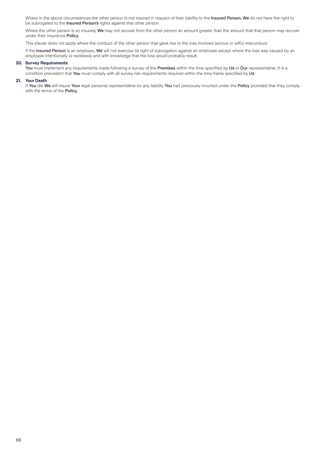Where in the above circumstances the other person is not insured in respect of their liability to the Insured Person, We do not have the right to be subrogated to the Insured Person's rights against that other person.

Where the other person is so insured, We may not recover from the other person an amount greater than the amount that that person may recover under their insurance Policy.

This clause does not apply where the conduct of the other person that gave rise to the loss involved serious or wilful misconduct.

If the Insured Person is an employer, We will not exercise its right of subrogation against an employee except where the loss was caused by an employee intentionally or recklessly and with knowledge that the loss would probably result.

### **20. Survey Requirements**

You must implement any requirements made following a survey of the Premises within the time specified by Us or Our representative. It is a condition precedent that You must comply with all survey risk requirements required within the time frame specified by Us.

### **21. Your Death**

If You die We will insure Your legal personal representative for any liability You had previously incurred under the Policy provided that they comply with the terms of the Policy.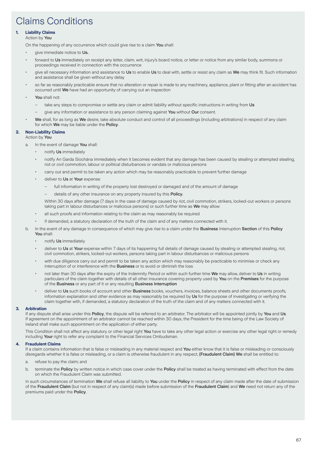# Claims Conditions

### **1. Liability Claims**

### Action by You

On the happening of any occurrence which could give rise to a claim You shall:

- give immediate notice to Us.
- forward to Us immediately on receipt any letter, claim, writ, injury's board notice, or letter or notice from any similar body, summons or proceedings received in connection with the occurrence
- give all necessary information and assistance to Us to enable Us to deal with, settle or resist any claim as We may think fit. Such information and assistance shall be given without any delay
- so far as reasonably practicable ensure that no alteration or repair is made to any machinery, appliance, plant or fitting after an accident has occurred until We have had an opportunity of carrying out an inspection
- You shall not:
	- take any steps to compromise or settle any claim or admit liability without specific instructions in writing from Us
	- give any information or assistance to any person claiming against You without Our consent.
	- We shall, for as long as We desire, take absolute conduct and control of all proceedings (including arbitrations) in respect of any claim for which We may be liable under the Policy.

### **2. Non-Liability Claims**

Action by You

- a. In the event of damage You shall:
	- notify Us immediately
	- notify An Garda Síochána immediately when it becomes evident that any damage has been caused by stealing or attempted stealing, riot or civil commotion, labour or political disturbances or vandals or malicious persons
	- carry out and permit to be taken any action which may be reasonably practicable to prevent further damage
	- deliver to Us at Your expense:
		- full information in writing of the property lost destroyed or damaged and of the amount of damage
		- details of any other insurance on any property insured by this Policy.

Within 30 days after damage (7 days in the case of damage caused by riot, civil commotion, strikers, locked-out workers or persons taking part in labour disturbances or malicious persons) or such further time as We may allow:

- all such proofs and information relating to the claim as may reasonably be required
- if demanded, a statutory declaration of the truth of the claim and of any matters connected with it.
- b. In the event of any damage in consequence of which may give rise to a claim under the Business Interruption Section of this Policy You shall:
	- notify Us immediately
	- deliver to Us at Your expense within 7 days of its happening full details of damage caused by stealing or attempted stealing, riot, civil commotion, strikers, locked-out workers, persons taking part in labour disturbances or malicious persons
	- with due diligence carry out and permit to be taken any action which may reasonably be practicable to minimise or check any interruption of or interference with the Business or to avoid or diminish the loss
	- not later than 30 days after the expiry of the Indemnity Period or within such further time We may allow, deliver to Us in writing particulars of the claim together with details of all other insurance covering property used by You on the Premises for the purpose of the Business or any part of it or any resulting Business Interruption
	- deliver to Us such books of account and other Business books, vouchers, invoices, balance sheets and other documents proofs, information explanation and other evidence as may reasonably be required by Us for the purpose of investigating or verifying the claim together with, if demanded, a statutory declaration of the truth of the claim and of any matters connected with it.

### **3. Arbitration**

If any dispute shall arise under this Policy, the dispute will be referred to an arbitrator. The arbitrator will be appointed jointly by You and Us. If agreement on the appointment of an arbitrator cannot be reached within 30 days, the President for the time being of the Law Society of Ireland shall make such appointment on the application of either party.

This Condition shall not affect any statutory or other legal right You have to take any other legal action or exercise any other legal right or remedy including Your right to refer any complaint to the Financial Services Ombudsman.

### **4. Fraudulent Claims**

If a claim contains information that is false or misleading in any material respect and You either know that it is false or misleading or consciously disregards whether it is false or misleading, or a claim is otherwise fraudulent in any respect, (Fraudulent Claim) We shall be entitled to:

- a. refuse to pay the claim; and
- b. terminate the Policy by written notice in which case cover under the Policy shall be treated as having terminated with effect from the date on which the Fraudulent Claim was submitted.

In such circumstances of termination We shall refuse all liability to You under the Policy in respect of any claim made after the date of submission of the Fraudulent Claim (but not in respect of any claim(s) made before submission of the Fraudulent Claim) and We need not return any of the premiums paid under the Policy.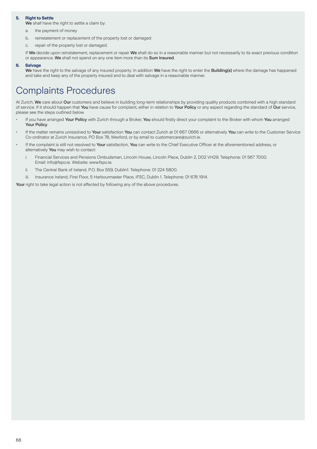### **5. Right to Settle**

We shall have the right to settle a claim by:

- a. the payment of money
- b. reinstatement or replacement of the property lost or damaged
- c. repair of the property lost or damaged.

If We decide upon reinstatement, replacement or repair We shall do so in a reasonable manner but not necessarily to its exact previous condition or appearance. We shall not spend on any one item more than its Sum Insured.

### **6. Salvage**

We have the right to the salvage of any insured property. In addition We have the right to enter the Building(s) where the damage has happened and take and keep any of the property insured and to deal with salvage in a reasonable manner.

# Complaints Procedures

At Zurich, We care about Our customers and believe in building long-term relationships by providing quality products combined with a high standard of service. If it should happen that You have cause for complaint, either in relation to Your Policy or any aspect regarding the standard of Our service, please see the steps outlined below.

- If you have arranged Your Policy with Zurich through a Broker, You should firstly direct your complaint to the Broker with whom You arranged Your Policy.
- If the matter remains unresolved to Your satisfaction You can contact Zurich at 01 667 0666 or alternatively You can write to the Customer Service Co-ordinator at Zurich Insurance, PO Box 78, Wexford, or by email to customercare@zurich.ie.
- If the complaint is still not resolved to Your satisfaction, You can write to the Chief Executive Officer at the aforementioned address, or alternatively You may wish to contact:
	- i. Financial Services and Pensions Ombudsman, Lincoln House, Lincoln Place, Dublin 2, D02 VH29. Telephone: 01 567 7000. Email: info@fspo.ie. Website: www.fspo.ie.
	- ii. The Central Bank of Ireland, P.O. Box 559, Dublin1. Telephone: 01 224 5800.
- iii. Insurance Ireland, First Floor, 5 Harbourmaster Place, IFSC, Dublin 1. Telephone: 01 676 1914.

Your right to take legal action is not affected by following any of the above procedures.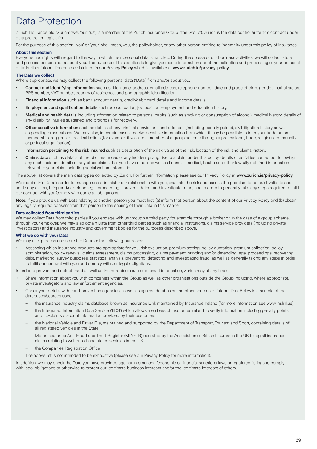# Data Protection

Zurich Insurance plc ('Zurich', 'we', 'our', 'us') is a member of the Zurich Insurance Group ('the Group'). Zurich is the data controller for this contract under data protection legislation.

For the purpose of this section, 'you' or 'your' shall mean, you, the policyholder, or any other person entitled to indemnity under this policy of insurance.

### **About this section**

Everyone has rights with regard to the way in which their personal data is handled. During the course of our business activities, we will collect, store and process personal data about you. The purpose of this section is to give you some information about the collection and processing of your personal data. Further information can be obtained in our Privacy Policy which is available at www.zurich.ie/privacy-policy.

### **The Data we collect**

Where appropriate, we may collect the following personal data ('Data') from and/or about you:

- Contact and identifying information such as title, name, address, email address, telephone number, date and place of birth, gender, marital status, PPS number, VAT number, country of residence, and photographic identification.
- Financial information such as bank account details, credit/debit card details and income details.
- Employment and qualification details such as occupation, job position, employment and education history.
- Medical and health details including information related to personal habits (such as smoking or consumption of alcohol), medical history, details of any disability, injuries sustained and prognosis for recovery.
- Other sensitive information such as details of any criminal convictions and offences (including penalty points), civil litigation history as well as pending prosecutions. We may also, in certain cases, receive sensitive information from which it may be possible to infer your trade union membership, religious or political beliefs (for example. if you are a member of a group scheme through a professional, trade, religious, community or political organisation).
- Information pertaining to the risk insured such as description of the risk, value of the risk, location of the risk and claims history.
- Claims data such as details of the circumstances of any incident giving rise to a claim under this policy, details of activities carried out following any such incident, details of any other claims that you have made, as well as financial, medical, health and other lawfully obtained information relevant to your claim including social welfare information.

The above list covers the main data types collected by Zurich. For further information please see our Privacy Policy at www.zurich.ie/privacy-policy.

We require this Data in order to manage and administer our relationship with you, evaluate the risk and assess the premium to be paid, validate and settle any claims, bring and/or defend legal proceedings, prevent, detect and investigate fraud, and in order to generally take any steps required to fulfil our contract with you/comply with our legal obligations.

Note: If you provide us with Data relating to another person you must first: (a) inform that person about the content of our Privacy Policy and (b) obtain any legally required consent from that person to the sharing of their Data in this manner.

### **Data collected from third parties**

We may collect Data from third parties if you engage with us through a third party, for example through a broker or, in the case of a group scheme, through your employer. We may also obtain Data from other third parties such as financial institutions, claims service providers (including private investigators) and insurance industry and government bodies for the purposes described above.

### **What we do with your Data**

We may use, process and store the Data for the following purposes:

• Assessing which insurance products are appropriate for you, risk evaluation, premium setting, policy quotation, premium collection, policy administration, policy renewal, claims assessment, claims processing, claims payment, bringing and/or defending legal proceedings, recovering debt, marketing, survey purposes, statistical analysis, preventing, detecting and investigating fraud, as well as generally taking any steps in order to fulfil our contract with you and comply with our legal obligations.

In order to prevent and detect fraud as well as the non-disclosure of relevant information, Zurich may at any time:

- Share information about you with companies within the Group as well as other organisations outside the Group including, where appropriate, private investigators and law enforcement agencies.
- Check your details with fraud prevention agencies, as well as against databases and other sources of information. Below is a sample of the databases/sources used:
	- the insurance industry claims database known as Insurance Link maintained by Insurance Ireland (for more information see www.inslink.ie)
	- the Integrated Information Data Service ('IIDS') which allows members of Insurance Ireland to verify information including penalty points and no-claims discount information provided by their customers
	- the National Vehicle and Driver File, maintained and supported by the Department of Transport, Tourism and Sport, containing details of all registered vehicles in the State
	- Motor Insurance Anti-Fraud and Theft Register (MIAFTR) operated by the Association of British Insurers in the UK to log all insurance claims relating to written-off and stolen vehicles in the UK
	- the Companies Registration Office
	- The above list is not intended to be exhaustive (please see our Privacy Policy for more information).

In addition, we may check the Data you have provided against international/economic or financial sanctions laws or regulated listings to comply with legal obligations or otherwise to protect our legitimate business interests and/or the legitimate interests of others.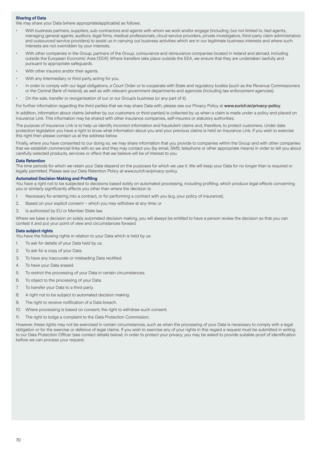### **Sharing of Data**

We may share your Data (where appropriate/applicable) as follows:

- With business partners, suppliers, sub-contractors and agents with whom we work and/or engage (including, but not limited to, tied agents, managing general agents, auditors, legal firms, medical professionals, cloud service providers, private investigators, third-party claim administrators and outsourced service providers) to assist us in carrying out business activities which are in our legitimate business interests and where such interests are not overridden by your interests.
- With other companies in the Group, partners of the Group, coinsurance and reinsurance companies located in Ireland and abroad, including outside the European Economic Area ('EEA'). Where transfers take place outside the EEA, we ensure that they are undertaken lawfully and pursuant to appropriate safeguards.
- With other insurers and/or their agents.
- With any intermediary or third party acting for you.
- In order to comply with our legal obligations, a Court Order or to cooperate with State and regulatory bodies (such as the Revenue Commissioners or the Central Bank of Ireland), as well as with relevant government departments and agencies (including law enforcement agencies).
- On the sale, transfer or reorganisation of our or our Group's business (or any part of it).

For further information regarding the third parties that we may share Data with, please see our Privacy Policy at www.zurich.ie/privacy-policy.

In addition, information about claims (whether by our customers or third-parties) is collected by us when a claim is made under a policy and placed on Insurance Link. This information may be shared with other insurance companies, self-insurers or statutory authorities.

The purpose of Insurance Link is to help us identify incorrect information and fraudulent claims and, therefore, to protect customers. Under data protection legislation you have a right to know what information about you and your previous claims is held on Insurance Link. If you wish to exercise this right then please contact us at the address below.

Finally, where you have consented to our doing so, we may share information that you provide to companies within the Group and with other companies that we establish commercial links with so we and they may contact you (by email, SMS, telephone or other appropriate means) in order to tell you about carefully selected products, services or offers that we believe will be of interest to you.

#### **Data Retention**

The time periods for which we retain your Data depend on the purposes for which we use it. We will keep your Data for no longer than is required or legally permitted. Please see our Data Retention Policy at www.zurich.ie/privacy-policy.

### **Automated Decision Making and Profiling**

You have a right not to be subjected to decisions based solely on automated processing, including profiling, which produce legal effects concerning you or similarly significantly affects you other than where the decision is:

- 1. Necessary for entering into a contract, or for performing a contract with you (e.g. your policy of insurance);
- 2. Based on your explicit consent which you may withdraw at any time; or
- 3. Is authorized by EU or Member State law.

Where we base a decision on solely automated decision-making, you will always be entitled to have a person review the decision so that you can contest it and put your point of view and circumstances forward.

#### **Data subject rights**

You have the following rights in relation to your Data which is held by us:

- 1. To ask for details of your Data held by us.
- 2. To ask for a copy of your Data.
- 3. To have any inaccurate or misleading Data rectified.
- 4. To have your Data erased.
- 5. To restrict the processing of your Data in certain circumstances.
- 6. To object to the processing of your Data.
- 7. To transfer your Data to a third party.
- 8. A right not to be subject to automated decision making.
- 9. The right to receive notification of a Data breach.
- 10. Where processing is based on consent, the right to withdraw such consent.
- 11. The right to lodge a complaint to the Data Protection Commission.

However, these rights may not be exercised in certain circumstances, such as when the processing of your Data is necessary to comply with a legal obligation or for the exercise or defence of legal claims. If you wish to exercise any of your rights in this regard a request must be submitted in writing to our Data Protection Officer (see contact details below). In order to protect your privacy, you may be asked to provide suitable proof of identification before we can process your request.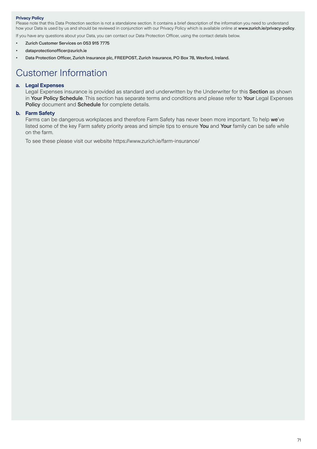### **Privacy Policy**

Please note that this Data Protection section is not a standalone section. It contains a brief description of the information you need to understand how your Data is used by us and should be reviewed in conjunction with our Privacy Policy which is available online at www.zurich.ie/privacy-policy.

If you have any questions about your Data, you can contact our Data Protection Officer, using the contact details below.

- Zurich Customer Services on 053 915 7775
- dataprotectionofficer@zurich.ie
- Data Protection Officer, Zurich Insurance plc, FREEPOST, Zurich Insurance, PO Box 78, Wexford, Ireland.

# Customer Information

### **a. Legal Expenses**

Legal Expenses insurance is provided as standard and underwritten by the Underwriter for this Section as shown in Your Policy Schedule. This section has separate terms and conditions and please refer to Your Legal Expenses Policy document and Schedule for complete details.

### **b. Farm Safety**

Farms can be dangerous workplaces and therefore Farm Safety has never been more important. To help we've listed some of the key Farm safety priority areas and simple tips to ensure You and Your family can be safe while on the farm.

To see these please visit our website https://www.zurich.ie/farm-insurance/